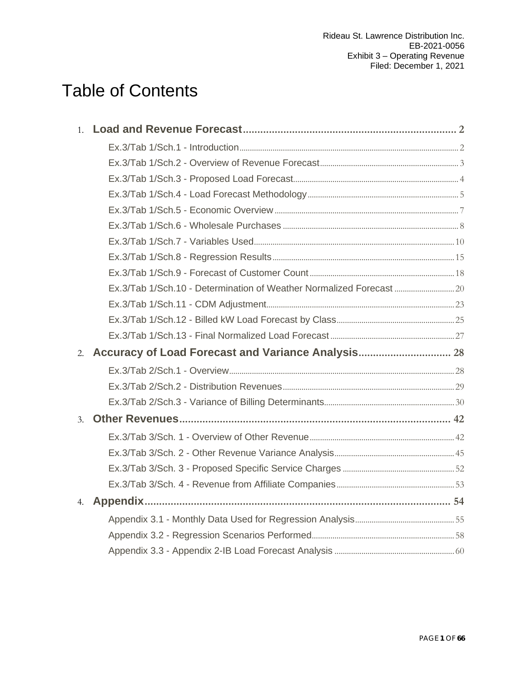# Table of Contents

|                | Ex.3/Tab 1/Sch.10 - Determination of Weather Normalized Forecast |  |
|----------------|------------------------------------------------------------------|--|
|                |                                                                  |  |
|                |                                                                  |  |
|                |                                                                  |  |
|                |                                                                  |  |
|                |                                                                  |  |
|                |                                                                  |  |
|                |                                                                  |  |
|                |                                                                  |  |
| 3 <sub>1</sub> |                                                                  |  |
|                |                                                                  |  |
|                |                                                                  |  |
|                |                                                                  |  |
|                |                                                                  |  |
| 4.             |                                                                  |  |
|                |                                                                  |  |
|                |                                                                  |  |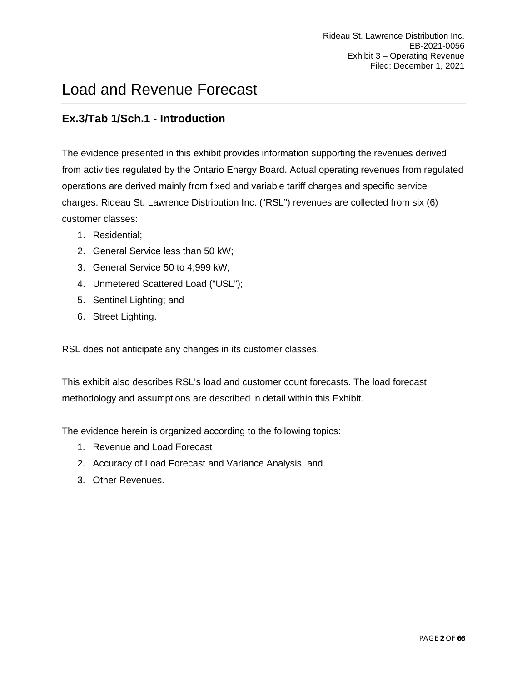# <span id="page-1-0"></span>Load and Revenue Forecast

### <span id="page-1-1"></span>**Ex.3/Tab 1/Sch.1 - Introduction**

The evidence presented in this exhibit provides information supporting the revenues derived from activities regulated by the Ontario Energy Board. Actual operating revenues from regulated operations are derived mainly from fixed and variable tariff charges and specific service charges. Rideau St. Lawrence Distribution Inc. ("RSL") revenues are collected from six (6) customer classes:

- 1. Residential;
- 2. General Service less than 50 kW;
- 3. General Service 50 to 4,999 kW;
- 4. Unmetered Scattered Load ("USL");
- 5. Sentinel Lighting; and
- 6. Street Lighting.

RSL does not anticipate any changes in its customer classes.

This exhibit also describes RSL's load and customer count forecasts. The load forecast methodology and assumptions are described in detail within this Exhibit.

The evidence herein is organized according to the following topics:

- 1. Revenue and Load Forecast
- 2. Accuracy of Load Forecast and Variance Analysis, and
- 3. Other Revenues.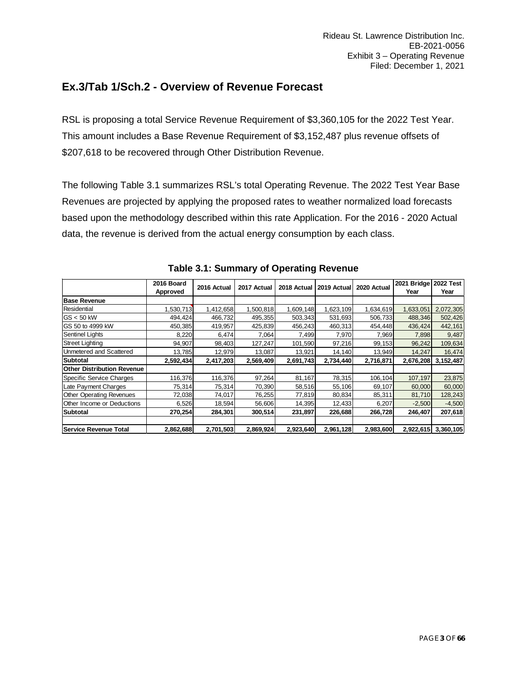### <span id="page-2-0"></span>**Ex.3/Tab 1/Sch.2 - Overview of Revenue Forecast**

RSL is proposing a total Service Revenue Requirement of \$3,360,105 for the 2022 Test Year. This amount includes a Base Revenue Requirement of \$3,152,487 plus revenue offsets of \$207,618 to be recovered through Other Distribution Revenue.

The following Table 3.1 summarizes RSL's total Operating Revenue. The 2022 Test Year Base Revenues are projected by applying the proposed rates to weather normalized load forecasts based upon the methodology described within this rate Application. For the 2016 - 2020 Actual data, the revenue is derived from the actual energy consumption by each class.

|                                   | 2016 Board | 2016 Actual | 2017 Actual | 2018 Actual | 2019 Actual | 2020 Actual | 2021 Bridge | <b>2022 Test</b> |
|-----------------------------------|------------|-------------|-------------|-------------|-------------|-------------|-------------|------------------|
|                                   | Approved   |             |             |             |             |             | Year        | Year             |
| <b>Base Revenue</b>               |            |             |             |             |             |             |             |                  |
| Residential                       | .530,713   | 1,412,658   | 1,500,818   | 1,609,148   | 1,623,109   | 1,634,619   | 1,633,051   | 2,072,305        |
| $\textsf{IGS} < 50 \text{ kW}$    | 494,424    | 466,732     | 495,355     | 503,343     | 531,693     | 506,733     | 488,346     | 502,426          |
| <b>IGS 50 to 4999 kW</b>          | 450,385    | 419,957     | 425,839     | 456,243     | 460,313     | 454,448     | 436,424     | 442,161          |
| Sentinel Lights                   | 8,220      | 6,474       | 7,064       | 7,499       | 7,970       | 7,969       | 7,898       | 9,487            |
| <b>Street Lighting</b>            | 94,907     | 98,403      | 127,247     | 101,590     | 97,216      | 99,153      | 96,242      | 109,634          |
| Unmetered and Scattered           | 13,785     | 12,979      | 13,087      | 13,921      | 14,140      | 13,949      | 14,247      | 16,474           |
| Subtotal                          | 2,592,434  | 2,417,203   | 2,569,409   | 2,691,743   | 2,734,440   | 2,716,871   | 2,676,208   | 3,152,487        |
| <b>Other Distribution Revenue</b> |            |             |             |             |             |             |             |                  |
| Specific Service Charges          | 116,376    | 116,376     | 97,264      | 81,167      | 78,315      | 106,104     | 107,197     | 23,875           |
| Late Payment Charges              | 75,314     | 75,314      | 70,390      | 58,516      | 55,106      | 69,107      | 60,000      | 60,000           |
| <b>Other Operating Revenues</b>   | 72,038     | 74,017      | 76,255      | 77,819      | 80,834      | 85,311      | 81,710      | 128,243          |
| Other Income or Deductions        | 6,526      | 18,594      | 56,606      | 14,395      | 12,433      | 6,207       | $-2,500$    | $-4,500$         |
| <b>Subtotal</b>                   | 270,254    | 284,301     | 300,514     | 231,897     | 226,688     | 266,728     | 246,407     | 207,618          |
|                                   |            |             |             |             |             |             |             |                  |
| Service Revenue Total             | 2,862,688  | 2,701,503   | 2,869,924   | 2,923,640   | 2,961,128   | 2,983,600   | 2,922,615   | 3,360,105        |

**Table 3.1: Summary of Operating Revenue**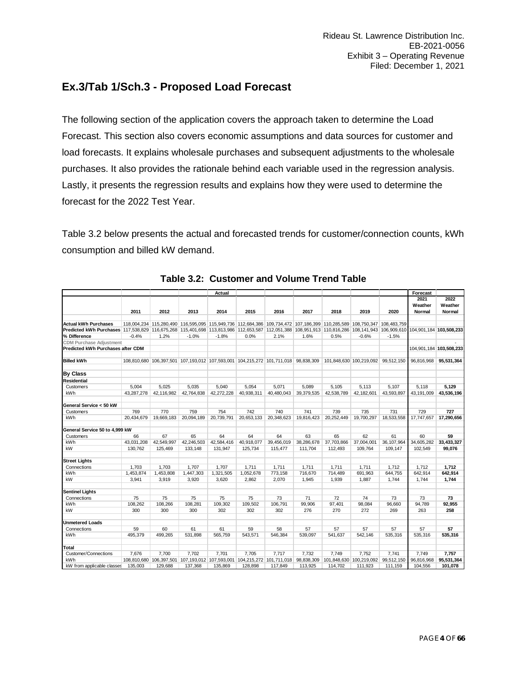### <span id="page-3-0"></span>**Ex.3/Tab 1/Sch.3 - Proposed Load Forecast**

The following section of the application covers the approach taken to determine the Load Forecast. This section also covers economic assumptions and data sources for customer and load forecasts. It explains wholesale purchases and subsequent adjustments to the wholesale purchases. It also provides the rationale behind each variable used in the regression analysis. Lastly, it presents the regression results and explains how they were used to determine the forecast for the 2022 Test Year.

Table 3.2 below presents the actual and forecasted trends for customer/connection counts, kWh consumption and billed kW demand.

|                                                                                                                                                                         |            |            |            | Actual     |            |                                                                                                                         |            |            |                                    |              | Forecast                  |                           |
|-------------------------------------------------------------------------------------------------------------------------------------------------------------------------|------------|------------|------------|------------|------------|-------------------------------------------------------------------------------------------------------------------------|------------|------------|------------------------------------|--------------|---------------------------|---------------------------|
|                                                                                                                                                                         | 2011       | 2012       | 2013       | 2014       | 2015       | 2016                                                                                                                    | 2017       | 2018       | 2019                               | 2020         | 2021<br>Weather<br>Normal | 2022<br>Weather<br>Normal |
|                                                                                                                                                                         |            |            |            |            |            |                                                                                                                         |            |            |                                    |              |                           |                           |
| <b>Actual kWh Purchases</b>                                                                                                                                             |            |            |            |            |            | 118,004,234 115,280,490 116,595,095 115,949,736 112,684,386 109,734,472 107,186,399 110,285,589 108,750,347 108,483,759 |            |            |                                    |              |                           |                           |
| Predicted kWh Purchases 117,538,829 116,675,268 115,401,698 113,813,986 112,653,587 112,051,388 108,951,913 110,816,286 108,141,943 106,909,610 104,901,184 103,508,233 |            |            |            |            |            |                                                                                                                         |            |            |                                    |              |                           |                           |
| % Difference                                                                                                                                                            | $-0.4%$    | 1.2%       | $-1.0%$    | $-1.8%$    | 0.0%       | 2.1%                                                                                                                    | 1.6%       | 0.5%       | $-0.6%$                            | $-1.5%$      |                           |                           |
| <b>CDM Purchase Adjustment</b>                                                                                                                                          |            |            |            |            |            |                                                                                                                         |            |            |                                    |              |                           |                           |
| Predicted kWh Purchases after CDM                                                                                                                                       |            |            |            |            |            |                                                                                                                         |            |            |                                    |              |                           | 104,901,184 103,508,233   |
| <b>Billed kWh</b>                                                                                                                                                       |            |            |            |            |            | 108,810,680 106,397,501 107,193,012 107,593,001 104,215,272 101,711,018 98,838,309                                      |            |            | 101,848,630 100,219,092 99,512,150 |              | 96,816,968                | 95,531,364                |
| By Class                                                                                                                                                                |            |            |            |            |            |                                                                                                                         |            |            |                                    |              |                           |                           |
| Residential                                                                                                                                                             |            |            |            |            |            |                                                                                                                         |            |            |                                    |              |                           |                           |
| Customers                                                                                                                                                               | 5.004      | 5.025      | 5.035      | 5.040      | 5.054      | 5.071                                                                                                                   | 5.089      | 5.105      | 5.113                              | 5.107        | 5.118                     | 5.129                     |
| kWh                                                                                                                                                                     | 43.287.278 | 42.116.982 | 42.764.838 | 42.272.228 | 40.938.311 | 40.480.043                                                                                                              | 39,379,535 | 42.538.789 | 42.182.601                         | 43,593,897   | 43.191.009                | 43.536.196                |
| General Service < 50 kW                                                                                                                                                 |            |            |            |            |            |                                                                                                                         |            |            |                                    |              |                           |                           |
| Customers                                                                                                                                                               | 769        | 770        | 759        | 754        | 742        | 740                                                                                                                     | 741        | 739        | 735                                | 731          | 729                       | 727                       |
| kWh                                                                                                                                                                     | 20.434.679 | 19.669.183 | 20.094.189 | 20.739.791 | 20.653.133 | 20.348.623                                                                                                              | 19.816.423 | 20.252.449 | 19.700.297                         | 18.533.558   | 17.747.657                | 17.290.656                |
| General Service 50 to 4,999 kW                                                                                                                                          |            |            |            |            |            |                                                                                                                         |            |            |                                    |              |                           |                           |
| Customers                                                                                                                                                               | 66         | 67         | 65         | 64         | 64         | 64                                                                                                                      | 63         | 65         | 62                                 | 61           | 60                        | 59                        |
| kWh                                                                                                                                                                     | 43,031,208 | 42,549,997 | 42,246,503 | 42,584,416 | 40,918,077 | 39,456,019                                                                                                              | 38,286,678 | 37,703,866 | 37,004,001                         | 36, 107, 964 | 34,605,282                | 33,433,327                |
| kW                                                                                                                                                                      | 130.762    | 125,469    | 133.148    | 131.947    | 125.734    | 115,477                                                                                                                 | 111.704    | 112.493    | 109.764                            | 109.147      | 102.549                   | 99.076                    |
| <b>Street Lights</b>                                                                                                                                                    |            |            |            |            |            |                                                                                                                         |            |            |                                    |              |                           |                           |
| Connections                                                                                                                                                             | 1,703      | 1,703      | 1,707      | 1,707      | 1,711      | 1,711                                                                                                                   | 1,711      | 1,711      | 1,711                              | 1,712        | 1.712                     | 1,712                     |
| kWh                                                                                                                                                                     | 1,453,874  | 1,453,808  | 1,447,303  | 1,321,505  | 1,052,678  | 773,158                                                                                                                 | 716,670    | 714,489    | 691,963                            | 644,755      | 642,914                   | 642,914                   |
| kW                                                                                                                                                                      | 3.941      | 3,919      | 3,920      | 3.620      | 2,862      | 2,070                                                                                                                   | 1,945      | 1,939      | 1,887                              | 1.744        | 1,744                     | 1,744                     |
| <b>Sentinel Lights</b>                                                                                                                                                  |            |            |            |            |            |                                                                                                                         |            |            |                                    |              |                           |                           |
| Connections                                                                                                                                                             | 75         | 75         | 75         | 75         | 75         | 73                                                                                                                      | 71         | 72         | 74                                 | 73           | 73                        | 73                        |
| kWh                                                                                                                                                                     | 108,262    | 108,266    | 108,281    | 109,302    | 109,502    | 106,791                                                                                                                 | 99,906     | 97,401     | 98,084                             | 96,660       | 94,789                    | 92,955                    |
| kW                                                                                                                                                                      | 300        | 300        | 300        | 302        | 302        | 302                                                                                                                     | 276        | 270        | 272                                | 269          | 263                       | 258                       |
| <b>Unmetered Loads</b>                                                                                                                                                  |            |            |            |            |            |                                                                                                                         |            |            |                                    |              |                           |                           |
| Connections                                                                                                                                                             | 59         | 60         | 61         | 61         | 59         | 58                                                                                                                      | 57         | 57         | 57                                 | 57           | 57                        | 57                        |
| kWh                                                                                                                                                                     | 495,379    | 499,265    | 531,898    | 565,759    | 543,571    | 546,384                                                                                                                 | 539,097    | 541,637    | 542,146                            | 535,316      | 535,316                   | 535,316                   |
| Total                                                                                                                                                                   |            |            |            |            |            |                                                                                                                         |            |            |                                    |              |                           |                           |
| Customer/Connections                                                                                                                                                    | 7.676      | 7.700      | 7.702      | 7.701      | 7.705      | 7.717                                                                                                                   | 7.732      | 7.749      | 7.752                              | 7.741        | 7.749                     | 7.757                     |
| kWh                                                                                                                                                                     |            |            |            |            |            | 108.810.680 106.397.501 107.193.012 107.593.001 104.215.272 101.711.018                                                 | 98.838.309 |            | 101.848.630 100.219.092            | 99.512.150   | 96.816.968                | 95,531,364                |
| kW from applicable classes                                                                                                                                              | 135,003    | 129,688    | 137,368    | 135,869    | 128,898    | 117,849                                                                                                                 | 113,925    | 114,702    | 111,923                            | 111,159      | 104,556                   | 101,078                   |

|  | Table 3.2: Customer and Volume Trend Table |  |  |  |  |
|--|--------------------------------------------|--|--|--|--|
|--|--------------------------------------------|--|--|--|--|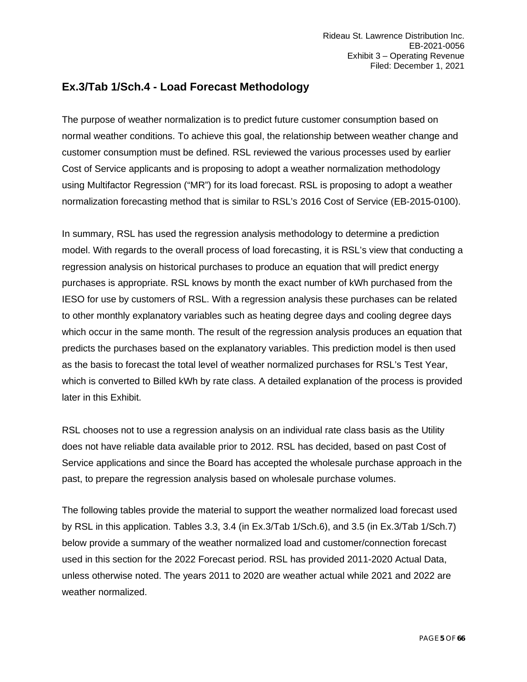### <span id="page-4-0"></span>**Ex.3/Tab 1/Sch.4 - Load Forecast Methodology**

The purpose of weather normalization is to predict future customer consumption based on normal weather conditions. To achieve this goal, the relationship between weather change and customer consumption must be defined. RSL reviewed the various processes used by earlier Cost of Service applicants and is proposing to adopt a weather normalization methodology using Multifactor Regression ("MR") for its load forecast. RSL is proposing to adopt a weather normalization forecasting method that is similar to RSL's 2016 Cost of Service (EB-2015-0100).

In summary, RSL has used the regression analysis methodology to determine a prediction model. With regards to the overall process of load forecasting, it is RSL's view that conducting a regression analysis on historical purchases to produce an equation that will predict energy purchases is appropriate. RSL knows by month the exact number of kWh purchased from the IESO for use by customers of RSL. With a regression analysis these purchases can be related to other monthly explanatory variables such as heating degree days and cooling degree days which occur in the same month. The result of the regression analysis produces an equation that predicts the purchases based on the explanatory variables. This prediction model is then used as the basis to forecast the total level of weather normalized purchases for RSL's Test Year, which is converted to Billed kWh by rate class. A detailed explanation of the process is provided later in this Exhibit.

RSL chooses not to use a regression analysis on an individual rate class basis as the Utility does not have reliable data available prior to 2012. RSL has decided, based on past Cost of Service applications and since the Board has accepted the wholesale purchase approach in the past, to prepare the regression analysis based on wholesale purchase volumes.

The following tables provide the material to support the weather normalized load forecast used by RSL in this application. Tables 3.3, 3.4 (in Ex.3/Tab 1/Sch.6), and 3.5 (in Ex.3/Tab 1/Sch.7) below provide a summary of the weather normalized load and customer/connection forecast used in this section for the 2022 Forecast period. RSL has provided 2011-2020 Actual Data, unless otherwise noted. The years 2011 to 2020 are weather actual while 2021 and 2022 are weather normalized.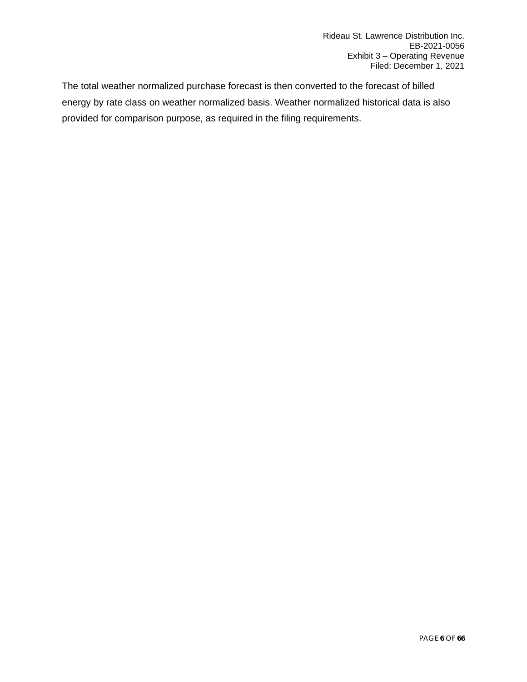The total weather normalized purchase forecast is then converted to the forecast of billed energy by rate class on weather normalized basis. Weather normalized historical data is also provided for comparison purpose, as required in the filing requirements.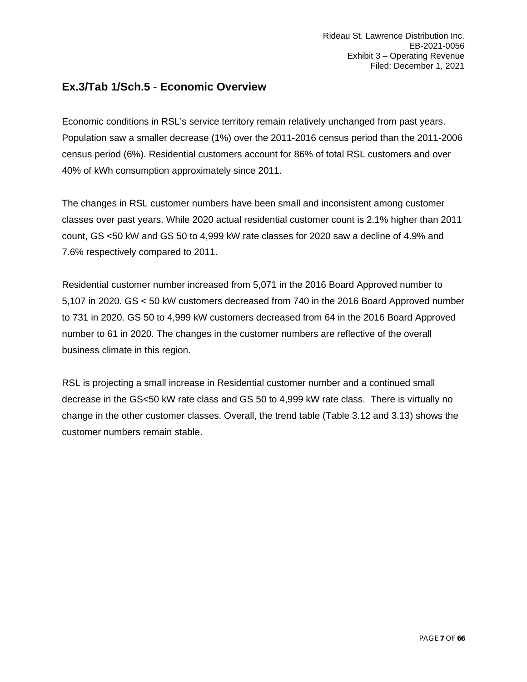### <span id="page-6-0"></span>**Ex.3/Tab 1/Sch.5 - Economic Overview**

Economic conditions in RSL's service territory remain relatively unchanged from past years. Population saw a smaller decrease (1%) over the 2011-2016 census period than the 2011-2006 census period (6%). Residential customers account for 86% of total RSL customers and over 40% of kWh consumption approximately since 2011.

The changes in RSL customer numbers have been small and inconsistent among customer classes over past years. While 2020 actual residential customer count is 2.1% higher than 2011 count, GS <50 kW and GS 50 to 4,999 kW rate classes for 2020 saw a decline of 4.9% and 7.6% respectively compared to 2011.

Residential customer number increased from 5,071 in the 2016 Board Approved number to 5,107 in 2020. GS < 50 kW customers decreased from 740 in the 2016 Board Approved number to 731 in 2020. GS 50 to 4,999 kW customers decreased from 64 in the 2016 Board Approved number to 61 in 2020. The changes in the customer numbers are reflective of the overall business climate in this region.

RSL is projecting a small increase in Residential customer number and a continued small decrease in the GS<50 kW rate class and GS 50 to 4,999 kW rate class. There is virtually no change in the other customer classes. Overall, the trend table (Table 3.12 and 3.13) shows the customer numbers remain stable.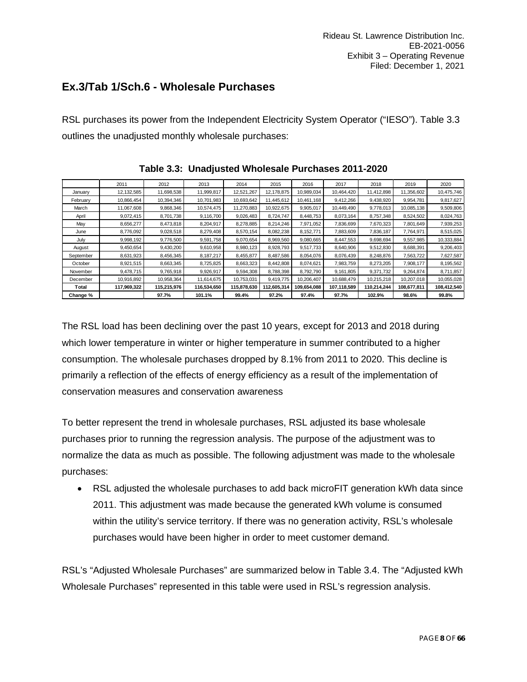### <span id="page-7-0"></span>**Ex.3/Tab 1/Sch.6 - Wholesale Purchases**

RSL purchases its power from the Independent Electricity System Operator ("IESO"). Table 3.3 outlines the unadjusted monthly wholesale purchases:

|           | 2011        | 2012        | 2013        | 2014        | 2015        | 2016        | 2017        | 2018        | 2019        | 2020        |
|-----------|-------------|-------------|-------------|-------------|-------------|-------------|-------------|-------------|-------------|-------------|
| January   | 12,132,585  | 11,698,538  | 11,999,817  | 12,521,267  | 12.178.875  | 10.989.034  | 10.464.420  | 11.412.898  | 11.356.602  | 10,475,746  |
| February  | 10.866.454  | 10.394.346  | 10.701.983  | 10.693.642  | 11.445.612  | 10.461.168  | 9,412,266   | 9.438.920   | 9.954.781   | 9.817.627   |
| March     | 11,067,608  | 9,868,346   | 10.574.475  | 11,270,883  | 10,922,675  | 9,905,017   | 10.449.490  | 9.778.013   | 10.085.138  | 9,509,806   |
| April     | 9.072.415   | 8.701.738   | 9.116.700   | 9,026,483   | 8.724.747   | 8.448.753   | 8.073.164   | 8.757.348   | 8.524.502   | 8,024,763   |
| May       | 8,656,277   | 8,473,818   | 8,204,917   | 8.278.885   | 8,214,246   | 7.971.052   | 7,836,699   | 7,670,323   | 7,801,649   | 7,939,253   |
| June      | 8,776,092   | 9,028,518   | 8,279,408   | 8,570,154   | 8,082,238   | 8,152,771   | 7,883,609   | 7.836.187   | 7.764.971   | 8,515,025   |
| July      | 9,998,192   | 9.776.500   | 9,591,758   | 9,070,654   | 8.969.560   | 9,080,665   | 8,447,553   | 9,698,694   | 9,557,985   | 10,333,884  |
| August    | 9,450,654   | 9,430,200   | 9,610,958   | 8,980,123   | 8,928,793   | 9.517.733   | 8,640,906   | 9,512,830   | 8,688,391   | 9,206,403   |
| September | 8,631,923   | 8,456,345   | 8,187,217   | 8,455,877   | 8,487,586   | 8,054,076   | 8,076,439   | 8,248,876   | 7,563,722   | 7,627,587   |
| October   | 8,921,515   | 8.663.345   | 8,725,825   | 8,663,323   | 8.442.808   | 8.074.621   | 7,983,759   | 8,273,205   | 7,908,177   | 8,195,562   |
| November  | 9,478,715   | 9,765,918   | 9,926,917   | 9,594,308   | 8,788,398   | 8,792,790   | 9,161,805   | 9,371,732   | 9,264,874   | 8,711,857   |
| December  | 10,916,892  | 10,958,364  | 11,614,675  | 10,753,031  | 9,419,775   | 10,206,407  | 10,688,479  | 10,215,218  | 10,207,018  | 10,055,028  |
| Total     | 117,969,322 | 115,215,976 | 116,534,650 | 115,878,630 | 112,605,314 | 109,654,088 | 107,118,589 | 110,214,244 | 108,677,811 | 108,412,540 |
| Change %  |             | 97.7%       | 101.1%      | 99.4%       | 97.2%       | 97.4%       | 97.7%       | 102.9%      | 98.6%       | 99.8%       |

| Table 3.3: Unadjusted Wholesale Purchases 2011-2020 |  |  |
|-----------------------------------------------------|--|--|
|                                                     |  |  |

The RSL load has been declining over the past 10 years, except for 2013 and 2018 during which lower temperature in winter or higher temperature in summer contributed to a higher consumption. The wholesale purchases dropped by 8.1% from 2011 to 2020. This decline is primarily a reflection of the effects of energy efficiency as a result of the implementation of conservation measures and conservation awareness

To better represent the trend in wholesale purchases, RSL adjusted its base wholesale purchases prior to running the regression analysis. The purpose of the adjustment was to normalize the data as much as possible. The following adjustment was made to the wholesale purchases:

• RSL adjusted the wholesale purchases to add back microFIT generation kWh data since 2011. This adjustment was made because the generated kWh volume is consumed within the utility's service territory. If there was no generation activity, RSL's wholesale purchases would have been higher in order to meet customer demand.

RSL's "Adjusted Wholesale Purchases" are summarized below in Table 3.4. The "Adjusted kWh Wholesale Purchases" represented in this table were used in RSL's regression analysis.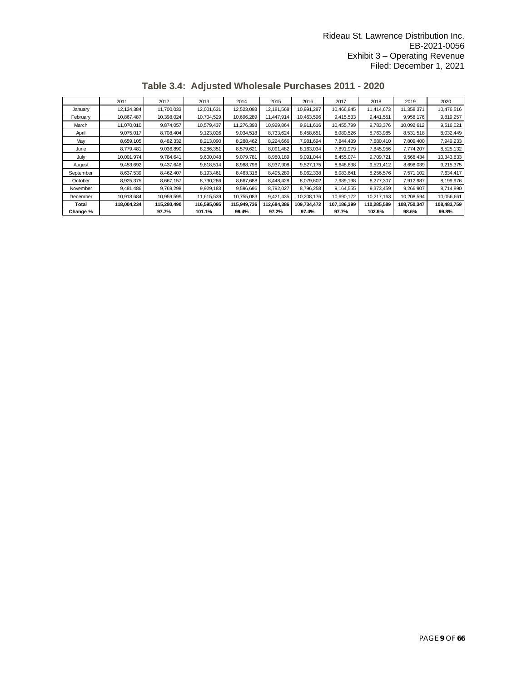|           | 2011        | 2012        | 2013        | 2014        | 2015        | 2016        | 2017        | 2018        | 2019        | 2020        |
|-----------|-------------|-------------|-------------|-------------|-------------|-------------|-------------|-------------|-------------|-------------|
| January   | 12,134,384  | 11,700,033  | 12,001,631  | 12,523,093  | 12,181,568  | 10,991,287  | 10,466,845  | 11,414,673  | 11,358,371  | 10,476,516  |
| February  | 10,867,487  | 10,398,024  | 10,704,529  | 10,696,289  | 11,447,914  | 10.463.596  | 9,415,533   | 9,441,551   | 9,958,176   | 9,819,257   |
| March     | 11,070,010  | 9,874,057   | 10,579,437  | 11,276,393  | 10,929,864  | 9,911,616   | 10,455,799  | 9,783,376   | 10,092,612  | 9,516,021   |
| April     | 9,075,017   | 8,708,404   | 9,123,026   | 9,034,518   | 8,733,624   | 8,458,651   | 8,080,526   | 8,763,985   | 8,531,518   | 8,032,449   |
| May       | 8,659,105   | 8,482,332   | 8,213,090   | 8,288,462   | 8,224,666   | 7,981,694   | 7,844,439   | 7,680,410   | 7,809,400   | 7,949,233   |
| June      | 8,779,481   | 9,036,890   | 8,286,351   | 8,579,621   | 8,091,482   | 8,163,034   | 7,891,979   | 7,845,956   | 7,774,207   | 8,525,132   |
| July      | 10.001.974  | 9.784.641   | 9,600,048   | 9,079,781   | 8.980.189   | 9.091.044   | 8.455.074   | 9.709.721   | 9,568,434   | 10,343,833  |
| August    | 9,453,692   | 9,437,648   | 9,618,514   | 8,988,796   | 8,937,908   | 9.527.175   | 8,648,638   | 9.521.412   | 8,698,039   | 9,215,375   |
| September | 8,637,539   | 8,462,407   | 8,193,461   | 8,463,316   | 8,495,280   | 8,062,338   | 8,083,641   | 8.256.576   | 7.571.102   | 7,634,417   |
| October   | 8,925,375   | 8.667.157   | 8,730,286   | 8,667,688   | 8,448,428   | 8.079.602   | 7,989,198   | 8.277.307   | 7,912,987   | 8,199,976   |
| November  | 9.481.486   | 9,769,298   | 9,929,183   | 9,596,696   | 8,792,027   | 8,796,258   | 9,164,555   | 9,373,459   | 9,266,907   | 8,714,890   |
| December  | 10,918,684  | 10.959.599  | 11,615,539  | 10,755,083  | 9.421.435   | 10.208.176  | 10.690.172  | 10,217,163  | 10,208,594  | 10,056,661  |
| Total     | 118,004,234 | 115,280,490 | 116,595,095 | 115,949,736 | 112,684,386 | 109,734,472 | 107,186,399 | 110,285,589 | 108,750,347 | 108,483,759 |
| Change %  |             | 97.7%       | 101.1%      | 99.4%       | 97.2%       | 97.4%       | 97.7%       | 102.9%      | 98.6%       | 99.8%       |

**Table 3.4: Adjusted Wholesale Purchases 2011 - 2020**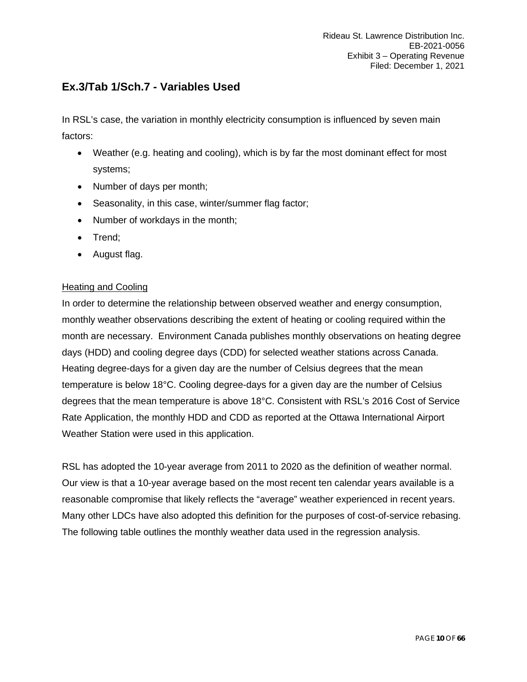### <span id="page-9-0"></span>**Ex.3/Tab 1/Sch.7 - Variables Used**

In RSL's case, the variation in monthly electricity consumption is influenced by seven main factors:

- Weather (e.g. heating and cooling), which is by far the most dominant effect for most systems;
- Number of days per month;
- Seasonality, in this case, winter/summer flag factor;
- Number of workdays in the month;
- Trend;
- August flag.

#### Heating and Cooling

In order to determine the relationship between observed weather and energy consumption, monthly weather observations describing the extent of heating or cooling required within the month are necessary. Environment Canada publishes monthly observations on heating degree days (HDD) and cooling degree days (CDD) for selected weather stations across Canada. Heating degree-days for a given day are the number of Celsius degrees that the mean temperature is below 18°C. Cooling degree-days for a given day are the number of Celsius degrees that the mean temperature is above 18°C. Consistent with RSL's 2016 Cost of Service Rate Application, the monthly HDD and CDD as reported at the Ottawa International Airport Weather Station were used in this application.

RSL has adopted the 10-year average from 2011 to 2020 as the definition of weather normal. Our view is that a 10-year average based on the most recent ten calendar years available is a reasonable compromise that likely reflects the "average" weather experienced in recent years. Many other LDCs have also adopted this definition for the purposes of cost-of-service rebasing. The following table outlines the monthly weather data used in the regression analysis.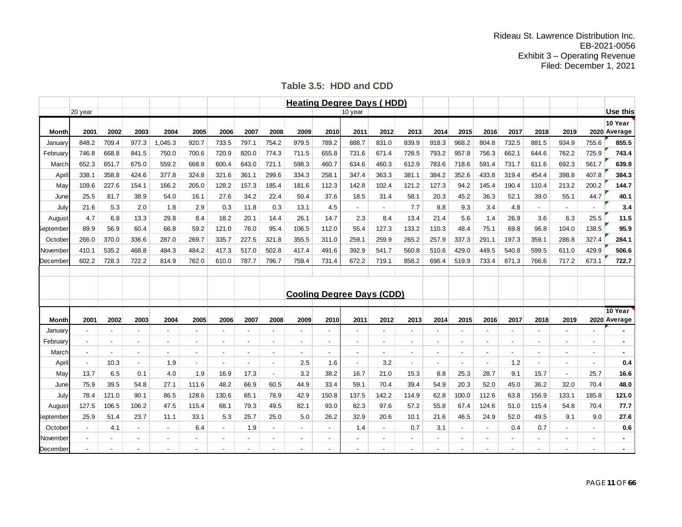| Table 3.5: HDD and CDD |  |
|------------------------|--|
|------------------------|--|

|              |                          |                |                          |                          |                          |                |                          |                          |                                  |                          | <b>Heating Degree Days (HDD)</b> |                          |                          |                          |                          |                          |                          |                |                          |                          |                         |
|--------------|--------------------------|----------------|--------------------------|--------------------------|--------------------------|----------------|--------------------------|--------------------------|----------------------------------|--------------------------|----------------------------------|--------------------------|--------------------------|--------------------------|--------------------------|--------------------------|--------------------------|----------------|--------------------------|--------------------------|-------------------------|
|              | 20 year                  |                |                          |                          |                          |                |                          |                          |                                  |                          | 10 year                          |                          |                          |                          |                          |                          |                          |                |                          |                          | <b>Use this</b>         |
| <b>Month</b> | 2001                     | 2002           | 2003                     | 2004                     | 2005                     | 2006           | 2007                     | 2008                     | 2009                             | 2010                     | 2011                             | 2012                     | 2013                     | 2014                     | 2015                     | 2016                     | 2017                     | 2018           | 2019                     |                          | 10 Year<br>2020 Average |
|              |                          |                |                          |                          |                          |                |                          |                          |                                  |                          |                                  |                          |                          |                          |                          |                          |                          |                |                          |                          |                         |
| January      | 848.2                    | 709.4          | 977.3                    | 1,045.3                  | 920.7                    | 733.5          | 797.1                    | 754.2                    | 979.5                            | 789.2                    | 888.7                            | 831.0                    | 839.9                    | 918.3                    | 968.2                    | 804.8                    | 732.5                    | 881.5          | 934.9                    | 755.6                    | 855.5                   |
| February     | 746.8                    | 668.8          | 841.5                    | 750.0                    | 700.6                    | 720.9          | 820.0                    | 774.3                    | 711.5                            | 655.8                    | 731.6                            | 671.4                    | 728.5                    | 793.2                    | 957.8                    | 756.3                    | 662.1                    | 644.6          | 762.2                    | 725.9                    | 743.4                   |
| March        | 652.3                    | 651.7          | 675.0                    | 559.2                    | 668.8                    | 600.4          | 643.0                    | 721.1                    | 598.3                            | 460.7                    | 634.6                            | 460.3                    | 612.9                    | 783.6                    | 718.6                    | 591.4                    | 731.7                    | 611.6          | 692.3                    | 561.7                    | 639.9                   |
| April        | 338.1                    | 358.8          | 424.6                    | 377.8                    | 324.8                    | 321.6          | 361.1                    | 299.6                    | 334.3                            | 258.1                    | 347.4                            | 363.3                    | 381.1                    | 384.2                    | 352.6                    | 433.8                    | 319.4                    | 454.4          | 398.8                    | 407.8                    | 384.3                   |
| Mav          | 109.6                    | 227.6          | 154.1                    | 166.2                    | 205.0                    | 128.2          | 157.3                    | 185.4                    | 181.6                            | 112.3                    | 142.8                            | 102.4                    | 121.2                    | 127.3                    | 94.2                     | 145.4                    | 190.4                    | 110.4          | 213.2                    | 200.2                    | 144.7                   |
| June         | 25.5                     | 61.7           | 38.9                     | 54.0                     | 16.1                     | 27.6           | 34.2                     | 22.4                     | 50.4                             | 37.6                     | 18.5                             | 31.4                     | 58.1                     | 20.3                     | 45.2                     | 36.3                     | 52.1                     | 39.0           | 55.1                     | 44.7                     | 40.1                    |
| July         | 21.6                     | 5.3            | 2.0                      | 1.8                      | 2.9                      | 0.3            | 11.8                     | 0.3                      | 13.1                             | 4.5                      | $\blacksquare$                   | $\blacksquare$           | 7.7                      | 8.8                      | 9.3                      | 3.4                      | 4.8                      | $\blacksquare$ | $\sim$                   | $\blacksquare$           | 3.4                     |
| August       | 4.7                      | 6.8            | 13.3                     | 29.8                     | 8.4                      | 18.2           | 20.1                     | 14.4                     | 26.1                             | 14.7                     | 2.3                              | 8.4                      | 13.4                     | 21.4                     | 5.6                      | 1.4                      | 26.9                     | 3.6            | 6.3                      | 25.5                     | 11.5                    |
| eptember     | 89.9                     | 56.9           | 60.4                     | 66.8                     | 59.2                     | 121.0          | 76.0                     | 95.4                     | 106.5                            | 112.0                    | 55.4                             | 127.3                    | 133.2                    | 110.3                    | 48.4                     | 75.1                     | 69.8                     | 96.8           | 104.0                    | 138.5                    | 95.9                    |
| October      | 266.0                    | 370.0          | 336.6                    | 287.0                    | 269.7                    | 335.7          | 227.5                    | 321.8                    | 355.5                            | 311.0                    | 259.1                            | 259.9                    | 265.2                    | 257.9                    | 337.3                    | 291.1                    | 197.3                    | 359.1          | 286.8                    | 327.4                    | 284.1                   |
| November     | 410.1                    | 535.2          | 468.8                    | 484.3                    | 484.2                    | 417.3          | 517.0                    | 502.8                    | 417.4                            | 491.6                    | 392.9                            | 541.7                    | 560.8                    | 510.6                    | 429.0                    | 449.5                    | 540.8                    | 599.5          | 611.0                    | 429.9                    | 506.6                   |
| December     | 602.2                    | 728.3          | 722.2                    | 814.9                    | 762.0                    | 610.0          | 787.7                    | 796.7                    | 759.4                            | 731.4                    | 672.2                            | 719.1                    | 858.2                    | 696.4                    | 519.9                    | 733.4                    | 871.3                    | 766.6          | 717.2                    | 673.1                    | 722.7                   |
|              |                          |                |                          |                          |                          |                |                          |                          |                                  |                          |                                  |                          |                          |                          |                          |                          |                          |                |                          |                          |                         |
|              |                          |                |                          |                          |                          |                |                          |                          |                                  |                          |                                  |                          |                          |                          |                          |                          |                          |                |                          |                          |                         |
|              |                          |                |                          |                          |                          |                |                          |                          | <b>Cooling Degree Days (CDD)</b> |                          |                                  |                          |                          |                          |                          |                          |                          |                |                          |                          |                         |
|              |                          |                |                          |                          |                          |                |                          |                          |                                  |                          |                                  |                          |                          |                          |                          |                          |                          |                |                          |                          | 10 Year                 |
| <b>Month</b> | 2001                     | 2002           | 2003                     | 2004                     | 2005                     | 2006           | 2007                     | 2008                     | 2009                             | 2010                     | 2011                             | 2012                     | 2013                     | 2014                     | 2015                     | 2016                     | 2017                     | 2018           | 2019                     |                          | 2020 Average            |
| January      | $\blacksquare$           |                |                          |                          |                          |                |                          |                          | $\overline{a}$                   |                          |                                  |                          |                          |                          |                          |                          |                          |                |                          |                          |                         |
| February     | $\overline{\phantom{a}}$ | $\blacksquare$ | $\overline{\phantom{0}}$ | $\overline{\phantom{a}}$ | $\overline{\phantom{0}}$ | $\blacksquare$ | $\overline{\phantom{a}}$ | $\blacksquare$           | $\blacksquare$                   | $\overline{\phantom{a}}$ | $\overline{\phantom{a}}$         | $\blacksquare$           | $\overline{\phantom{a}}$ |                          |                          | $\blacksquare$           | $\overline{\phantom{a}}$ |                | $\overline{\phantom{a}}$ | $\blacksquare$           | $\blacksquare$          |
| March        | $\blacksquare$           | $\overline{a}$ |                          | $\blacksquare$           |                          | $\blacksquare$ | $\overline{\phantom{a}}$ | $\overline{\phantom{m}}$ | $\blacksquare$                   | $\overline{\phantom{a}}$ | $\overline{\phantom{a}}$         | $\overline{\phantom{0}}$ |                          | $\overline{\phantom{a}}$ |                          | $\overline{\phantom{a}}$ | $\overline{\phantom{a}}$ |                |                          | $\overline{\phantom{a}}$ |                         |
| April        | $\overline{\phantom{a}}$ | 10.3           | $\overline{\phantom{a}}$ | 1.9                      | $\sim$                   | $\overline{a}$ | $\overline{\phantom{a}}$ | $\overline{a}$           | 2.5                              | 1.6                      | $\overline{a}$                   | 3.2                      | $\overline{\phantom{a}}$ | $\overline{a}$           | $\overline{\phantom{a}}$ | $\sim$                   | 1.2                      | $\overline{a}$ | $\overline{\phantom{0}}$ | $\overline{a}$           | 0.4                     |
| May          | 13.7                     | 6.5            | 0.1                      | 4.0                      | 1.9                      | 16.9           | 17.3                     | $\blacksquare$           | 3.2                              | 38.2                     | 16.7                             | 21.0                     | 15.3                     | 8.8                      | 25.3                     | 28.7                     | 9.1                      | 15.7           | $\blacksquare$           | 25.7                     | 16.6                    |
| June         | 75.9                     | 39.5           | 54.8                     | 27.1                     | 111.6                    | 48.2           | 66.9                     | 60.5                     | 44.9                             | 33.4                     | 59.1                             | 70.4                     | 39.4                     | 54.9                     | 20.3                     | 52.0                     | 45.0                     | 36.2           | 32.0                     | 70.4                     | 48.0                    |
| July         | 78.4                     | 121.0          | 90.1                     | 86.5                     | 128.6                    | 130.6          | 65.1                     | 78.9                     | 42.9                             | 150.8                    | 137.5                            | 142.2                    | 114.9                    | 62.8                     | 100.0                    | 112.6                    | 63.8                     | 156.9          | 133.1                    | 185.8                    | 121.0                   |
| August       | 127.5                    | 106.5          | 106.2                    | 47.5                     | 115.4                    | 68.1           | 79.3                     | 49.5                     | 82.1                             | 93.0                     | 82.3                             | 97.6                     | 57.2                     | 55.8                     | 67.4                     | 124.6                    | 51.0                     | 115.4          | 54.8                     | 70.4                     | 77.7                    |
| eptember     | 25.9                     | 51.4           | 23.7                     | 11.1                     | 33.1                     | 5.3            | 25.7                     | 25.0                     | 5.0                              | 26.2                     | 32.9                             | 20.6                     | 10.1                     | 21.6                     | 46.5                     | 24.9                     | 52.0                     | 49.5           | 9.1                      | 9.0                      | 27.6                    |
| October      | $\overline{\phantom{a}}$ | 4.1            |                          | $\blacksquare$           | 6.4                      | $\blacksquare$ | 1.9                      | $\overline{a}$           | $\blacksquare$                   | $\blacksquare$           | 1.4                              | $\overline{\phantom{a}}$ | 0.7                      | 3.1                      | $\blacksquare$           | $\overline{\phantom{a}}$ | 0.4                      | 0.7            | $\blacksquare$           | $\overline{a}$           | 0.6                     |
| November     | $\blacksquare$           | $\blacksquare$ |                          | $\blacksquare$           |                          | $\blacksquare$ |                          | $\overline{a}$           | $\overline{\phantom{0}}$         | $\blacksquare$           | $\overline{\phantom{a}}$         | $\blacksquare$           |                          |                          | $\blacksquare$           | $\blacksquare$           | $\blacksquare$           |                | $\blacksquare$           | $\overline{\phantom{a}}$ | $\blacksquare$          |
| December     | $\overline{\phantom{a}}$ |                |                          |                          |                          |                |                          |                          |                                  |                          |                                  |                          |                          |                          |                          |                          |                          |                |                          |                          | ٠                       |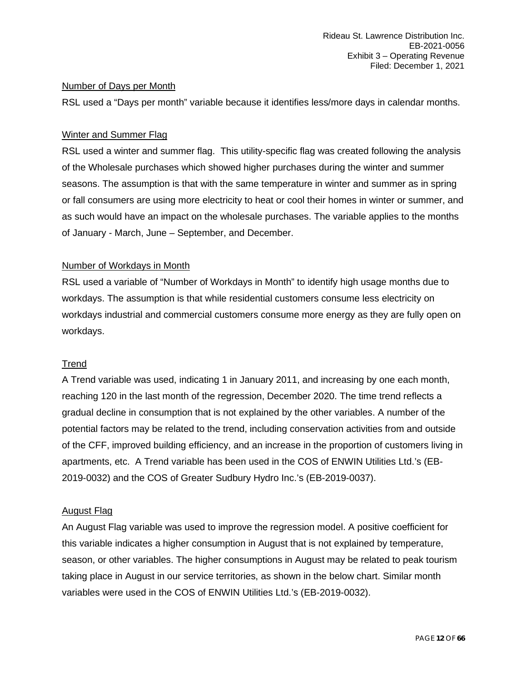#### Number of Days per Month

RSL used a "Days per month" variable because it identifies less/more days in calendar months.

#### Winter and Summer Flag

RSL used a winter and summer flag. This utility-specific flag was created following the analysis of the Wholesale purchases which showed higher purchases during the winter and summer seasons. The assumption is that with the same temperature in winter and summer as in spring or fall consumers are using more electricity to heat or cool their homes in winter or summer, and as such would have an impact on the wholesale purchases. The variable applies to the months of January - March, June – September, and December.

#### Number of Workdays in Month

RSL used a variable of "Number of Workdays in Month" to identify high usage months due to workdays. The assumption is that while residential customers consume less electricity on workdays industrial and commercial customers consume more energy as they are fully open on workdays.

#### Trend

A Trend variable was used, indicating 1 in January 2011, and increasing by one each month, reaching 120 in the last month of the regression, December 2020. The time trend reflects a gradual decline in consumption that is not explained by the other variables. A number of the potential factors may be related to the trend, including conservation activities from and outside of the CFF, improved building efficiency, and an increase in the proportion of customers living in apartments, etc. A Trend variable has been used in the COS of ENWIN Utilities Ltd.'s (EB-2019-0032) and the COS of Greater Sudbury Hydro Inc.'s (EB-2019-0037).

#### August Flag

An August Flag variable was used to improve the regression model. A positive coefficient for this variable indicates a higher consumption in August that is not explained by temperature, season, or other variables. The higher consumptions in August may be related to peak tourism taking place in August in our service territories, as shown in the below chart. Similar month variables were used in the COS of ENWIN Utilities Ltd.'s (EB-2019-0032).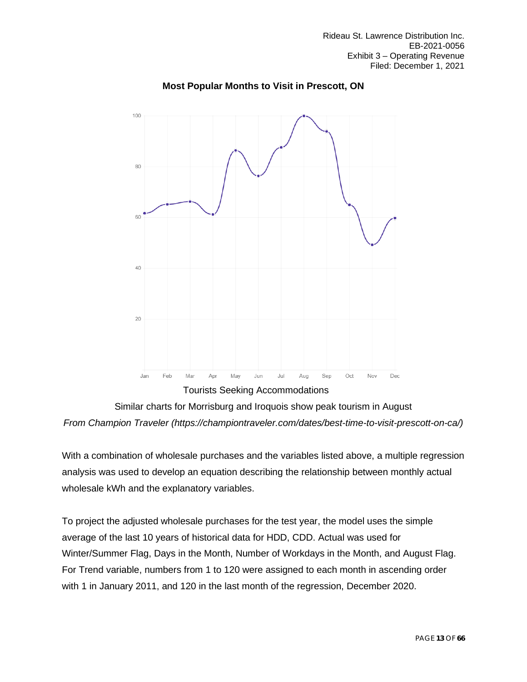

### **Most Popular Months to Visit in Prescott, ON**

Similar charts for Morrisburg and Iroquois show peak tourism in August *From Champion Traveler (https://championtraveler.com/dates/best-time-to-visit-prescott-on-ca/)*

With a combination of wholesale purchases and the variables listed above, a multiple regression analysis was used to develop an equation describing the relationship between monthly actual wholesale kWh and the explanatory variables.

To project the adjusted wholesale purchases for the test year, the model uses the simple average of the last 10 years of historical data for HDD, CDD. Actual was used for Winter/Summer Flag, Days in the Month, Number of Workdays in the Month, and August Flag. For Trend variable, numbers from 1 to 120 were assigned to each month in ascending order with 1 in January 2011, and 120 in the last month of the regression, December 2020.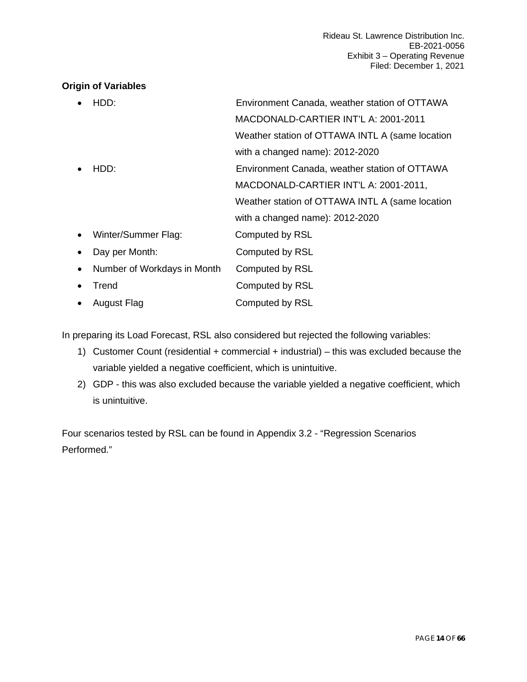### **Origin of Variables**

|           | HDD:                        | Environment Canada, weather station of OTTAWA   |
|-----------|-----------------------------|-------------------------------------------------|
|           |                             | MACDONALD-CARTIER INT'L A: 2001-2011            |
|           |                             | Weather station of OTTAWA INTL A (same location |
|           |                             | with a changed name): 2012-2020                 |
|           | HDD:                        | Environment Canada, weather station of OTTAWA   |
|           |                             | MACDONALD-CARTIER INT'L A: 2001-2011,           |
|           |                             | Weather station of OTTAWA INTL A (same location |
|           |                             | with a changed name): 2012-2020                 |
| $\bullet$ | Winter/Summer Flag:         | Computed by RSL                                 |
|           | Day per Month:              | Computed by RSL                                 |
| $\bullet$ | Number of Workdays in Month | Computed by RSL                                 |
|           | Trend                       | Computed by RSL                                 |
|           | August Flag                 | Computed by RSL                                 |
|           |                             |                                                 |

In preparing its Load Forecast, RSL also considered but rejected the following variables:

- 1) Customer Count (residential + commercial + industrial) this was excluded because the variable yielded a negative coefficient, which is unintuitive.
- 2) GDP this was also excluded because the variable yielded a negative coefficient, which is unintuitive.

Four scenarios tested by RSL can be found in Appendix 3.2 - "Regression Scenarios Performed."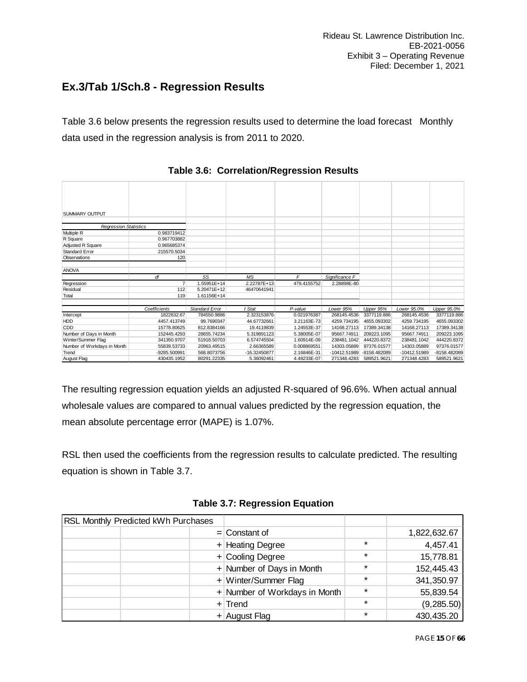### <span id="page-14-0"></span>**Ex.3/Tab 1/Sch.8 - Regression Results**

Table 3.6 below presents the regression results used to determine the load forecast Monthly data used in the regression analysis is from 2011 to 2020.

| <b>SUMMARY OUTPUT</b>        |                |                       |              |             |                |              |              |              |
|------------------------------|----------------|-----------------------|--------------|-------------|----------------|--------------|--------------|--------------|
|                              |                |                       |              |             |                |              |              |              |
| <b>Regression Statistics</b> |                |                       |              |             |                |              |              |              |
| Multiple R                   | 0.983719412    |                       |              |             |                |              |              |              |
| R Square                     | 0.967703882    |                       |              |             |                |              |              |              |
| Adjusted R Square            | 0.965685374    |                       |              |             |                |              |              |              |
| <b>Standard Error</b>        | 215570.5034    |                       |              |             |                |              |              |              |
| Observations                 | 120            |                       |              |             |                |              |              |              |
|                              |                |                       |              |             |                |              |              |              |
| <b>ANOVA</b>                 |                |                       |              |             |                |              |              |              |
|                              | df             | SS                    | <b>MS</b>    | F           | Significance F |              |              |              |
| Regression                   | $\overline{7}$ | 1.55951E+14           | 2.22787E+13  | 479.4155752 | 2.28898E-80    |              |              |              |
| Residual                     | 112            | 5.20471E+12           | 46470641941  |             |                |              |              |              |
| Total                        | 119            | 1.61156E+14           |              |             |                |              |              |              |
|                              |                |                       |              |             |                |              |              |              |
|                              | Coefficients   | <b>Standard Error</b> | t Stat       | P-value     | Lower 95%      | Upper 95%    | Lower 95.0%  | Upper 95.0%  |
| Intercept                    | 1822632.67     | 784550.9886           | 2.323153876  | 0.021976387 | 268145.4536    | 3377119.886  | 268145.4536  | 3377119.886  |
| HDD                          | 4457.413749    | 99.7690347            | 44.67732661  | 3.21163E-73 | 4259.734195    | 4655.093302  | 4259.734195  | 4655.093302  |
| CDD                          | 15778.80625    | 812.8384166           | 19.4119839   | 1.24553E-37 | 14168.27113    | 17389.34138  | 14168.27113  | 17389.34138  |
| Number of Days in Month      | 152445.4293    | 28655.74234           | 5.319891123  | 5.38005E-07 | 95667.74911    | 209223.1095  | 95667.74911  | 209223.1095  |
| Winter/Summer Flag           | 341350.9707    | 51918.50703           | 6.574745504  | 1.60914E-09 | 238481.1042    | 444220.8372  | 238481.1042  | 444220.8372  |
| Number of Workdays in Month  | 55839.53733    | 20963.49515           | 2.66365589   | 0.008869551 | 14303.05889    | 97376.01577  | 14303.05889  | 97376.01577  |
| Trend                        | -9285.500991   | 568.8073756           | -16.32450877 | 2.16846E-31 | $-10412.51989$ | -8158.482089 | -10412.51989 | -8158.482089 |
| August Flag                  | 430435.1952    | 80291.22335           | 5.36092461   | 4.49233E-07 | 271348.4283    | 589521.9621  | 271348.4283  | 589521.9621  |

**Table 3.6: Correlation/Regression Results**

The resulting regression equation yields an adjusted R-squared of 96.6%. When actual annual wholesale values are compared to annual values predicted by the regression equation, the mean absolute percentage error (MAPE) is 1.07%.

RSL then used the coefficients from the regression results to calculate predicted. The resulting equation is shown in Table 3.7.

| <b>RSL Monthly Predicted kWh Purchases</b> |                               |         |              |
|--------------------------------------------|-------------------------------|---------|--------------|
|                                            | $=$ Constant of               |         | 1,822,632.67 |
|                                            | $+$ Heating Degree            | $\ast$  | 4,457.41     |
|                                            | + Cooling Degree              | $\star$ | 15,778.81    |
|                                            | + Number of Days in Month     | $\star$ | 152,445.43   |
|                                            | + Winter/Summer Flag          | $\star$ | 341,350.97   |
|                                            | + Number of Workdays in Month | $\star$ | 55,839.54    |
|                                            | $+$ Trend                     | $\star$ | (9,285.50)   |
|                                            | $+$ August Flag               | $\star$ | 430,435.20   |

**Table 3.7: Regression Equation**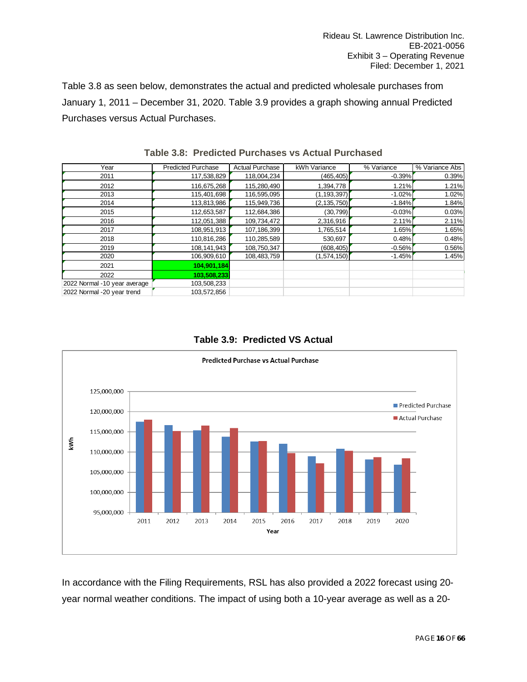Table 3.8 as seen below, demonstrates the actual and predicted wholesale purchases from January 1, 2011 – December 31, 2020. Table 3.9 provides a graph showing annual Predicted Purchases versus Actual Purchases.

| Year                         | <b>Predicted Purchase</b> | <b>Actual Purchase</b> | kWh Variance  | % Variance | % Variance Abs |
|------------------------------|---------------------------|------------------------|---------------|------------|----------------|
| 2011                         | 117,538,829               | 118,004,234            | (465, 405)    | $-0.39%$   | 0.39%          |
| 2012                         | 116,675,268               | 115,280,490            | 1,394,778     | 1.21%      | 1.21%          |
| 2013                         | 115,401,698               | 116,595,095            | (1, 193, 397) | $-1.02%$   | 1.02%          |
| 2014                         | 113,813,986               | 115,949,736            | (2, 135, 750) | $-1.84%$   | 1.84%          |
| 2015                         | 112,653,587               | 112,684,386            | (30, 799)     | $-0.03%$   | 0.03%          |
| 2016                         | 112,051,388               | 109,734,472            | 2,316,916     | 2.11%      | 2.11%          |
| 2017                         | 108,951,913               | 107,186,399            | 1,765,514     | 1.65%      | 1.65%          |
| 2018                         | 110,816,286               | 110,285,589            | 530,697       | 0.48%      | 0.48%          |
| 2019                         | 108,141,943               | 108,750,347            | (608, 405)    | $-0.56%$   | 0.56%          |
| 2020                         | 106,909,610               | 108,483,759            | (1,574,150)   | $-1.45%$   | 1.45%          |
| 2021                         | 104,901,184               |                        |               |            |                |
| 2022                         | 103,508,233               |                        |               |            |                |
| 2022 Normal -10 year average | 103,508,233               |                        |               |            |                |
| 2022 Normal -20 year trend   | 103,572,856               |                        |               |            |                |

**Table 3.8: Predicted Purchases vs Actual Purchased** 





In accordance with the Filing Requirements, RSL has also provided a 2022 forecast using 20 year normal weather conditions. The impact of using both a 10-year average as well as a 20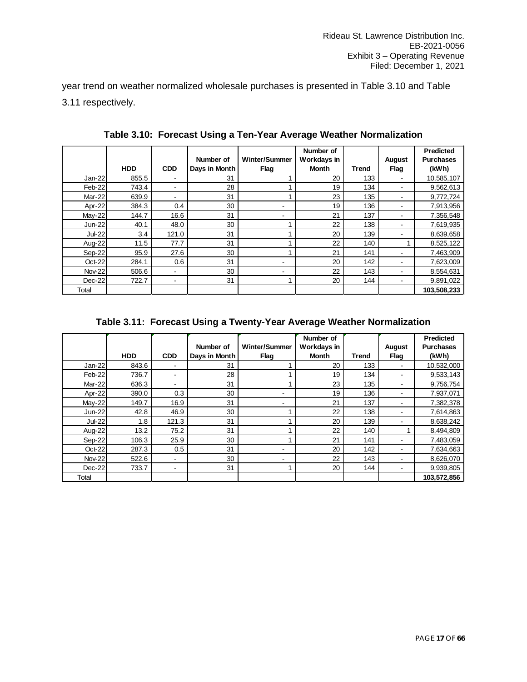year trend on weather normalized wholesale purchases is presented in Table 3.10 and Table 3.11 respectively.

|               | <b>HDD</b> | <b>CDD</b>               | Number of<br>Days in Month | <b>Winter/Summer</b><br>Flag | Number of<br>Workdays in<br>Month | <b>Trend</b> | <b>August</b><br>Flag | <b>Predicted</b><br><b>Purchases</b><br>(kWh) |
|---------------|------------|--------------------------|----------------------------|------------------------------|-----------------------------------|--------------|-----------------------|-----------------------------------------------|
| $Jan-22$      | 855.5      |                          | 31                         |                              | 20                                | 133          |                       | 10,585,107                                    |
| Feb-22        | 743.4      |                          | 28                         | 4                            | 19                                | 134          |                       | 9,562,613                                     |
| Mar-22        | 639.9      | $\overline{\phantom{0}}$ | 31                         | 1                            | 23                                | 135          |                       | 9,772,724                                     |
| Apr-22        | 384.3      | 0.4                      | 30                         | ۰                            | 19                                | 136          |                       | 7,913,956                                     |
| May-22        | 144.7      | 16.6                     | 31                         | ۰                            | 21                                | 137          |                       | 7,356,548                                     |
| <b>Jun-22</b> | 40.1       | 48.0                     | 30                         | 1                            | 22                                | 138          |                       | 7,619,935                                     |
| Jul-22        | 3.4        | 121.0                    | 31                         | и                            | 20                                | 139          |                       | 8,639,658                                     |
| Aug-22        | 11.5       | 77.7                     | 31                         | 1                            | 22                                | 140          |                       | 8,525,122                                     |
| Sep-22        | 95.9       | 27.6                     | 30                         |                              | 21                                | 141          |                       | 7,463,909                                     |
| Oct-22        | 284.1      | 0.6                      | 31                         | ۰                            | 20                                | 142          |                       | 7,623,009                                     |
| <b>Nov-22</b> | 506.6      | ٠.                       | 30                         | ٠.                           | 22                                | 143          |                       | 8,554,631                                     |
| $Dec-22$      | 722.7      | ۰                        | 31                         | 1                            | 20                                | 144          |                       | 9,891,022                                     |
| Total         |            |                          |                            |                              |                                   |              |                       | 103,508,233                                   |

**Table 3.10: Forecast Using a Ten-Year Average Weather Normalization**

**Table 3.11: Forecast Using a Twenty-Year Average Weather Normalization**

|               | <b>HDD</b> | <b>CDD</b> | Number of<br>Days in Month | Winter/Summer<br>Flag | Number of<br>Workdays in<br>Month | <b>Trend</b> | <b>August</b><br>Flag | <b>Predicted</b><br><b>Purchases</b><br>(kWh) |
|---------------|------------|------------|----------------------------|-----------------------|-----------------------------------|--------------|-----------------------|-----------------------------------------------|
| Jan-22        | 843.6      | ۰          | 31                         |                       | 20                                | 133          |                       | 10,532,000                                    |
| Feb-22        | 736.7      | ۰          | 28                         |                       | 19                                | 134          |                       | 9,533,143                                     |
| Mar-22        | 636.3      | ۰          | 31                         |                       | 23                                | 135          |                       | 9,756,754                                     |
| Apr-22        | 390.0      | 0.3        | 30                         | -                     | 19                                | 136          |                       | 7,937,071                                     |
| May-22        | 149.7      | 16.9       | 31                         | -                     | 21                                | 137          |                       | 7,382,378                                     |
| $Jun-22$      | 42.8       | 46.9       | 30                         |                       | 22                                | 138          |                       | 7,614,863                                     |
| Jul-22        | 1.8        | 121.3      | 31                         |                       | 20                                | 139          |                       | 8,638,242                                     |
| Aug-22        | 13.2       | 75.2       | 31                         |                       | 22                                | 140          |                       | 8,494,809                                     |
| Sep-22        | 106.3      | 25.9       | 30                         | 1                     | 21                                | 141          |                       | 7,483,059                                     |
| Oct-22        | 287.3      | 0.5        | 31                         |                       | 20                                | 142          |                       | 7,634,663                                     |
| <b>Nov-22</b> | 522.6      | ۰          | 30                         |                       | 22                                | 143          |                       | 8,626,070                                     |
| Dec-22        | 733.7      | ۰          | 31                         | 1                     | 20                                | 144          |                       | 9,939,805                                     |
| Total         |            |            |                            |                       |                                   |              |                       | 103,572,856                                   |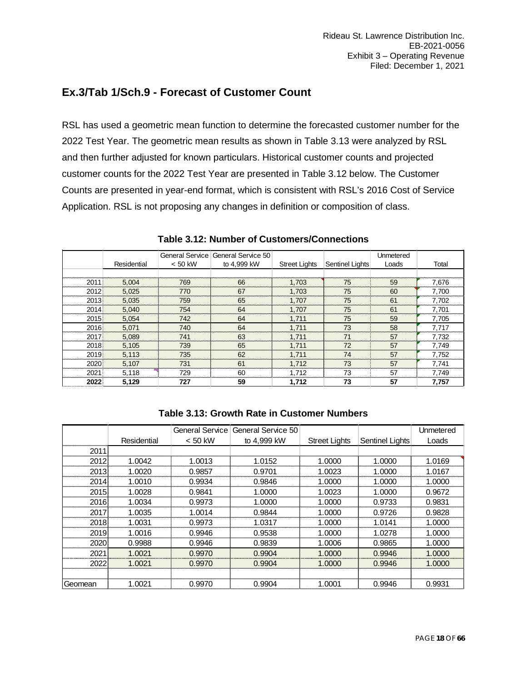### <span id="page-17-0"></span>**Ex.3/Tab 1/Sch.9 - Forecast of Customer Count**

RSL has used a geometric mean function to determine the forecasted customer number for the 2022 Test Year. The geometric mean results as shown in Table 3.13 were analyzed by RSL and then further adjusted for known particulars. Historical customer counts and projected customer counts for the 2022 Test Year are presented in Table 3.12 below. The Customer Counts are presented in year-end format, which is consistent with RSL's 2016 Cost of Service Application. RSL is not proposing any changes in definition or composition of class.

|      |             |           | General Service General Service 50 |                      |                        | Unmetered |       |
|------|-------------|-----------|------------------------------------|----------------------|------------------------|-----------|-------|
|      | Residential | $< 50$ kW | to 4,999 kW                        | <b>Street Lights</b> | <b>Sentinel Lights</b> | Loads     | Total |
|      |             |           |                                    |                      |                        |           |       |
| 2011 | 5,004       | 769       | 66                                 | 1,703                | 75                     | 59        | 7,676 |
| 2012 | 5,025       | 770       | 67                                 | 1,703                | 75                     | 60        | 7,700 |
| 2013 | 5,035       | 759       | 65                                 | 1,707                | 75                     | 61        | 7,702 |
| 2014 | 5.040       | 754       | 64                                 | 1,707                | 75                     | 61        | 7.701 |
| 2015 | 5.054       | 742       | 64                                 | 1,711                | 75                     | 59        | 7,705 |
| 2016 | 5,071       | 740       | 64                                 | 1,711                | 73                     | 58        | 7,717 |
| 2017 | 5,089       | 741       | 63                                 | 1,711                | 71                     | 57        | 7,732 |
| 2018 | 5,105       | 739       | 65                                 | 1,711                | 72                     | 57        | 7,749 |
| 2019 | 5,113       | 735       | 62                                 | 1,711                | 74                     | 57        | 7,752 |
| 2020 | 5.107       | 731       | 61                                 | 1.712                | 73                     | 57        | 7.741 |
| 2021 | 5,118       | 729       | 60                                 | 1,712                | 73                     | 57        | 7,749 |
| 2022 | 5,129       | 727       | 59                                 | 1,712                | 73                     | 57        | 7,757 |

**Table 3.12: Number of Customers/Connections**

| Table 3.13: Growth Rate in Customer Numbers |  |  |  |
|---------------------------------------------|--|--|--|
|---------------------------------------------|--|--|--|

|         |             | General Service | General Service 50 |                      |                        | Unmetered |
|---------|-------------|-----------------|--------------------|----------------------|------------------------|-----------|
|         | Residential | $< 50$ kW       | to 4.999 kW        | <b>Street Lights</b> | <b>Sentinel Lights</b> | Loads     |
| 2011    |             |                 |                    |                      |                        |           |
| 2012    | 1.0042      | 1.0013          | 1.0152             | 1.0000               | 1.0000                 | 1.0169    |
| 2013    | 1.0020      | 0.9857          | 0.9701             | 1.0023               | 1.0000                 | 1.0167    |
| 2014    | 1.0010      | 0.9934          | 0.9846             | 1.0000               | 1.0000                 | 1.0000    |
| 2015    | 1.0028      | 0.9841          | 1.0000             | 1.0023               | 1.0000                 | 0.9672    |
| 2016    | 1.0034      | 0.9973          | 1.0000             | 1.0000               | 0.9733                 | 0.9831    |
| 2017    | 1.0035      | 1.0014          | 0.9844             | 1.0000               | 0.9726                 | 0.9828    |
| 2018    | 1.0031      | 0.9973          | 1.0317             | 1.0000               | 1.0141                 | 1.0000    |
| 2019    | 1.0016      | 0.9946          | 0.9538             | 1.0000               | 1.0278                 | 1.0000    |
| 2020    | 0.9988      | 0.9946          | 0.9839             | 1.0006               | 0.9865                 | 1.0000    |
| 2021    | 1.0021      | 0.9970          | 0.9904             | 1.0000               | 0.9946                 | 1.0000    |
| 2022    | 1.0021      | 0.9970          | 0.9904             | 1.0000               | 0.9946                 | 1.0000    |
|         |             |                 |                    |                      |                        |           |
| Geomean | 1.0021      | 0.9970          | 0.9904             | 1.0001               | 0.9946                 | 0.9931    |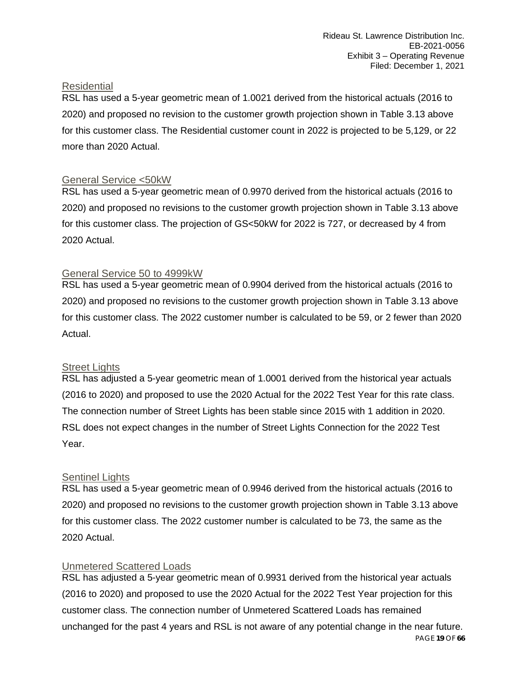### **Residential**

RSL has used a 5-year geometric mean of 1.0021 derived from the historical actuals (2016 to 2020) and proposed no revision to the customer growth projection shown in Table 3.13 above for this customer class. The Residential customer count in 2022 is projected to be 5,129, or 22 more than 2020 Actual.

### General Service <50kW

RSL has used a 5-year geometric mean of 0.9970 derived from the historical actuals (2016 to 2020) and proposed no revisions to the customer growth projection shown in Table 3.13 above for this customer class. The projection of GS<50kW for 2022 is 727, or decreased by 4 from 2020 Actual.

### General Service 50 to 4999kW

RSL has used a 5-year geometric mean of 0.9904 derived from the historical actuals (2016 to 2020) and proposed no revisions to the customer growth projection shown in Table 3.13 above for this customer class. The 2022 customer number is calculated to be 59, or 2 fewer than 2020 Actual.

### **Street Lights**

RSL has adjusted a 5-year geometric mean of 1.0001 derived from the historical year actuals (2016 to 2020) and proposed to use the 2020 Actual for the 2022 Test Year for this rate class. The connection number of Street Lights has been stable since 2015 with 1 addition in 2020. RSL does not expect changes in the number of Street Lights Connection for the 2022 Test Year.

### **Sentinel Lights**

RSL has used a 5-year geometric mean of 0.9946 derived from the historical actuals (2016 to 2020) and proposed no revisions to the customer growth projection shown in Table 3.13 above for this customer class. The 2022 customer number is calculated to be 73, the same as the 2020 Actual.

### Unmetered Scattered Loads

PAGE **19** OF **66** RSL has adjusted a 5-year geometric mean of 0.9931 derived from the historical year actuals (2016 to 2020) and proposed to use the 2020 Actual for the 2022 Test Year projection for this customer class. The connection number of Unmetered Scattered Loads has remained unchanged for the past 4 years and RSL is not aware of any potential change in the near future.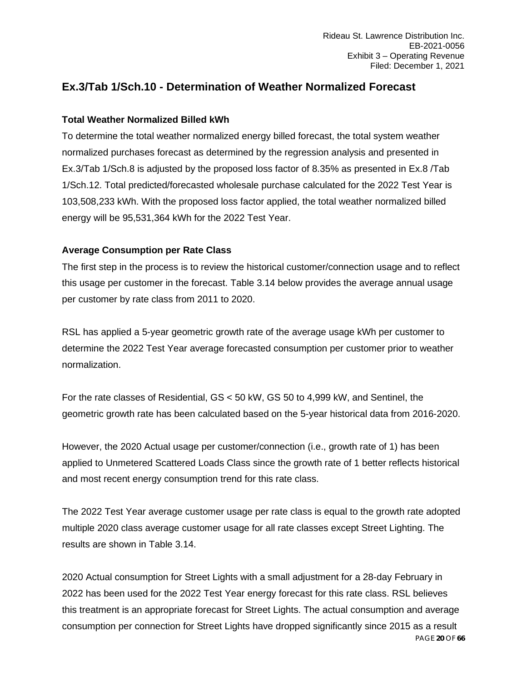### <span id="page-19-0"></span>**Ex.3/Tab 1/Sch.10 - Determination of Weather Normalized Forecast**

### **Total Weather Normalized Billed kWh**

To determine the total weather normalized energy billed forecast, the total system weather normalized purchases forecast as determined by the regression analysis and presented in Ex.3/Tab 1/Sch.8 is adjusted by the proposed loss factor of 8.35% as presented in Ex.8 /Tab 1/Sch.12. Total predicted/forecasted wholesale purchase calculated for the 2022 Test Year is 103,508,233 kWh. With the proposed loss factor applied, the total weather normalized billed energy will be 95,531,364 kWh for the 2022 Test Year.

### **Average Consumption per Rate Class**

The first step in the process is to review the historical customer/connection usage and to reflect this usage per customer in the forecast. Table 3.14 below provides the average annual usage per customer by rate class from 2011 to 2020.

RSL has applied a 5-year geometric growth rate of the average usage kWh per customer to determine the 2022 Test Year average forecasted consumption per customer prior to weather normalization.

For the rate classes of Residential, GS < 50 kW, GS 50 to 4,999 kW, and Sentinel, the geometric growth rate has been calculated based on the 5-year historical data from 2016-2020.

However, the 2020 Actual usage per customer/connection (i.e., growth rate of 1) has been applied to Unmetered Scattered Loads Class since the growth rate of 1 better reflects historical and most recent energy consumption trend for this rate class.

The 2022 Test Year average customer usage per rate class is equal to the growth rate adopted multiple 2020 class average customer usage for all rate classes except Street Lighting. The results are shown in Table 3.14.

PAGE **20** OF **66** 2020 Actual consumption for Street Lights with a small adjustment for a 28-day February in 2022 has been used for the 2022 Test Year energy forecast for this rate class. RSL believes this treatment is an appropriate forecast for Street Lights. The actual consumption and average consumption per connection for Street Lights have dropped significantly since 2015 as a result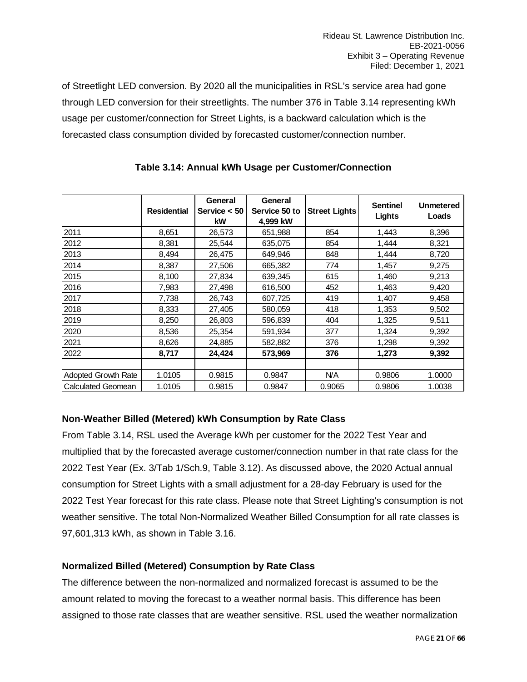of Streetlight LED conversion. By 2020 all the municipalities in RSL's service area had gone through LED conversion for their streetlights. The number 376 in Table 3.14 representing kWh usage per customer/connection for Street Lights, is a backward calculation which is the forecasted class consumption divided by forecasted customer/connection number.

|                            |                    | General        | General       |                      | <b>Sentinel</b> | Unmetered |
|----------------------------|--------------------|----------------|---------------|----------------------|-----------------|-----------|
|                            | <b>Residential</b> | Service $< 50$ | Service 50 to | <b>Street Lights</b> | <b>Lights</b>   | Loads     |
|                            |                    | <b>kW</b>      | 4.999 kW      |                      |                 |           |
| 2011                       | 8,651              | 26,573         | 651,988       | 854                  | 1,443           | 8,396     |
| 2012                       | 8,381              | 25,544         | 635,075       | 854                  | 1,444           | 8,321     |
| 2013                       | 8,494              | 26,475         | 649,946       | 848                  | 1,444           | 8,720     |
| 2014                       | 8,387              | 27,506         | 665,382       | 774                  | 1,457           | 9,275     |
| 2015                       | 8,100              | 27,834         | 639,345       | 615                  | 1,460           | 9,213     |
| 2016                       | 7,983              | 27,498         | 616,500       | 452                  | 1,463           | 9,420     |
| 2017                       | 7,738              | 26,743         | 607,725       | 419                  | 1,407           | 9,458     |
| 2018                       | 8,333              | 27,405         | 580,059       | 418                  | 1,353           | 9,502     |
| 2019                       | 8,250              | 26,803         | 596,839       | 404                  | 1,325           | 9,511     |
| 2020                       | 8,536              | 25,354         | 591,934       | 377                  | 1,324           | 9,392     |
| 2021                       | 8,626              | 24,885         | 582,882       | 376                  | 1,298           | 9,392     |
| 2022                       | 8,717              | 24,424         | 573,969       | 376                  | 1,273           | 9,392     |
|                            |                    |                |               |                      |                 |           |
| <b>Adopted Growth Rate</b> | 1.0105             | 0.9815         | 0.9847        | N/A                  | 0.9806          | 1.0000    |
| <b>Calculated Geomean</b>  | 1.0105             | 0.9815         | 0.9847        | 0.9065               | 0.9806          | 1.0038    |

### **Table 3.14: Annual kWh Usage per Customer/Connection**

### **Non-Weather Billed (Metered) kWh Consumption by Rate Class**

From Table 3.14, RSL used the Average kWh per customer for the 2022 Test Year and multiplied that by the forecasted average customer/connection number in that rate class for the 2022 Test Year (Ex. 3/Tab 1/Sch.9, Table 3.12). As discussed above, the 2020 Actual annual consumption for Street Lights with a small adjustment for a 28-day February is used for the 2022 Test Year forecast for this rate class. Please note that Street Lighting's consumption is not weather sensitive. The total Non-Normalized Weather Billed Consumption for all rate classes is 97,601,313 kWh, as shown in Table 3.16.

### **Normalized Billed (Metered) Consumption by Rate Class**

The difference between the non-normalized and normalized forecast is assumed to be the amount related to moving the forecast to a weather normal basis. This difference has been assigned to those rate classes that are weather sensitive. RSL used the weather normalization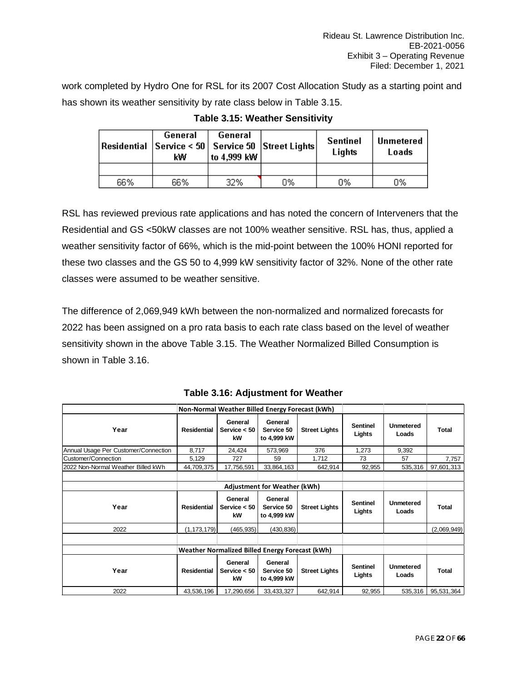work completed by Hydro One for RSL for its 2007 Cost Allocation Study as a starting point and has shown its weather sensitivity by rate class below in Table 3.15.

|     | General<br>General<br>Residential   Service < 50   Service 50   Street Lights  <br>to 4,999 kW<br>kW |     |    | <b>Sentinel</b><br>Lights | Unmetered<br>Loads |  |
|-----|------------------------------------------------------------------------------------------------------|-----|----|---------------------------|--------------------|--|
|     |                                                                                                      |     |    |                           |                    |  |
| 66% | 66%                                                                                                  | 32% | 0% | 0%                        | 0%                 |  |

**Table 3.15: Weather Sensitivity**

RSL has reviewed previous rate applications and has noted the concern of Interveners that the Residential and GS <50kW classes are not 100% weather sensitive. RSL has, thus, applied a weather sensitivity factor of 66%, which is the mid-point between the 100% HONI reported for these two classes and the GS 50 to 4,999 kW sensitivity factor of 32%. None of the other rate classes were assumed to be weather sensitive.

The difference of 2,069,949 kWh between the non-normalized and normalized forecasts for 2022 has been assigned on a pro rata basis to each rate class based on the level of weather sensitivity shown in the above Table 3.15. The Weather Normalized Billed Consumption is shown in Table 3.16.

|                                      |                    | Non-Normal Weather Billed Energy Forecast (kWh) |                                      |                      |                           |                           |              |  |  |  |  |
|--------------------------------------|--------------------|-------------------------------------------------|--------------------------------------|----------------------|---------------------------|---------------------------|--------------|--|--|--|--|
| Year                                 | Residential        | General<br>Service $< 50$<br>kW                 | General<br>Service 50<br>to 4,999 kW | <b>Street Lights</b> | <b>Sentinel</b><br>Lights | <b>Unmetered</b><br>Loads | Total        |  |  |  |  |
| Annual Usage Per Customer/Connection | 8,717              | 24,424                                          | 573,969                              | 376                  | 1,273                     | 9,392                     |              |  |  |  |  |
| Customer/Connection                  | 5,129              | 727                                             | 59                                   | 1,712                | 73                        | 57                        | 7,757        |  |  |  |  |
| 2022 Non-Normal Weather Billed kWh   | 44,709,375         | 17,756,591                                      | 33,864,163                           | 642,914              | 92,955                    | 535,316                   | 97,601,313   |  |  |  |  |
|                                      |                    |                                                 |                                      |                      |                           |                           |              |  |  |  |  |
| <b>Adjustment for Weather (kWh)</b>  |                    |                                                 |                                      |                      |                           |                           |              |  |  |  |  |
| Year                                 | Residential        | General<br>Service $< 50$<br>kW                 | General<br>Service 50<br>to 4,999 kW | <b>Street Lights</b> | <b>Sentinel</b><br>Lights | <b>Unmetered</b><br>Loads | <b>Total</b> |  |  |  |  |
| 2022                                 | (1, 173, 179)      | (465, 935)                                      | (430,836)                            |                      |                           |                           | (2,069,949)  |  |  |  |  |
|                                      |                    |                                                 |                                      |                      |                           |                           |              |  |  |  |  |
|                                      |                    | Weather Normalized Billed Energy Forecast (kWh) |                                      |                      |                           |                           |              |  |  |  |  |
| Year                                 | <b>Residential</b> | General<br>Service $< 50$<br>kW                 | General<br>Service 50<br>to 4,999 kW | <b>Street Lights</b> | <b>Sentinel</b><br>Lights | Unmetered<br>Loads        | Total        |  |  |  |  |
| 2022                                 | 43,536,196         | 17,290,656                                      | 33,433,327                           | 642,914              | 92,955                    | 535,316                   | 95,531,364   |  |  |  |  |

**Table 3.16: Adjustment for Weather**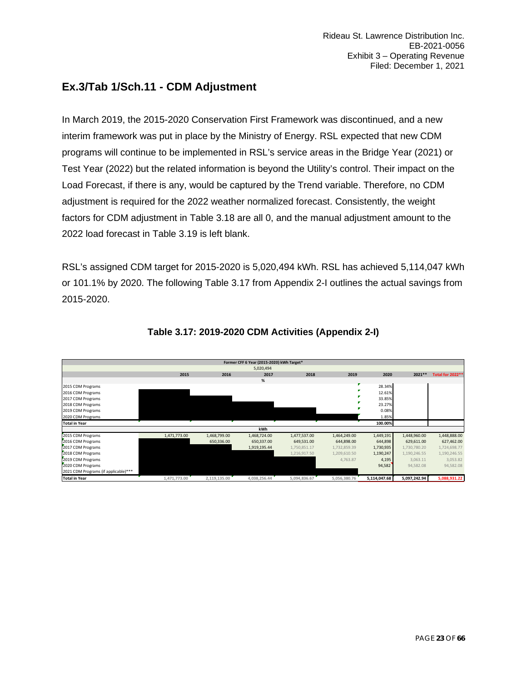### <span id="page-22-0"></span>**Ex.3/Tab 1/Sch.11 - CDM Adjustment**

In March 2019, the 2015-2020 Conservation First Framework was discontinued, and a new interim framework was put in place by the Ministry of Energy. RSL expected that new CDM programs will continue to be implemented in RSL's service areas in the Bridge Year (2021) or Test Year (2022) but the related information is beyond the Utility's control. Their impact on the Load Forecast, if there is any, would be captured by the Trend variable. Therefore, no CDM adjustment is required for the 2022 weather normalized forecast. Consistently, the weight factors for CDM adjustment in Table 3.18 are all 0, and the manual adjustment amount to the 2022 load forecast in Table 3.19 is left blank.

RSL's assigned CDM target for 2015-2020 is 5,020,494 kWh. RSL has achieved 5,114,047 kWh or 101.1% by 2020. The following Table 3.17 from Appendix 2-I outlines the actual savings from 2015-2020.

|                                      |              |              | Former CFF 6 Year (2015-2020) kWh Target* |              |              |              |              |                         |
|--------------------------------------|--------------|--------------|-------------------------------------------|--------------|--------------|--------------|--------------|-------------------------|
|                                      |              |              | 5,020,494                                 |              |              |              |              |                         |
|                                      | 2015         | 2016         | 2017                                      | 2018         | 2019         | 2020         | 2021 **      | <b>Total for 2022**</b> |
|                                      |              |              | %                                         |              |              |              |              |                         |
| 2015 CDM Programs                    |              |              |                                           |              |              | 28.34%       |              |                         |
| 2016 CDM Programs                    |              |              |                                           |              |              | 12.61%       |              |                         |
| 2017 CDM Programs                    |              |              |                                           |              |              | 33.85%       |              |                         |
| 2018 CDM Programs                    |              |              |                                           |              |              | 23.27%       |              |                         |
| 2019 CDM Programs                    |              |              |                                           |              |              | 0.08%        |              |                         |
| 2020 CDM Programs                    |              |              |                                           |              |              | 1.85%        |              |                         |
| <b>Total in Year</b>                 |              |              |                                           |              |              | 100.00%      |              |                         |
|                                      |              |              | kWh                                       |              |              |              |              |                         |
| 2015 CDM Programs                    | 1,471,773.00 | 1,468,799.00 | 1,468,724.00                              | 1,477,537.00 | 1,464,249.00 | 1,449,191    | 1,448,960.00 | 1,448,888.00            |
| 2016 CDM Programs                    |              | 650,336.00   | 650,337.00                                | 649,531.00   | 644,898.00   | 644,898      | 629,611.00   | 627,462.00              |
| 2017 CDM Programs                    |              |              | 1,919,195.44                              | 1,750,851.17 | 1,732,859.39 | 1,730,935    | 1,730,780.20 | 1,724,698.77            |
| 2018 CDM Programs                    |              |              |                                           | 1,216,917.50 | 1,209,610.50 | 1,190,247    | 1,190,246.55 | 1,190,246.55            |
| 2019 CDM Programs                    |              |              |                                           |              | 4,763.87     | 4,195        | 3,063.11     | 3,053.82                |
| 2020 CDM Programs                    |              |              |                                           |              |              | 94,582       | 94,582.08    | 94,582.08               |
| 2021 CDM Programs (if applicable)*** |              |              |                                           |              |              |              |              |                         |
| <b>Total in Year</b>                 | 1,471,773.00 | 2,119,135.00 | 4,038,256.44                              | 5,094,836.67 | 5,056,380.76 | 5,114,047.68 | 5,097,242.94 | 5,088,931.22            |

### **Table 3.17: 2019-2020 CDM Activities (Appendix 2-I)**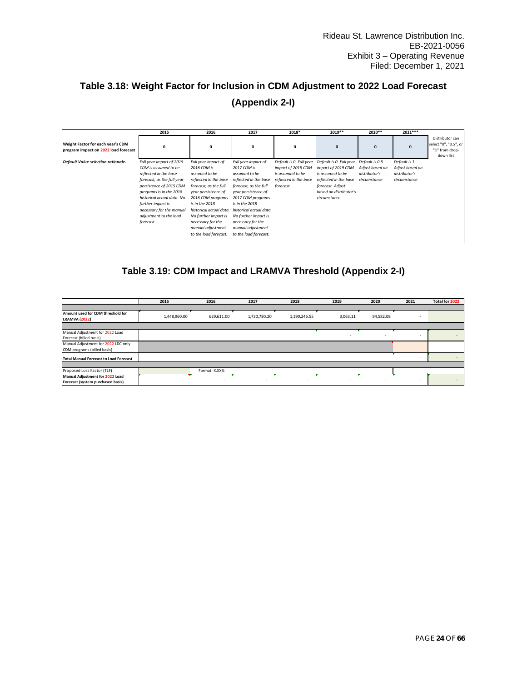### **Table 3.18: Weight Factor for Inclusion in CDM Adjustment to 2022 Load Forecast (Appendix 2-I)**

|                                                                           | 2015                       | 2016                    | 2017                    | 2018*                   | 2019**                  | 2020**          | 2021***         |                                                                         |
|---------------------------------------------------------------------------|----------------------------|-------------------------|-------------------------|-------------------------|-------------------------|-----------------|-----------------|-------------------------------------------------------------------------|
| Weight Factor for each year's CDM<br>program impact on 2022 load forecast | 0                          | $\Omega$                | 0                       | 0                       | $\mathbf{0}$            | $\mathbf{0}$    | $\mathbf{0}$    | Distributor can<br>select "0", "0.5", or<br>"1" from drop-<br>down list |
| Default Value selection rationale.                                        | Full year impact of 2015   | Full year impact of     | Full year impact of     | Default is 0. Full year | Default is 0. Full year | Default is 0.5. | Default is 1.   |                                                                         |
|                                                                           | CDM is assumed to be       | 2016 CDM is             | 2017 CDM is             | impact of 2018 CDM      | impact of 2019 CDM      | Adjust based on | Adjust based on |                                                                         |
|                                                                           | reflected in the base      | assumed to be           | assumed to be           | is assumed to be        | is assumed to be        | distributor's   | distributor's   |                                                                         |
|                                                                           | forecast, as the full year | reflected in the base   | reflected in the base   | reflected in the base   | reflected in the base   | circumstance    | circumstance    |                                                                         |
|                                                                           | persistence of 2015 CDM    | forecast, as the full   | forecast, as the full   | forecast.               | forecast. Adjust        |                 |                 |                                                                         |
|                                                                           | programs is in the 2018    | year persistence of     | year persistence of     |                         | based on distributor's  |                 |                 |                                                                         |
|                                                                           | historical actual data. No | 2016 CDM programs       | 2017 CDM programs       |                         | circumstance            |                 |                 |                                                                         |
|                                                                           | further impact is          | is in the 2018          | is in the 2018          |                         |                         |                 |                 |                                                                         |
|                                                                           | necessary for the manual   | historical actual data. | historical actual data. |                         |                         |                 |                 |                                                                         |
|                                                                           | adjustment to the load     | No further impact is    | No further impact is    |                         |                         |                 |                 |                                                                         |
|                                                                           | forecast.                  | necessary for the       | necessary for the       |                         |                         |                 |                 |                                                                         |
|                                                                           |                            | manual adjustment       | manual adjustment       |                         |                         |                 |                 |                                                                         |
|                                                                           |                            | to the load forecast.   | to the load forecast.   |                         |                         |                 |                 |                                                                         |
|                                                                           |                            |                         |                         |                         |                         |                 |                 |                                                                         |

### **Table 3.19: CDM Impact and LRAMVA Threshold (Appendix 2-I)**

|                                                           | 2015         | 2016          | 2017         | 2018         | 2019     | 2020      | 2021   | Total for 2022 |
|-----------------------------------------------------------|--------------|---------------|--------------|--------------|----------|-----------|--------|----------------|
|                                                           |              |               |              |              |          |           |        |                |
| Amount used for CDM threshold for<br><b>LRAMVA (2022)</b> | 1,448,960.00 | 629,611.00    | 1,730,780.20 | 1,190,246.55 | 3,063.11 | 94,582.08 | ٠      |                |
|                                                           |              |               |              |              |          |           |        |                |
| Manual Adjustment for 2022 Load                           |              |               |              |              | $\sim$   |           | $\sim$ |                |
| Forecast (billed basis)                                   |              |               |              |              |          |           |        |                |
| Manual Adjustment for 2022 LDC-only                       |              |               |              |              |          |           |        |                |
| CDM programs (billed basis)                               |              |               |              |              |          |           |        |                |
| <b>Total Manual Forecast to Load Forecast</b>             |              |               |              |              |          |           |        | $\sim$         |
|                                                           |              |               |              |              |          |           |        |                |
| Proposed Loss Factor (TLF)                                |              | Format: X.XX% | ٠            |              |          |           |        |                |
| Manual Adjustment for 2022 Load                           |              | ۰             | $\sim$       |              | $\sim$   |           |        | $\sim$         |
| Forecast (system purchased basis)                         |              |               |              |              |          |           |        |                |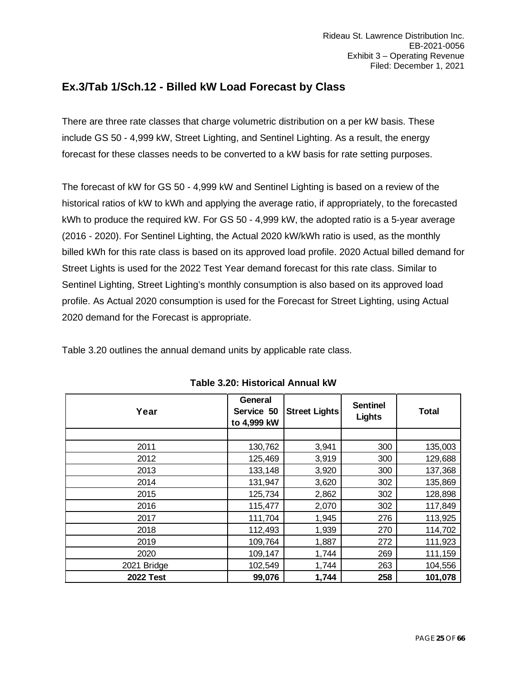### <span id="page-24-0"></span>**Ex.3/Tab 1/Sch.12 - Billed kW Load Forecast by Class**

There are three rate classes that charge volumetric distribution on a per kW basis. These include GS 50 - 4,999 kW, Street Lighting, and Sentinel Lighting. As a result, the energy forecast for these classes needs to be converted to a kW basis for rate setting purposes.

The forecast of kW for GS 50 - 4,999 kW and Sentinel Lighting is based on a review of the historical ratios of kW to kWh and applying the average ratio, if appropriately, to the forecasted kWh to produce the required kW. For GS 50 - 4,999 kW, the adopted ratio is a 5-year average (2016 - 2020). For Sentinel Lighting, the Actual 2020 kW/kWh ratio is used, as the monthly billed kWh for this rate class is based on its approved load profile. 2020 Actual billed demand for Street Lights is used for the 2022 Test Year demand forecast for this rate class. Similar to Sentinel Lighting, Street Lighting's monthly consumption is also based on its approved load profile. As Actual 2020 consumption is used for the Forecast for Street Lighting, using Actual 2020 demand for the Forecast is appropriate.

Table 3.20 outlines the annual demand units by applicable rate class.

| Year             | General<br>Service 50<br>to 4,999 kW | <b>Street Lights</b> | <b>Sentinel</b><br>Lights | <b>Total</b> |
|------------------|--------------------------------------|----------------------|---------------------------|--------------|
|                  |                                      |                      |                           |              |
| 2011             | 130,762                              | 3,941                | 300                       | 135,003      |
| 2012             | 125,469                              | 3,919                | 300                       | 129,688      |
| 2013             | 133,148                              | 3,920                | 300                       | 137,368      |
| 2014             | 131,947                              | 3,620                | 302                       | 135,869      |
| 2015             | 125,734                              | 2,862                | 302                       | 128,898      |
| 2016             | 115,477                              | 2,070                | 302                       | 117,849      |
| 2017             | 111,704                              | 1,945                | 276                       | 113,925      |
| 2018             | 112,493                              | 1,939                | 270                       | 114,702      |
| 2019             | 109,764                              | 1,887                | 272                       | 111,923      |
| 2020             | 109,147                              | 1,744                | 269                       | 111,159      |
| 2021 Bridge      | 102,549                              | 1,744                | 263                       | 104,556      |
| <b>2022 Test</b> | 99,076                               | 1,744                | 258                       | 101,078      |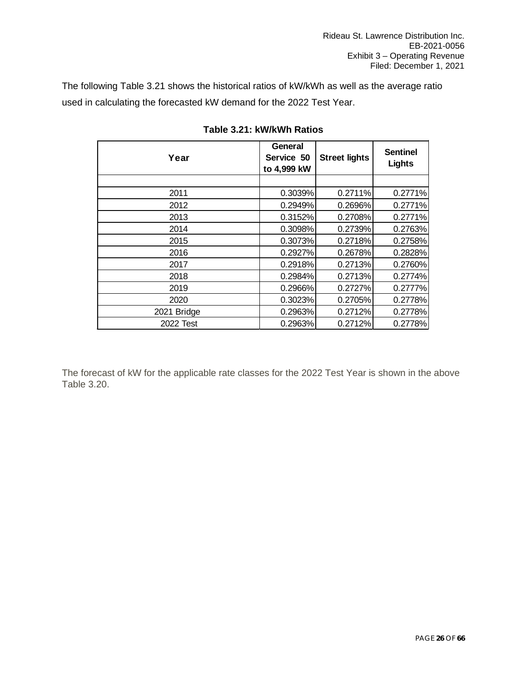The following Table 3.21 shows the historical ratios of kW/kWh as well as the average ratio used in calculating the forecasted kW demand for the 2022 Test Year.

| Year        | General<br>Service 50<br>to 4,999 kW | <b>Street lights</b> | <b>Sentinel</b><br>Lights |
|-------------|--------------------------------------|----------------------|---------------------------|
|             |                                      |                      |                           |
| 2011        | 0.3039%                              | 0.2711%              | 0.2771%                   |
| 2012        | 0.2949%                              | 0.2696%              | 0.2771%                   |
| 2013        | 0.3152%                              | 0.2708%              | 0.2771%                   |
| 2014        | 0.3098%                              | 0.2739%              | 0.2763%                   |
| 2015        | 0.3073%                              | 0.2718%              | 0.2758%                   |
| 2016        | 0.2927%                              | 0.2678%              | 0.2828%                   |
| 2017        | 0.2918%                              | 0.2713%              | 0.2760%                   |
| 2018        | 0.2984%                              | 0.2713%              | 0.2774%                   |
| 2019        | 0.2966%                              | 0.2727%              | 0.2777%                   |
| 2020        | 0.3023%                              | 0.2705%              | 0.2778%                   |
| 2021 Bridge | 0.2963%                              | 0.2712%              | 0.2778%                   |
| 2022 Test   | 0.2963%                              | 0.2712%              | 0.2778%                   |

**Table 3.21: kW/kWh Ratios**

The forecast of kW for the applicable rate classes for the 2022 Test Year is shown in the above Table 3.20.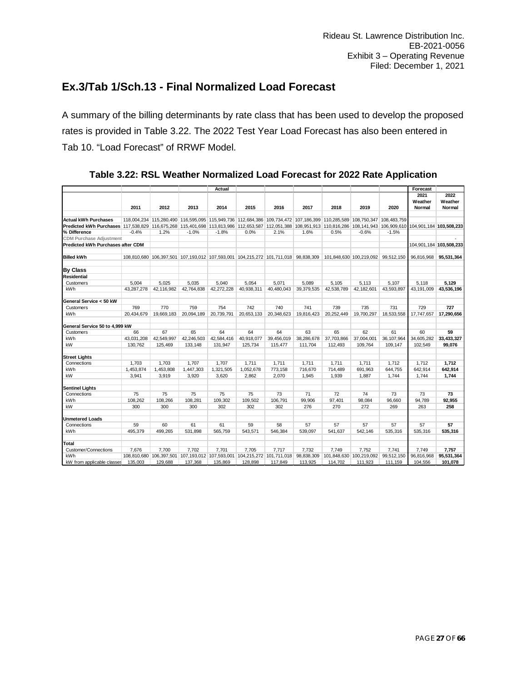### <span id="page-26-0"></span>**Ex.3/Tab 1/Sch.13 - Final Normalized Load Forecast**

A summary of the billing determinants by rate class that has been used to develop the proposed rates is provided in Table 3.22. The 2022 Test Year Load Forecast has also been entered in Tab 10. "Load Forecast" of RRWF Model.

|                                                                                                                                                                         |            |                                                                                                                         |            | Actual                  |            |                                    |            |            |                                    |            | Forecast   |                         |
|-------------------------------------------------------------------------------------------------------------------------------------------------------------------------|------------|-------------------------------------------------------------------------------------------------------------------------|------------|-------------------------|------------|------------------------------------|------------|------------|------------------------------------|------------|------------|-------------------------|
|                                                                                                                                                                         |            |                                                                                                                         |            |                         |            |                                    |            |            |                                    |            | 2021       | 2022                    |
|                                                                                                                                                                         |            |                                                                                                                         |            |                         |            |                                    |            |            |                                    |            | Weather    | Weather                 |
|                                                                                                                                                                         | 2011       | 2012                                                                                                                    | 2013       | 2014                    | 2015       | 2016                               | 2017       | 2018       | 2019                               | 2020       | Normal     | Normal                  |
| <b>Actual kWh Purchases</b>                                                                                                                                             |            | 118,004,234 115,280,490 116,595,095 115,949,736 112,684,386 109,734,472 107,186,399 110,285,589 108,750,347 108,483,759 |            |                         |            |                                    |            |            |                                    |            |            |                         |
| Predicted kWh Purchases 117,538,829 116,675,268 115,401,698 113,813,986 112,653,587 112,051,388 108,951,913 110,816,286 108,141,943 106,909,610 104,901,184 103,508,233 |            |                                                                                                                         |            |                         |            |                                    |            |            |                                    |            |            |                         |
| % Difference                                                                                                                                                            | $-0.4%$    | 1.2%                                                                                                                    | $-1.0%$    | $-1.8%$                 | 0.0%       | 2.1%                               | 1.6%       | 0.5%       | $-0.6%$                            | $-1.5%$    |            |                         |
| <b>CDM Purchase Adjustment</b>                                                                                                                                          |            |                                                                                                                         |            |                         |            |                                    |            |            |                                    |            |            |                         |
| Predicted kWh Purchases after CDM                                                                                                                                       |            |                                                                                                                         |            |                         |            |                                    |            |            |                                    |            |            | 104,901,184 103,508,233 |
|                                                                                                                                                                         |            |                                                                                                                         |            |                         |            |                                    |            |            |                                    |            |            |                         |
| <b>Billed kWh</b>                                                                                                                                                       |            | 108,810,680 106,397,501 107,193,012 107,593,001 104,215,272 101,711,018 98,838,309                                      |            |                         |            |                                    |            |            | 101,848,630 100,219,092 99,512,150 |            | 96,816,968 | 95.531.364              |
| <b>By Class</b>                                                                                                                                                         |            |                                                                                                                         |            |                         |            |                                    |            |            |                                    |            |            |                         |
| <b>Residential</b>                                                                                                                                                      |            |                                                                                                                         |            |                         |            |                                    |            |            |                                    |            |            |                         |
| Customers                                                                                                                                                               | 5.004      | 5.025                                                                                                                   | 5.035      | 5.040                   | 5.054      | 5.071                              | 5.089      | 5.105      | 5.113                              | 5.107      | 5.118      | 5.129                   |
| <b>kWh</b>                                                                                                                                                              | 43.287.278 | 42.116.982                                                                                                              | 42.764.838 | 42,272,228              | 40.938.311 | 40.480.043                         | 39.379.535 | 42.538.789 | 42.182.601                         | 43.593.897 | 43.191.009 | 43,536,196              |
| General Service < 50 kW                                                                                                                                                 |            |                                                                                                                         |            |                         |            |                                    |            |            |                                    |            |            |                         |
| Customers                                                                                                                                                               | 769        | 770                                                                                                                     | 759        | 754                     | 742        | 740                                | 741        | 739        | 735                                | 731        | 729        | 727                     |
| kWh                                                                                                                                                                     | 20.434.679 | 19.669.183                                                                                                              | 20,094,189 | 20,739,791              | 20,653,133 | 20,348,623                         | 19,816,423 | 20.252.449 | 19,700,297                         | 18,533,558 | 17.747.657 | 17,290,656              |
| General Service 50 to 4,999 kW                                                                                                                                          |            |                                                                                                                         |            |                         |            |                                    |            |            |                                    |            |            |                         |
| Customers                                                                                                                                                               | 66         | 67                                                                                                                      | 65         | 64                      | 64         | 64                                 | 63         | 65         | 62                                 | 61         | 60         | 59                      |
| <b>kWh</b>                                                                                                                                                              | 43,031,208 | 42,549,997                                                                                                              | 42,246,503 | 42,584,416              | 40,918,077 | 39,456,019                         | 38,286,678 | 37,703,866 | 37,004,001                         | 36,107,964 | 34,605,282 | 33,433,327              |
| kW                                                                                                                                                                      | 130,762    | 125,469                                                                                                                 | 133,148    | 131,947                 | 125,734    | 115,477                            | 111,704    | 112,493    | 109,764                            | 109,147    | 102,549    | 99,076                  |
| <b>Street Lights</b>                                                                                                                                                    |            |                                                                                                                         |            |                         |            |                                    |            |            |                                    |            |            |                         |
| Connections                                                                                                                                                             | 1,703      | 1,703                                                                                                                   | 1,707      | 1,707                   | 1,711      | 1,711                              | 1,711      | 1,711      | 1,711                              | 1,712      | 1,712      | 1,712                   |
| kWh                                                                                                                                                                     | 1,453,874  | 1,453,808                                                                                                               | 1,447,303  | 1,321,505               | 1,052,678  | 773,158                            | 716,670    | 714,489    | 691,963                            | 644,755    | 642,914    | 642,914                 |
| kW                                                                                                                                                                      | 3.941      | 3.919                                                                                                                   | 3.920      | 3.620                   | 2.862      | 2,070                              | 1.945      | 1.939      | 1.887                              | 1,744      | 1,744      | 1,744                   |
| <b>Sentinel Lights</b>                                                                                                                                                  |            |                                                                                                                         |            |                         |            |                                    |            |            |                                    |            |            |                         |
| Connections                                                                                                                                                             | 75         | 75                                                                                                                      | 75         | 75                      | 75         | 73                                 | 71         | 72         | 74                                 | 73         | 73         | 73                      |
| kWh                                                                                                                                                                     | 108.262    | 108.266                                                                                                                 | 108.281    | 109.302                 | 109.502    | 106.791                            | 99.906     | 97,401     | 98,084                             | 96.660     | 94.789     | 92,955                  |
| kW                                                                                                                                                                      | 300        | 300                                                                                                                     | 300        | 302                     | 302        | 302                                | 276        | 270        | 272                                | 269        | 263        | 258                     |
| <b>Unmetered Loads</b>                                                                                                                                                  |            |                                                                                                                         |            |                         |            |                                    |            |            |                                    |            |            |                         |
| Connections                                                                                                                                                             | 59         | 60                                                                                                                      | 61         | 61                      | 59         | 58                                 | 57         | 57         | 57                                 | 57         | 57         | 57                      |
| kWh                                                                                                                                                                     | 495.379    | 499.265                                                                                                                 | 531.898    | 565.759                 | 543.571    | 546.384                            | 539.097    | 541.637    | 542.146                            | 535.316    | 535.316    | 535,316                 |
| Total                                                                                                                                                                   |            |                                                                                                                         |            |                         |            |                                    |            |            |                                    |            |            |                         |
| Customer/Connections                                                                                                                                                    | 7.676      | 7.700                                                                                                                   | 7.702      | 7.701                   | 7.705      | 7.717                              | 7.732      | 7.749      | 7.752                              | 7.741      | 7.749      | 7.757                   |
| kWh                                                                                                                                                                     |            | 108,810,680 106,397,501                                                                                                 |            | 107,193,012 107,593,001 |            | 104,215,272 101,711,018 98,838,309 |            |            | 101,848,630 100,219,092            | 99,512,150 | 96,816,968 | 95,531,364              |
| kW from applicable classes                                                                                                                                              | 135,003    | 129,688                                                                                                                 | 137,368    | 135,869                 | 128,898    | 117,849                            | 113,925    | 114,702    | 111,923                            | 111,159    | 104,556    | 101,078                 |

### **Table 3.22: RSL Weather Normalized Load Forecast for 2022 Rate Application**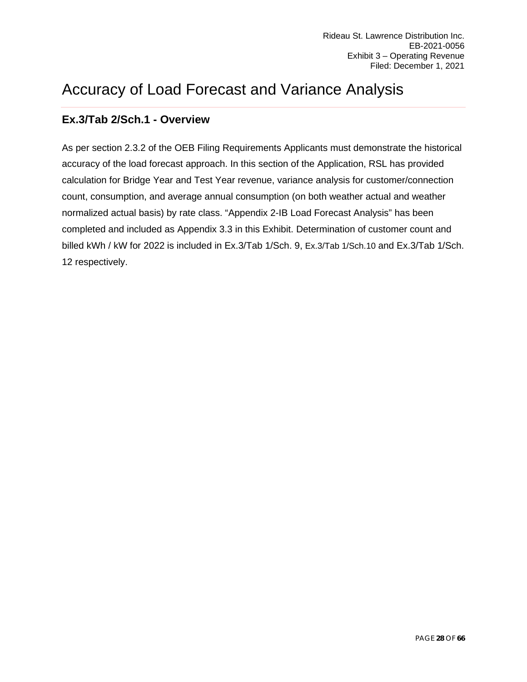# <span id="page-27-0"></span>Accuracy of Load Forecast and Variance Analysis

### <span id="page-27-1"></span>**Ex.3/Tab 2/Sch.1 - Overview**

As per section 2.3.2 of the OEB Filing Requirements Applicants must demonstrate the historical accuracy of the load forecast approach. In this section of the Application, RSL has provided calculation for Bridge Year and Test Year revenue, variance analysis for customer/connection count, consumption, and average annual consumption (on both weather actual and weather normalized actual basis) by rate class. "Appendix 2-IB Load Forecast Analysis" has been completed and included as Appendix 3.3 in this Exhibit. Determination of customer count and billed kWh / kW for 2022 is included in Ex.3/Tab 1/Sch. 9, Ex.3/Tab 1/Sch.10 and Ex.3/Tab 1/Sch. 12 respectively.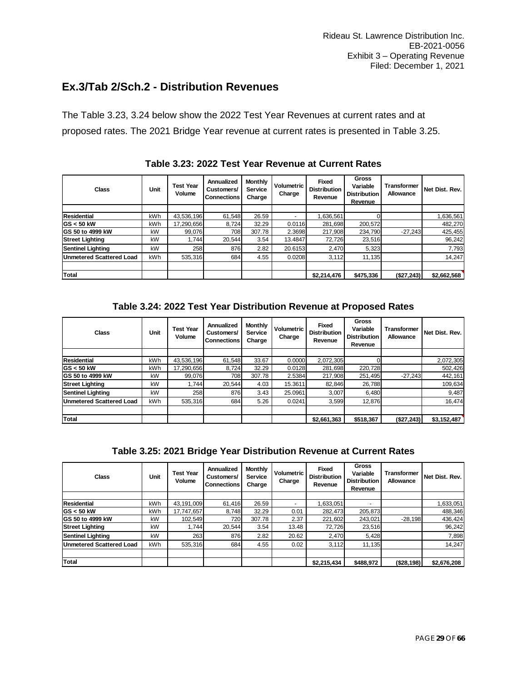### <span id="page-28-0"></span>**Ex.3/Tab 2/Sch.2 - Distribution Revenues**

The Table 3.23, 3.24 below show the 2022 Test Year Revenues at current rates and at proposed rates. The 2021 Bridge Year revenue at current rates is presented in Table 3.25.

| Class                    | Unit       | <b>Test Year</b><br>Volume | <b>Annualized</b><br>Customers/<br><b>Connections</b> | <b>Monthly</b><br><b>Service</b><br>Charge | Volumetric<br>Charge | <b>Fixed</b><br><b>Distribution</b><br>Revenue | Gross<br>Variable<br><b>Distribution</b><br>Revenue | <b>Transformer</b><br>Allowance | Net Dist. Rev. |
|--------------------------|------------|----------------------------|-------------------------------------------------------|--------------------------------------------|----------------------|------------------------------------------------|-----------------------------------------------------|---------------------------------|----------------|
|                          |            |                            |                                                       |                                            |                      |                                                |                                                     |                                 |                |
| Residential              | kWh        | 43,536,196                 | 61.548                                                | 26.59                                      |                      | .636.561                                       |                                                     |                                 | 1,636,561      |
| $ GS  < 50$ kW           | <b>kWh</b> | 17.290.656                 | 8.724                                                 | 32.29                                      | 0.0116               | 281.698                                        | 200,572                                             |                                 | 482,270        |
| <b>IGS 50 to 4999 kW</b> | kW         | 99.076                     | 708                                                   | 307.78                                     | 2.3698               | 217.908                                        | 234,790                                             | $-27,243$                       | 425,455        |
| <b>Street Lighting</b>   | kW         | 1.744                      | 20.544                                                | 3.54                                       | 13.4847              | 72,726                                         | 23,516                                              |                                 | 96,242         |
| <b>Sentinel Lighting</b> | kW         | 258                        | 876                                                   | 2.82                                       | 20.6153              | 2,470                                          | 5,323                                               |                                 | 7,793          |
| Unmetered Scattered Load | <b>kWh</b> | 535.316                    | 684                                                   | 4.55                                       | 0.0208               | 3.112                                          | 11.135                                              |                                 | 14,247         |
|                          |            |                            |                                                       |                                            |                      |                                                |                                                     |                                 |                |
| Total                    |            |                            |                                                       |                                            |                      | \$2,214,476                                    | \$475,336                                           | (\$27,243)                      | \$2,662,568    |

**Table 3.23: 2022 Test Year Revenue at Current Rates**

### **Table 3.24: 2022 Test Year Distribution Revenue at Proposed Rates**

| Class                           | Unit       | Test Year<br>Volume | Annualized<br>Customers/<br><b>Connections</b> | <b>Monthly</b><br>Service<br>Charge | <b>Volumetric</b><br>Charge | <b>Fixed</b><br><b>Distribution</b><br>Revenue | <b>Gross</b><br>Variable<br><b>Distribution</b><br>Revenue | <b>Transformer</b><br>Allowance | Net Dist. Rev. |
|---------------------------------|------------|---------------------|------------------------------------------------|-------------------------------------|-----------------------------|------------------------------------------------|------------------------------------------------------------|---------------------------------|----------------|
|                                 |            |                     |                                                |                                     |                             |                                                |                                                            |                                 |                |
| Residential                     | <b>kWh</b> | 43,536,196          | 61.548                                         | 33.67                               | 0.0000                      | 2,072,305                                      |                                                            |                                 | 2,072,305      |
| $GS < 50$ kW                    | <b>kWh</b> | 17,290,656          | 8.724                                          | 32.29                               | 0.0128                      | 281.698                                        | 220.728                                                    |                                 | 502,426        |
| <b>GS 50 to 4999 kW</b>         | kW         | 99.076              | 708                                            | 307.78                              | 2.5384                      | 217.908                                        | 251.495                                                    | $-27.243$                       | 442,161        |
| Street Lighting                 | kW         | .744                | 20.544                                         | 4.03                                | 15.3611                     | 82.846                                         | 26,788                                                     |                                 | 109,634        |
| <b>Sentinel Lighting</b>        | kW         | 258                 | 876                                            | 3.43                                | 25.0961                     | 3,007                                          | 6,480                                                      |                                 | 9,487          |
| <b>Unmetered Scattered Load</b> | kWh        | 535.316             | 684                                            | 5.26                                | 0.0241                      | 3,599                                          | 12.876                                                     |                                 | 16,474         |
|                                 |            |                     |                                                |                                     |                             |                                                |                                                            |                                 |                |
| <b>Total</b>                    |            |                     |                                                |                                     |                             | \$2,661,363                                    | \$518,367                                                  | (\$27,243)                      | \$3,152,487    |

|  |  | Table 3.25: 2021 Bridge Year Distribution Revenue at Current Rates |
|--|--|--------------------------------------------------------------------|
|--|--|--------------------------------------------------------------------|

| Class                    | Unit       | <b>Test Year</b><br>Volume | Annualized<br>Customers/<br><b>Connections</b> | Monthly<br><b>Service</b><br>Charge | Volumetric<br>Charge | <b>Fixed</b><br><b>Distribution</b><br>Revenue | Gross<br>Variable<br><b>Distribution</b><br>Revenue | <b>Transformer</b><br>Allowance | Net Dist. Rev. |
|--------------------------|------------|----------------------------|------------------------------------------------|-------------------------------------|----------------------|------------------------------------------------|-----------------------------------------------------|---------------------------------|----------------|
|                          |            |                            |                                                |                                     |                      |                                                |                                                     |                                 |                |
| <b>Residential</b>       | <b>kWh</b> | 43,191,009                 | 61.416                                         | 26.59                               |                      | 1,633,051                                      |                                                     |                                 | 1,633,051      |
| <b>IGS &lt; 50 kW</b>    | kWh        | 17,747,657                 | 8.748                                          | 32.29                               | 0.01                 | 282,473                                        | 205,873                                             |                                 | 488,346        |
| GS 50 to 4999 kW         | kW         | 102.549                    | 720                                            | 307.78                              | 2.37                 | 221,602                                        | 243,021                                             | $-28.198$                       | 436,424        |
| <b>Street Lighting</b>   | kW         | 1.744                      | 20.544                                         | 3.54                                | 13.48                | 72,726                                         | 23,516                                              |                                 | 96,242         |
| <b>Sentinel Lighting</b> | kW         | 263                        | 876                                            | 2.82                                | 20.62                | 2,470                                          | 5,428                                               |                                 | 7,898          |
| Unmetered Scattered Load | <b>kWh</b> | 535.316                    | 684                                            | 4.55                                | 0.02                 | 3.112                                          | 11.135                                              |                                 | 14.247         |
|                          |            |                            |                                                |                                     |                      |                                                |                                                     |                                 |                |
| <b>Total</b>             |            |                            |                                                |                                     |                      | \$2,215,434                                    | \$488,972                                           | ( \$28, 198)                    | \$2,676,208    |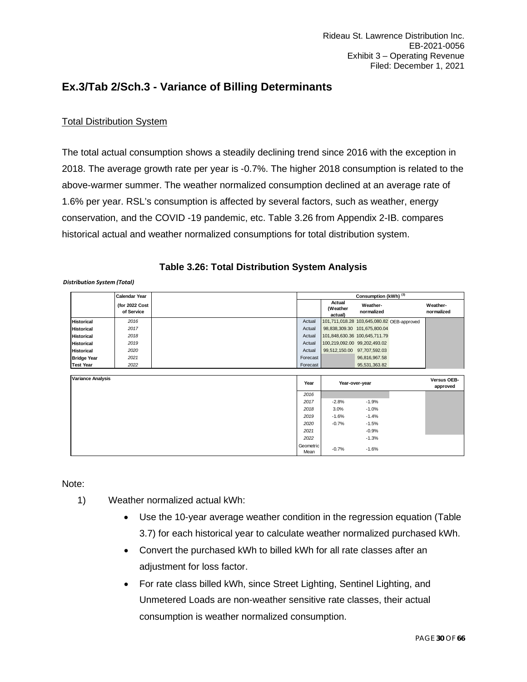### <span id="page-29-0"></span>**Ex.3/Tab 2/Sch.3 - Variance of Billing Determinants**

### Total Distribution System

The total actual consumption shows a steadily declining trend since 2016 with the exception in 2018. The average growth rate per year is -0.7%. The higher 2018 consumption is related to the above-warmer summer. The weather normalized consumption declined at an average rate of 1.6% per year. RSL's consumption is affected by several factors, such as weather, energy conservation, and the COVID -19 pandemic, etc. Table 3.26 from Appendix 2-IB. compares historical actual and weather normalized consumptions for total distribution system.

*Distribution System (Total)*

|                    | <b>Calendar Year</b>         | Consumption (kWh) <sup>(3)</sup> |                                            |                        |  |                        |  |  |
|--------------------|------------------------------|----------------------------------|--------------------------------------------|------------------------|--|------------------------|--|--|
|                    | (for 2022 Cost<br>of Service |                                  | Actual<br>(Weather<br>actual)              | Weather-<br>normalized |  | Weather-<br>normalized |  |  |
| <b>Historical</b>  | 2016                         | Actual                           | 101,711,018.28 103,645,080.82 OEB-approved |                        |  |                        |  |  |
| <b>Historical</b>  | 2017                         | Actual                           | 98,838,309.30 101,675,800.04               |                        |  |                        |  |  |
| <b>Historical</b>  | 2018                         | Actual                           | 101,848,630.36 100,645,711.79              |                        |  |                        |  |  |
| <b>Historical</b>  | 2019                         | Actual                           | 100,219,092.00 99,202,493.02               |                        |  |                        |  |  |
| <b>Historical</b>  | 2020                         | Actual                           | 99,512,150.00 97,707,592.03                |                        |  |                        |  |  |
| <b>Bridge Year</b> | 2021                         | Forecast                         |                                            | 96.816.967.58          |  |                        |  |  |
| <b>Test Year</b>   | 2022                         | Forecast                         |                                            | 95,531,363.82          |  |                        |  |  |
|                    |                              |                                  |                                            |                        |  |                        |  |  |

| <b>Variance Analysis</b> | Year              |         | Year-over-year | Versus OEB-<br>approved |
|--------------------------|-------------------|---------|----------------|-------------------------|
|                          | 2016              |         |                |                         |
|                          | 2017              | $-2.8%$ | $-1.9%$        |                         |
|                          | 2018              | 3.0%    | $-1.0%$        |                         |
|                          | 2019              | $-1.6%$ | $-1.4%$        |                         |
|                          | 2020              | $-0.7%$ | $-1.5%$        |                         |
|                          | 2021              |         | $-0.9%$        |                         |
|                          | 2022              |         | $-1.3%$        |                         |
|                          | Geometric<br>Mean | $-0.7%$ | $-1.6%$        |                         |

Note:

- 1) Weather normalized actual kWh:
	- Use the 10-year average weather condition in the regression equation (Table 3.7) for each historical year to calculate weather normalized purchased kWh.
	- Convert the purchased kWh to billed kWh for all rate classes after an adjustment for loss factor.
	- For rate class billed kWh, since Street Lighting, Sentinel Lighting, and Unmetered Loads are non-weather sensitive rate classes, their actual consumption is weather normalized consumption.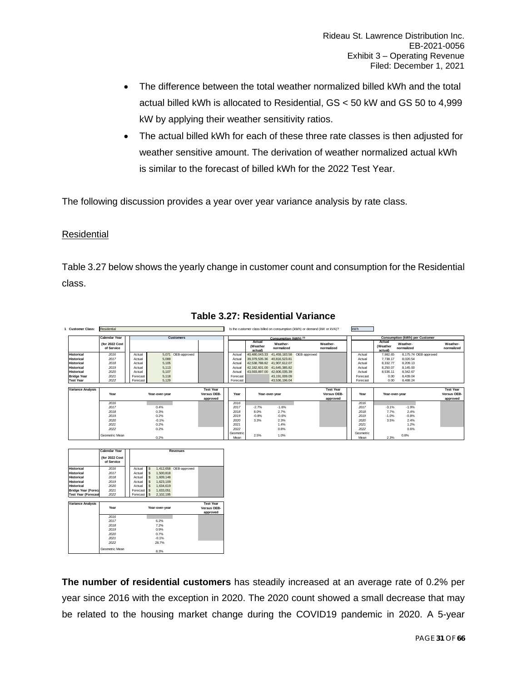- The difference between the total weather normalized billed kWh and the total actual billed kWh is allocated to Residential, GS < 50 kW and GS 50 to 4,999 kW by applying their weather sensitivity ratios.
- The actual billed kWh for each of these three rate classes is then adjusted for weather sensitive amount. The derivation of weather normalized actual kWh is similar to the forecast of billed kWh for the 2022 Test Year.

The following discussion provides a year over year variance analysis by rate class.

#### Residential

Geometric Mean 8.3%

Table 3.27 below shows the yearly change in customer count and consumption for the Residential class.



#### **Table 3.27: Residential Variance**

**The number of residential customers** has steadily increased at an average rate of 0.2% per year since 2016 with the exception in 2020. The 2020 count showed a small decrease that may be related to the housing market change during the COVID19 pandemic in 2020. A 5-year

 6.2% *2017 2017* 7.2% *2018 2018* 0.9% *2019 2019* 0.7% *2020 2020* -0.1% *2021 2021* 28.7% *2022 2022*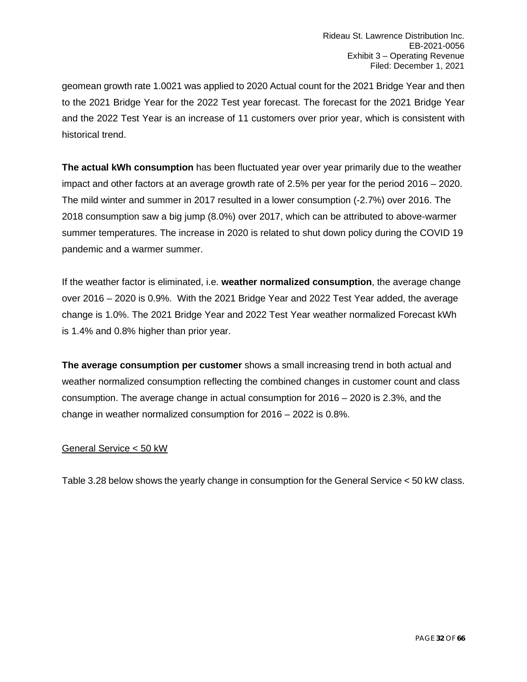geomean growth rate 1.0021 was applied to 2020 Actual count for the 2021 Bridge Year and then to the 2021 Bridge Year for the 2022 Test year forecast. The forecast for the 2021 Bridge Year and the 2022 Test Year is an increase of 11 customers over prior year, which is consistent with historical trend.

**The actual kWh consumption** has been fluctuated year over year primarily due to the weather impact and other factors at an average growth rate of 2.5% per year for the period 2016 – 2020. The mild winter and summer in 2017 resulted in a lower consumption (-2.7%) over 2016. The 2018 consumption saw a big jump (8.0%) over 2017, which can be attributed to above-warmer summer temperatures. The increase in 2020 is related to shut down policy during the COVID 19 pandemic and a warmer summer.

If the weather factor is eliminated, i.e. **weather normalized consumption**, the average change over 2016 – 2020 is 0.9%. With the 2021 Bridge Year and 2022 Test Year added, the average change is 1.0%. The 2021 Bridge Year and 2022 Test Year weather normalized Forecast kWh is 1.4% and 0.8% higher than prior year.

**The average consumption per customer** shows a small increasing trend in both actual and weather normalized consumption reflecting the combined changes in customer count and class consumption. The average change in actual consumption for 2016 – 2020 is 2.3%, and the change in weather normalized consumption for 2016 – 2022 is 0.8%.

### General Service < 50 kW

Table 3.28 below shows the yearly change in consumption for the General Service < 50 kW class.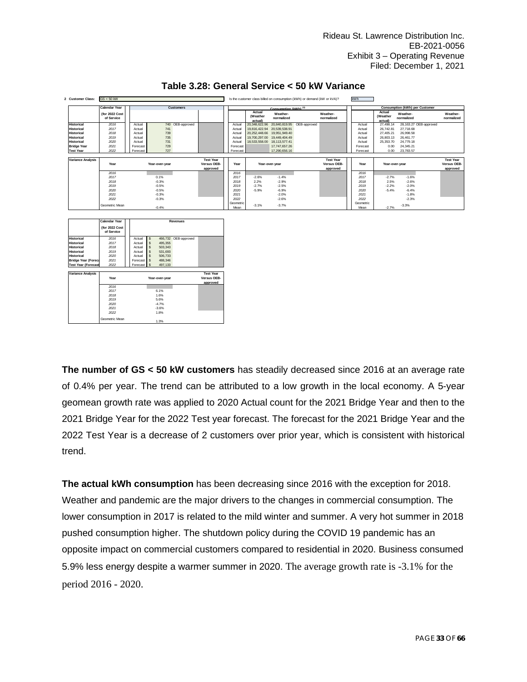| <b>Customer Class:</b>   | $GS < 50$ kW                 |          |                                             |  |                   |                               |                        | Is the customer class billed on consumption (kWh) or demand (kW or kVA)? |                                             | kWh                                   |                               |                        |                        |                                             |
|--------------------------|------------------------------|----------|---------------------------------------------|--|-------------------|-------------------------------|------------------------|--------------------------------------------------------------------------|---------------------------------------------|---------------------------------------|-------------------------------|------------------------|------------------------|---------------------------------------------|
|                          | <b>Calendar Year</b>         |          | <b>Customers</b>                            |  |                   |                               | Consumption (kWh) (3)  |                                                                          |                                             | <b>Consumption (kWh) per Customer</b> |                               |                        |                        |                                             |
|                          | (for 2022 Cost<br>of Service |          |                                             |  |                   | Actual<br>(Weather<br>actual) | Weather-<br>normalized |                                                                          | Weather-<br>normalized                      |                                       | Actual<br>(Weather<br>actual) | Weather-<br>normalized |                        | Weather-<br>normalized                      |
| <b>Historical</b>        | 2016                         | Actual   | 740 OEB-approved                            |  | Actual            | 20,348,622.96                 |                        | 20,840,819.95 OEB-approved                                               |                                             | Actual                                | 27,498.14                     |                        | 28,163.27 OEB-approved |                                             |
| <b>Historical</b>        | 2017                         | Actual   | 741                                         |  | Actual            | 19.816.422.94                 | 20.539.538.91          |                                                                          |                                             | Actual                                | 26.742.81                     | 27.718.68              |                        |                                             |
| <b>Historical</b>        | 2018                         | Actual   | 739                                         |  | Actual            | 20.252.448.66                 | 19,951,949.40          |                                                                          |                                             | Actual                                | 27.405.21                     | 26.998.58              |                        |                                             |
| <b>Historical</b>        | 2019                         | Actual   | 735                                         |  | Actual            | 19,700,297.00                 | 19,449,404.49          |                                                                          |                                             | Actual                                | 26,803.13                     | 26.461.77              |                        |                                             |
| <b>Historical</b>        | 2020                         | Actual   | 731                                         |  | Actual            | 18,533,558.00                 | 18.113.577.41          |                                                                          |                                             | Actual                                | 25,353.70                     | 24,779.18              |                        |                                             |
| <b>Bridge Year</b>       | 2021                         | Forecast | 729                                         |  | Forecast          |                               | 17.747.657.26          |                                                                          |                                             | Forecast                              | 0.00                          | 24,345.21              |                        |                                             |
| <b>Test Year</b>         | 2022                         | Forecast | 727                                         |  | Forecast          |                               | 17,290,656.16          |                                                                          |                                             | Forecast                              | 0.00                          | 23,783.57              |                        |                                             |
|                          |                              |          |                                             |  |                   |                               |                        |                                                                          |                                             |                                       |                               |                        |                        |                                             |
| <b>Variance Analysis</b> | Year<br>Year-over-year       |          | <b>Test Year</b><br>Versus OEB-<br>approved |  | Year              |                               | Year-over-vear         |                                                                          | <b>Test Year</b><br>Versus OEB-<br>approved | Year                                  |                               | Year-over-vear         |                        | <b>Test Year</b><br>Versus OEB-<br>approved |
|                          | 2016                         |          |                                             |  | 2016              |                               |                        |                                                                          |                                             | 2016                                  |                               |                        |                        |                                             |
|                          | 2017                         |          | 0.1%                                        |  | 2017              | $-2.6%$                       | $-1.4%$                |                                                                          |                                             | 2017                                  | $-2.7%$                       | $-1.6%$                |                        |                                             |
|                          | 2018                         |          | $-0.3%$                                     |  | 2018              | 2.2%                          | $-2.9%$                |                                                                          |                                             | 2018                                  | 2.5%                          | $-2.6%$                |                        |                                             |
|                          | 2019                         |          | $-0.5%$                                     |  | 2019              | $-2.7%$                       | $-2.5%$                |                                                                          |                                             | 2019                                  | $-2.2%$                       | $-2.0%$                |                        |                                             |
|                          | 2020                         |          | $-0.5%$                                     |  | 2020              | $-5.9%$                       | $-6.9%$                |                                                                          |                                             | 2020                                  | $-5.4%$                       | $-6.4%$                |                        |                                             |
|                          | 2021                         |          | $-0.3%$                                     |  | 2021              |                               | $-2.0%$                |                                                                          |                                             | 2021                                  |                               | $-1.8%$                |                        |                                             |
|                          | 2022                         |          | $-0.3%$                                     |  | 2022              |                               | $-2.6%$                |                                                                          |                                             | 2022                                  |                               | $-2.3%$                |                        |                                             |
|                          | Geometric Mean               |          | $-0.4%$                                     |  | Geometric<br>Mean | $-3.1%$                       | $-3.7%$                |                                                                          |                                             | Geometric<br>Mean                     | $-2.7%$                       | $-3.3%$                |                        |                                             |
|                          | <b>Calendar Year</b>         |          | Revenues                                    |  |                   |                               |                        |                                                                          |                                             |                                       |                               |                        |                        |                                             |

### **Table 3.28: General Service < 50 kW Variance**



**The number of GS < 50 kW customers** has steadily decreased since 2016 at an average rate of 0.4% per year. The trend can be attributed to a low growth in the local economy. A 5-year geomean growth rate was applied to 2020 Actual count for the 2021 Bridge Year and then to the 2021 Bridge Year for the 2022 Test year forecast. The forecast for the 2021 Bridge Year and the 2022 Test Year is a decrease of 2 customers over prior year, which is consistent with historical trend.

**The actual kWh consumption** has been decreasing since 2016 with the exception for 2018. Weather and pandemic are the major drivers to the changes in commercial consumption. The lower consumption in 2017 is related to the mild winter and summer. A very hot summer in 2018 pushed consumption higher. The shutdown policy during the COVID 19 pandemic has an opposite impact on commercial customers compared to residential in 2020. Business consumed 5.9% less energy despite a warmer summer in 2020. The average growth rate is -3.1% for the period 2016 - 2020.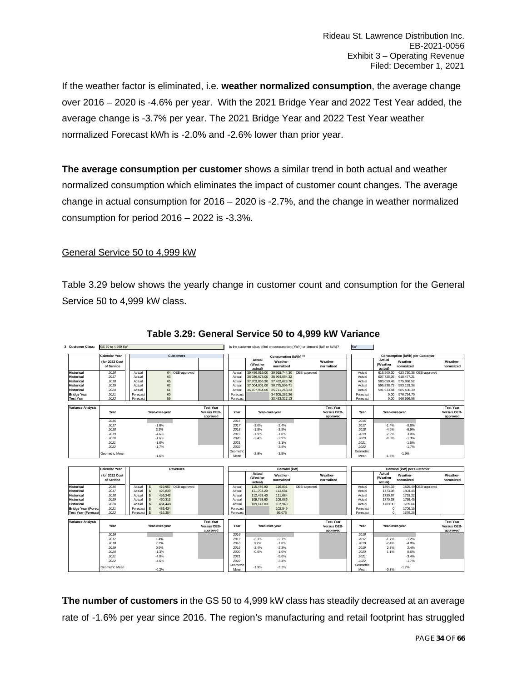If the weather factor is eliminated, i.e. **weather normalized consumption**, the average change over 2016 – 2020 is -4.6% per year. With the 2021 Bridge Year and 2022 Test Year added, the average change is -3.7% per year. The 2021 Bridge Year and 2022 Test Year weather normalized Forecast kWh is -2.0% and -2.6% lower than prior year.

**The average consumption per customer** shows a similar trend in both actual and weather normalized consumption which eliminates the impact of customer count changes. The average change in actual consumption for 2016 – 2020 is -2.7%, and the change in weather normalized consumption for period 2016 – 2022 is -3.3%.

### General Service 50 to 4,999 kW

Table 3.29 below shows the yearly change in customer count and consumption for the General Service 50 to 4,999 kW class.

| <b>Customer Class:</b>   | GS 50 to 4,999 kW            |          |                |                  |                  |                   |                               | Is the customer class billed on consumption (kWh) or demand (kW or kVA)? |                            | <b>kW</b>              |                   |                               |                                       |                         |                        |
|--------------------------|------------------------------|----------|----------------|------------------|------------------|-------------------|-------------------------------|--------------------------------------------------------------------------|----------------------------|------------------------|-------------------|-------------------------------|---------------------------------------|-------------------------|------------------------|
|                          | <b>Calendar Year</b>         |          |                | <b>Customers</b> |                  |                   |                               | Consumption (kWh) <sup>(3)</sup>                                         |                            |                        |                   |                               | <b>Consumption (kWh) per Customer</b> |                         |                        |
|                          | (for 2022 Cost<br>of Service |          |                |                  |                  |                   | Actual<br>(Weather<br>actual) | Weather-<br>normalized                                                   |                            | Weather-<br>normalized |                   | Actual<br>(Weather<br>actual) | Weather-<br>normalized                |                         | Weather-<br>normalized |
| <b>Historical</b>        | 2016                         | Actual   |                | 64 OEB-approved  |                  | Actual            | 39,456,019.00                 |                                                                          | 39,918,744.30 OEB-approved |                        | Actual            | 616,500.30                    |                                       | 623,730.38 OEB-approved |                        |
| <b>Historical</b>        | 2017                         | Actual   | 63             |                  |                  | Actual            | 38,286,678.00                 | 38.964.064.32                                                            |                            |                        | Actual            | 607.725.05                    | 618.477.21                            |                         |                        |
| <b>Historical</b>        | 2018                         | Actual   | 65             |                  |                  | Actual            | 37,703,866,30                 | 37, 432, 623.76                                                          |                            |                        | Actual            | 580.059.48                    | 575.886.52                            |                         |                        |
| <b>Historical</b>        | 2019                         | Actual   | 62             |                  |                  | Actual            | 37,004,001.00                 | 36,775,509.71                                                            |                            |                        | Actual            | 596,838.73                    | 593.153.38                            |                         |                        |
| <b>Historical</b>        | 2020                         | Actual   | 61             |                  |                  | Actual            | 36,107,964.00                 | 35.711.248.23                                                            |                            |                        | Actual            | 591.933.84                    | 585.430.30                            |                         |                        |
| <b>Bridge Year</b>       | 2021                         | Forecast | 60             |                  |                  | Forecast          |                               | 34,605,282.26                                                            |                            |                        | Forecast          | 0.00                          | 576,754.70                            |                         |                        |
| <b>Test Year</b>         | 2022                         | Forecast | 59             |                  |                  | Forecast          |                               | 33.433.327.13                                                            |                            |                        | Forecast          | 0.00                          | 566,666,56                            |                         |                        |
|                          |                              |          |                |                  |                  |                   |                               |                                                                          |                            |                        |                   |                               |                                       |                         |                        |
| <b>Variance Analysis</b> |                              |          |                |                  | <b>Test Year</b> |                   |                               |                                                                          |                            | <b>Test Year</b>       |                   |                               |                                       |                         | <b>Test Year</b>       |
|                          | Year                         |          | Year-over-year |                  | Versus OEB-      | Year              |                               | Year-over-year                                                           |                            | Versus OEB-            | Year              | Year-over-vear                |                                       |                         | Versus OEB-            |
|                          |                              |          |                |                  | approved         |                   |                               |                                                                          |                            | approved               |                   |                               |                                       |                         | approved               |
|                          | 2016                         |          |                |                  |                  | 2016              |                               |                                                                          |                            |                        | 2016              |                               |                                       |                         |                        |
|                          | 2017                         |          | $-1.6%$        |                  |                  | 2017              | $-3.0%$                       | $-2.4%$                                                                  |                            |                        | 2017              | $-1.4%$                       | $-0.8%$                               |                         |                        |
|                          | 2018                         |          | 3.2%           |                  |                  | 2018              | $-1.5%$                       | $-3.9%$                                                                  |                            |                        | 2018              | $-4.6%$                       | $-6.9%$                               |                         |                        |
|                          | 2019                         |          | $-4.6%$        |                  |                  | 2019              | $-1.9%$                       | $-1.8%$                                                                  |                            |                        | 2019              | 2.9%                          | 3.0%                                  |                         |                        |
|                          | 2020                         |          | $-1.6%$        |                  |                  | 2020              | $-2.4%$                       | $-2.9%$                                                                  |                            |                        | 2020              | $-0.8%$                       | $-1.3%$                               |                         |                        |
|                          | 2021                         |          | $-1.6%$        |                  |                  | 2021              |                               | $-3.1%$                                                                  |                            |                        | 2021              |                               | $-1.5%$                               |                         |                        |
|                          | 2022                         |          | $-1.7%$        |                  |                  | 2022              |                               | $-3.4%$                                                                  |                            |                        | 2022              |                               | $-1.7%$                               |                         |                        |
|                          | Geometric Mean               |          | $-1.6%$        |                  |                  | Geometric<br>Mean | $-2.9%$                       | $-3.5%$                                                                  |                            |                        | Geometric<br>Mean | $-1.3%$                       | $-1.9%$                               |                         |                        |

#### **Table 3.29: General Service 50 to 4,999 kW Variance**

|                            | <b>Calendar Year</b>         |            |              |                | Revenues             |                  |                   |                              | Demand (kW)            |              |                        | Demand (kW) per Customer |                   |                               |                        |                      |                        |
|----------------------------|------------------------------|------------|--------------|----------------|----------------------|------------------|-------------------|------------------------------|------------------------|--------------|------------------------|--------------------------|-------------------|-------------------------------|------------------------|----------------------|------------------------|
|                            | (for 2022 Cost<br>of Service |            |              |                |                      |                  |                   | Actual<br>(Weather<br>actual | Weather-<br>normalized |              | Weather-<br>normalized |                          |                   | Actual<br>(Weather<br>actual) | Weather-<br>normalized |                      | Weather-<br>normalized |
| <b>Historical</b>          | 2016                         | Actual     |              |                | 419,957 OEB-approved |                  | Actual            | 115,476.90                   | 116,831                | OEB-approved |                        |                          | Actual            | 1804.33                       |                        | 1825.49 OEB-approved |                        |
| <b>Historical</b>          | 2017                         | Actual     |              | 425,839        |                      |                  | Actual            | 111.704.20                   | 113,681                |              |                        |                          | Actual            | 1773.08                       | 1804.45                |                      |                        |
| <b>Historical</b>          | 2018                         | Actual     |              | 456,243        |                      |                  | Actual            | 112,493.40                   | 111.684                |              |                        |                          | Actual            | 1730.67                       | 1718.22                |                      |                        |
| <b>Historical</b>          | 2019                         | Actual     |              | 460,313        |                      |                  | Actual            | 109,763.60                   | 109,086                |              |                        |                          | Actual            | 1770.38                       | 1759.45                |                      |                        |
| <b>Historical</b>          | 2020                         | Actual     |              | 454,448        |                      |                  | Actual            | 109.147.00                   | 107.948                |              |                        |                          | Actual            | 1789.30                       | 1769.64                |                      |                        |
| <b>Bridge Year (Foreca</b> | 2021                         | Forecast   | $\mathbf{s}$ | 436.424        |                      |                  | Forecast          |                              | 102,549                |              |                        |                          | Forecast          |                               | 1709.15                |                      |                        |
| <b>Test Year (Forecast</b> | 2022                         | Forecast S |              | 416,354        |                      |                  | Forecast          |                              | 99.076                 |              |                        |                          | Forecast          |                               | 1679.26                |                      |                        |
|                            |                              |            |              |                |                      |                  |                   |                              |                        |              |                        |                          |                   |                               |                        |                      |                        |
| <b>Variance Analysis</b>   |                              |            |              |                |                      | <b>Test Year</b> |                   |                              |                        |              | <b>Test Year</b>       |                          |                   |                               |                        |                      | <b>Test Year</b>       |
|                            | Year                         |            |              | Year-over-year |                      | Versus OEB-      | Year              | Year-over-year               |                        |              | Versus OEB-            |                          | Year              | Year-over-year                |                        |                      | Versus OEB-            |
|                            |                              |            |              |                |                      | approved         |                   |                              |                        |              | approved               |                          |                   |                               |                        |                      | approved               |
|                            | 2016                         |            |              |                |                      |                  | 2016              |                              |                        |              |                        |                          | 2016              |                               |                        |                      |                        |
|                            | 2017                         |            |              | 1.4%           |                      |                  | 2017              | $-3.3%$                      | $-2.7%$                |              |                        |                          | 2017              | $-1.7%$                       | $-1.2%$                |                      |                        |
|                            | 2018                         |            |              | 7.1%           |                      |                  | 2018              | 0.7%                         | $-1.8%$                |              |                        |                          | 2018              | $-2.4%$                       | $-4.8%$                |                      |                        |
|                            | 2019                         |            |              | 0.9%           |                      |                  | 2019              | $-2.4%$                      | $-2.3%$                |              |                        |                          | 2019              | 2.3%                          | 2.4%                   |                      |                        |
|                            | 2020                         |            |              | $-1.3%$        |                      |                  | 2020              | $-0.6%$                      | $-1.0%$                |              |                        |                          | 2020              | 1.1%                          | 0.6%                   |                      |                        |
|                            | 2021                         |            |              | $-4.0%$        |                      |                  | 2021              |                              | $-5.0%$                |              |                        |                          | 2021              |                               | $-3.4%$                |                      |                        |
|                            | 2022                         |            |              | $-4.6%$        |                      |                  | 2022              |                              | $-3.4%$                |              |                        |                          | 2022              |                               | $-1.7%$                |                      |                        |
|                            | Geometric Mean               |            |              | $-0.2%$        |                      |                  | Geometric<br>Mean | $-1.9%$                      | $-3.2%$                |              |                        |                          | Geometric<br>Mean | $-0.3%$                       | $-1.7%$                |                      |                        |

**The number of customers** in the GS 50 to 4,999 kW class has steadily decreased at an average rate of -1.6% per year since 2016. The region's manufacturing and retail footprint has struggled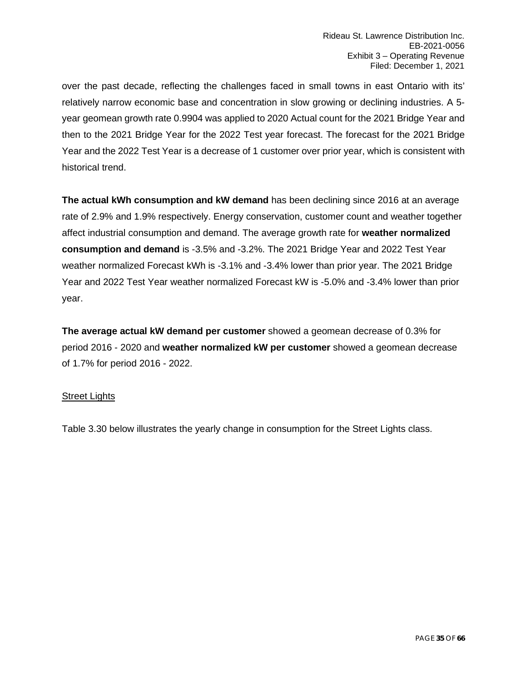over the past decade, reflecting the challenges faced in small towns in east Ontario with its' relatively narrow economic base and concentration in slow growing or declining industries. A 5 year geomean growth rate 0.9904 was applied to 2020 Actual count for the 2021 Bridge Year and then to the 2021 Bridge Year for the 2022 Test year forecast. The forecast for the 2021 Bridge Year and the 2022 Test Year is a decrease of 1 customer over prior year, which is consistent with historical trend.

**The actual kWh consumption and kW demand** has been declining since 2016 at an average rate of 2.9% and 1.9% respectively. Energy conservation, customer count and weather together affect industrial consumption and demand. The average growth rate for **weather normalized consumption and demand** is -3.5% and -3.2%. The 2021 Bridge Year and 2022 Test Year weather normalized Forecast kWh is -3.1% and -3.4% lower than prior year. The 2021 Bridge Year and 2022 Test Year weather normalized Forecast kW is -5.0% and -3.4% lower than prior year.

**The average actual kW demand per customer** showed a geomean decrease of 0.3% for period 2016 - 2020 and **weather normalized kW per customer** showed a geomean decrease of 1.7% for period 2016 - 2022.

#### Street Lights

Table 3.30 below illustrates the yearly change in consumption for the Street Lights class.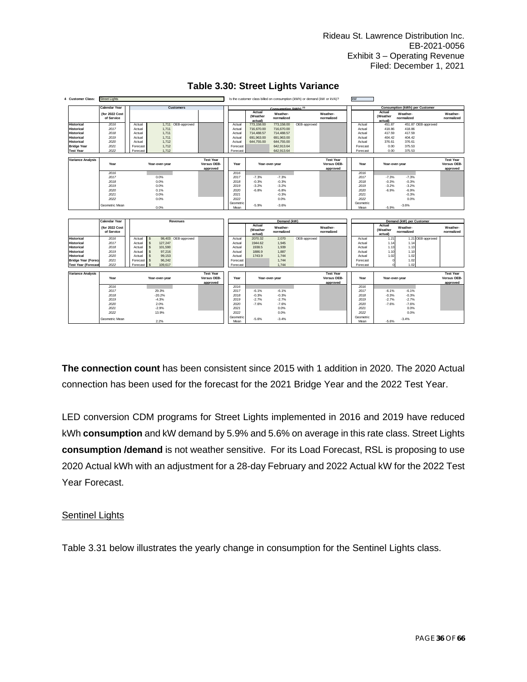| <b>Customer Class:</b><br>4 | <b>Street Lights</b>         |                                        |                                             |                  |                               |                        | Is the customer class billed on consumption (kWh) or demand (kW or kVA)? |                                             | kW                |                               |                                       |                   |                                             |
|-----------------------------|------------------------------|----------------------------------------|---------------------------------------------|------------------|-------------------------------|------------------------|--------------------------------------------------------------------------|---------------------------------------------|-------------------|-------------------------------|---------------------------------------|-------------------|---------------------------------------------|
|                             | <b>Calendar Year</b>         | <b>Customers</b>                       |                                             |                  |                               | Consumption (kWh) (3)  |                                                                          |                                             |                   |                               | <b>Consumption (kWh) per Customer</b> |                   |                                             |
|                             | (for 2022 Cost<br>of Service |                                        |                                             |                  | Actual<br>(Weather<br>actual) | Weather-<br>normalized |                                                                          | Weather-<br>normalized                      |                   | Actual<br>(Weather<br>actual) | Weather-<br>normalized                |                   | Weather-<br>normalized                      |
| <b>Historical</b>           | 2016                         | 1.711 OEB-approved<br>Actual           |                                             | Actual           | 773.158.00                    | 773,158,00             | OEB-approved                                                             |                                             | Actual            | 451.87                        | 451.87 OEB-approved                   |                   |                                             |
| <b>Historical</b>           | 2017                         | Actual<br>1,711                        |                                             | Actual           | 716,670.00                    | 716,670.00             |                                                                          |                                             | Actual            | 418.86                        | 418.86                                |                   |                                             |
| <b>Historical</b>           | 2018                         | 1.711<br>Actual                        |                                             | Actual           | 714,488.57                    | 714.488.57             |                                                                          |                                             | Actual            | 417.59                        | 417.59                                |                   |                                             |
| <b>Historical</b>           | 2019                         | 1.711<br>Actual                        |                                             | Actual           | 691.963.00                    | 691.963.00             |                                                                          |                                             | Actual            | 404.42                        | 404.42                                |                   |                                             |
| <b>Historical</b>           | 2020                         | 1,712<br>Actual                        |                                             | Actual           | 644,755.00                    | 644,755.00             |                                                                          |                                             | Actual            | 376.61                        | 376.61                                |                   |                                             |
| <b>Bridge Year</b>          | 2021                         | 1.712<br>Forecast                      |                                             | Forecast         |                               | 642.913.64             |                                                                          |                                             | Forecast          | 0.00                          | 375.53                                |                   |                                             |
| <b>Test Year</b>            | 2022                         | Forecast<br>1.712                      |                                             | Forecast         |                               | 642,913.64             |                                                                          |                                             | Forecast          | 0.00                          | 375.53                                |                   |                                             |
| <b>Variance Analysis</b>    | Year                         | Year-over-year                         | <b>Test Year</b><br>Versus OEB-<br>approved | Year             |                               | Year-over-year         |                                                                          | <b>Test Year</b><br>Versus OEB-<br>approved | Year              | Year-over-year                |                                       |                   | <b>Test Year</b><br>Versus OEB-<br>approved |
|                             | 2016                         |                                        |                                             | 2016             |                               |                        |                                                                          |                                             | 2016              |                               |                                       |                   |                                             |
|                             | 2017                         | 0.0%                                   |                                             | 2017             | $-7.3%$                       | $-7.3%$                |                                                                          |                                             | 2017              | $-7.3%$                       | $-7.3%$                               |                   |                                             |
|                             | 2018                         | 0.0%                                   |                                             | 2018             | $-0.3%$                       | $-0.3%$                |                                                                          |                                             | 2018              | $-0.3%$                       | $-0.3%$                               |                   |                                             |
|                             | 2019                         | 0.0%                                   |                                             | 2019             | $-3.2%$                       | $-3.2%$                |                                                                          |                                             | 2019              | $-3.2%$                       | $-3.2%$                               |                   |                                             |
|                             | 2020                         | 0.1%                                   |                                             | 2020             | $-6.8%$                       | $-6.8%$                |                                                                          |                                             | 2020              | $-6.9%$                       | $-6.9%$                               |                   |                                             |
|                             | 2021                         | 0.0%                                   |                                             | 2021             |                               | $-0.3%$                |                                                                          |                                             | 2021              |                               | $-0.3%$                               |                   |                                             |
|                             | 2022                         | 0.0%                                   |                                             | 2022             |                               | 0.0%                   |                                                                          |                                             | 2022              |                               | 0.0%                                  |                   |                                             |
|                             | Geometric Mean               | 0.0%                                   |                                             | Geometri<br>Mean | $-5.9%$                       | $-3.6%$                |                                                                          |                                             | Geometric<br>Mean | $-5.9%$                       | $-3.6%$                               |                   |                                             |
|                             | Calendar Year                | Revenues                               |                                             |                  |                               | Demand (kW)            |                                                                          |                                             |                   |                               | Demand (kW) per Customer              |                   |                                             |
|                             |                              |                                        |                                             |                  | Actual                        |                        |                                                                          |                                             |                   | Actual                        |                                       |                   |                                             |
|                             | (for 2022 Cost<br>of Service |                                        |                                             |                  | (Weather<br>actual)           | Weather-<br>normalized |                                                                          | Weather-<br>normalized                      |                   | (Weather<br>actual)           | Weather-<br>normalized                |                   | Weather-<br>normalized                      |
| <b>Historical</b>           | 2016                         | 98,403 OEB-approved<br>Actual          |                                             | Actual           | 2070.32                       | 2.070                  | OEB-approved                                                             |                                             | Actual            | 1.21                          |                                       | 1.21 OEB-approved |                                             |
| <b>Historical</b>           | 2017                         | 127,247<br>Actual<br>s                 |                                             | Actual           | 1944.62                       | 1,945                  |                                                                          |                                             | Actual            | 1.14                          | 1.14                                  |                   |                                             |
| <b>Historical</b>           | 2018                         | 101.590<br>Actual<br><sub>\$</sub>     |                                             | Actual           | 1938.5                        | 1.939                  |                                                                          |                                             | Actual            | 1.13                          | 1.13                                  |                   |                                             |
| <b>Historical</b>           | 2019                         | s.<br>97.216<br>Actual                 |                                             | Actual           | 1886.9                        | 1.887                  |                                                                          |                                             | Actual            | 1.10                          | 1.10                                  |                   |                                             |
| <b>Historical</b>           | 2020                         | $\mathbf{\hat{s}}$<br>99.153<br>Actual |                                             | Actual           | 1743.9                        | 1.744                  |                                                                          |                                             | Actual            | 1.02                          | 1.02                                  |                   |                                             |
| <b>Bridge Year (Foreca</b>  | 2021                         | Forecast<br>96.242<br><sup>\$</sup>    |                                             | Forecast         |                               | 1.744                  |                                                                          |                                             | Forecast          |                               | 1.02                                  |                   |                                             |
| <b>Test Year (Forecast</b>  | 2022                         | Forecast<br>109,617                    |                                             | Forecast         |                               | 1.744                  |                                                                          |                                             | Forecast          |                               | 1.02                                  |                   |                                             |
| Variance Analysis           | Year                         | Year-over-year                         | <b>Test Year</b><br>Versus OEB-<br>approved | Year             |                               | Year-over-year         |                                                                          | <b>Test Year</b><br>Versus OEB-<br>approved | Year              | Year-over-year                |                                       |                   | <b>Test Year</b><br>Versus OEB-<br>approved |
|                             | 2016                         |                                        |                                             | 2016             |                               |                        |                                                                          |                                             | 2016              |                               |                                       |                   |                                             |
|                             | 2017                         | 29.3%                                  |                                             | 2017             | $-6.1%$                       | $-6.1%$                |                                                                          |                                             | 2017              | $-6.1%$                       | $-6.1%$                               |                   |                                             |
|                             | 2018                         | $-20.2%$                               |                                             | 2018             | $-0.3%$                       | $-0.3%$                |                                                                          |                                             | 2018              | $-0.3%$                       | $-0.3%$                               |                   |                                             |
|                             | 2019                         | $-4.3%$                                |                                             | 2019             | $-2.7%$                       | $-2.7%$                |                                                                          |                                             | 2019              | $-2.7%$                       | $-2.7%$                               |                   |                                             |
|                             | 2020                         | 2.0%                                   |                                             | 2020             | $-7.6%$                       | $-7.6%$                |                                                                          |                                             | 2020              | $-7.6%$                       | $-7.6%$                               |                   |                                             |
|                             | 2021                         | $-2.9%$                                |                                             | 2021             |                               | 0.0%                   |                                                                          |                                             | 2021              |                               | 0.0%                                  |                   |                                             |
|                             |                              |                                        |                                             | 2022             |                               |                        |                                                                          |                                             |                   |                               | 0.0%                                  |                   |                                             |
|                             | 2022                         | 13.9%                                  |                                             |                  |                               | 0.0%                   |                                                                          |                                             | 2022              |                               |                                       |                   |                                             |
|                             | Geometric Mean               |                                        |                                             | Geometrio        | $-5.6%$                       | $-3.4%$                |                                                                          |                                             | Geometric         |                               | $-3.4%$                               |                   |                                             |

### **Table 3.30: Street Lights Variance**

**The connection count** has been consistent since 2015 with 1 addition in 2020. The 2020 Actual connection has been used for the forecast for the 2021 Bridge Year and the 2022 Test Year.

LED conversion CDM programs for Street Lights implemented in 2016 and 2019 have reduced kWh **consumption** and kW demand by 5.9% and 5.6% on average in this rate class. Street Lights **consumption /demand** is not weather sensitive. For its Load Forecast, RSL is proposing to use 2020 Actual kWh with an adjustment for a 28-day February and 2022 Actual kW for the 2022 Test Year Forecast.

#### Sentinel Lights

Table 3.31 below illustrates the yearly change in consumption for the Sentinel Lights class.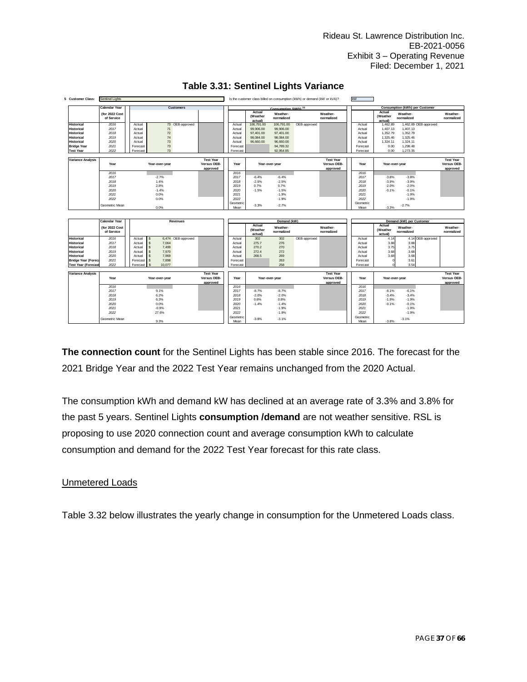| 5.<br><b>Customer Class:</b>                                                                                                                                      | <b>Sentinel Lights</b>                                                 |                                                                        |                                                                                                                                          |                                             |                                                                           |                                                                |                                                                                          | Is the customer class billed on consumption (kWh) or demand (kW or kVA)? |                                             | kW                                                                        |                                                                          |                                                                           |                       |                                             |
|-------------------------------------------------------------------------------------------------------------------------------------------------------------------|------------------------------------------------------------------------|------------------------------------------------------------------------|------------------------------------------------------------------------------------------------------------------------------------------|---------------------------------------------|---------------------------------------------------------------------------|----------------------------------------------------------------|------------------------------------------------------------------------------------------|--------------------------------------------------------------------------|---------------------------------------------|---------------------------------------------------------------------------|--------------------------------------------------------------------------|---------------------------------------------------------------------------|-----------------------|---------------------------------------------|
|                                                                                                                                                                   | <b>Calendar Year</b>                                                   |                                                                        | <b>Customers</b>                                                                                                                         |                                             |                                                                           |                                                                | Consumption (kWh) (3)                                                                    |                                                                          |                                             |                                                                           |                                                                          | <b>Consumption (kWh) per Customer</b>                                     |                       |                                             |
|                                                                                                                                                                   | (for 2022 Cost<br>of Service                                           |                                                                        |                                                                                                                                          |                                             |                                                                           | Actual<br>(Weather<br>actual)                                  | Weather-<br>normalized                                                                   |                                                                          | Weather-<br>normalized                      |                                                                           | Actual<br>(Weather<br>actual)                                            | Weather-<br>normalized                                                    |                       | Weather-<br>normalized                      |
| <b>Historical</b><br><b>Historical</b><br><b>Historical</b><br><b>Historical</b><br><b>Historical</b><br><b>Bridge Year</b><br><b>Test Year</b>                   | 2016<br>2017<br>2018<br>2019<br>2020<br>2021<br>2022                   | Actual<br>Actual<br>Actual<br>Actual<br>Actual<br>Forecast<br>Forecast | 73 OEB-approved<br>71<br>72<br>74<br>73<br>73<br>73                                                                                      |                                             | Actual<br>Actual<br>Actual<br>Actual<br>Actual<br>Forecast<br>Forecast    | 106,791.00<br>99,906.00<br>97,401.00<br>98.084.00<br>96,660.00 | 106,791.00<br>99,906.00<br>97,401.00<br>98,084.00<br>96,660.00<br>94,789.32<br>92,954.85 | OEB-approved                                                             |                                             | Actual<br>Actual<br>Actual<br>Actual<br>Actual<br>Forecast<br>Forecast    | 1,462.89<br>1,407.13<br>1,352.79<br>1.325.46<br>1,324.11<br>0.00<br>0.00 | 1,407.13<br>1.352.79<br>1.325.46<br>1,324.11<br>1.298.48<br>1,273.35      | 1,462.89 OEB-approved |                                             |
| <b>Variance Analysis</b>                                                                                                                                          | Year                                                                   |                                                                        | Year-over-year                                                                                                                           | <b>Test Year</b><br>Versus OEB-<br>approved | Year                                                                      |                                                                | Year-over-year                                                                           |                                                                          | <b>Test Year</b><br>Versus OEB-<br>approved | Year                                                                      |                                                                          | Year-over-year                                                            |                       | <b>Test Year</b><br>Versus OEB-<br>approved |
|                                                                                                                                                                   | 2016<br>2017<br>2018<br>2019<br>2020<br>2021<br>2022<br>Geometric Mean |                                                                        | $-2.7%$<br>1.4%<br>2.8%<br>$-1.4%$<br>0.0%<br>0.0%<br>0.0%                                                                               |                                             | 2016<br>2017<br>2018<br>2019<br>2020<br>2021<br>2022<br>Geometrio<br>Mean | $-6.4%$<br>$-2.5%$<br>0.7%<br>$-1.5%$<br>$-3.3%$               | $-6.4%$<br>$-2.5%$<br>0.7%<br>$-1.5%$<br>$-1.9%$<br>$-1.9%$<br>$-2.7%$                   |                                                                          |                                             | 2016<br>2017<br>2018<br>2019<br>2020<br>2021<br>2022<br>Geometric<br>Mean | $-3.8%$<br>$-3.9%$<br>$-2.0%$<br>$-0.1%$<br>$-3.3%$                      | $-3.8%$<br>$-3.9%$<br>$-2.0%$<br>$-0.1%$<br>$-1.9%$<br>$-1.9%$<br>$-2.7%$ |                       |                                             |
|                                                                                                                                                                   |                                                                        |                                                                        |                                                                                                                                          |                                             |                                                                           |                                                                |                                                                                          |                                                                          |                                             |                                                                           |                                                                          |                                                                           |                       |                                             |
|                                                                                                                                                                   | <b>Calendar Year</b>                                                   |                                                                        | Revenues                                                                                                                                 |                                             |                                                                           | Actual                                                         | Demand (kW)                                                                              |                                                                          |                                             |                                                                           | Actual                                                                   | Demand (kW) per Customer                                                  |                       |                                             |
|                                                                                                                                                                   | (for 2022 Cost<br>of Service                                           |                                                                        |                                                                                                                                          |                                             |                                                                           | (Weather<br>actual)                                            | Weather-<br>normalized                                                                   |                                                                          | Weather-<br>normalized                      |                                                                           | (Weather<br>actual)                                                      | Weather-<br>normalized                                                    |                       | Weather-<br>normalized                      |
| <b>Historical</b><br><b>Historical</b><br><b>Historical</b><br><b>Historical</b><br><b>Historical</b><br><b>Bridge Year (Foreca</b><br><b>Test Year (Forecast</b> | 2016<br>2017<br>2018<br>2019<br>2020<br>2021<br>2022                   | Actual<br>Actual<br>Actual<br>Actual<br>Actual<br>Forecast<br>Forecast | 6,474 OEB-approved<br>s<br>$\mathsf{s}$<br>7.064<br>$\mathsf{s}$<br>7,499<br>s<br>7,970<br>7,969<br>s<br>$\mathsf{s}$<br>7,898<br>10.077 |                                             | Actual<br>Actual<br>Actual<br>Actual<br>Actual<br>Forecast<br>Forecast    | 302<br>275.7<br>270.2<br>272.4<br>268.5                        | 302<br>276<br>270<br>272<br>269<br>263<br>258                                            | OEB-approved                                                             |                                             | Actual<br>Actual<br>Actual<br>Actual<br>Actual<br>Forecast<br>Forecast    | 4.14<br>3.88<br>3.75<br>3.68<br>3.68                                     | 3.88<br>3.75<br>3.68<br>3.68<br>3.61<br>3.54                              | 4.14 OEB-approved     |                                             |
| <b>Variance Analysis</b>                                                                                                                                          | Year                                                                   |                                                                        | Year-over-year                                                                                                                           | <b>Test Year</b><br>Versus OEB-<br>approved | Year                                                                      |                                                                | Year-over-year                                                                           |                                                                          | <b>Test Year</b><br>Versus OEB-<br>approved | Year                                                                      | Year-over-year                                                           |                                                                           |                       | <b>Test Year</b><br>Versus OEB-<br>approved |
|                                                                                                                                                                   | 2016<br>2017<br>2018<br>2019<br>2020<br>2021<br>2022                   |                                                                        | 9.1%<br>6.2%<br>6.3%<br>0.0%<br>$-0.9%$<br>27.6%                                                                                         |                                             | 2016<br>2017<br>2018<br>2019<br>2020<br>2021<br>2022                      | $-8.7%$<br>$-2.0%$<br>0.8%<br>$-1.4%$                          | $-8.7%$<br>$-2.0%$<br>0.8%<br>$-1.4%$<br>$-1.9%$<br>$-1.9%$                              |                                                                          |                                             | 2016<br>2017<br>2018<br>2019<br>2020<br>2021<br>2022                      | $-6.1%$<br>$-3.4%$<br>$-1.9%$<br>$-0.1%$                                 | $-6.1%$<br>$-3.4%$<br>$-1.9%$<br>$-0.1%$<br>$-1.9%$<br>$-1.9%$            |                       |                                             |

### **Table 3.31: Sentinel Lights Variance**

**The connection count** for the Sentinel Lights has been stable since 2016. The forecast for the 2021 Bridge Year and the 2022 Test Year remains unchanged from the 2020 Actual.

The consumption kWh and demand kW has declined at an average rate of 3.3% and 3.8% for the past 5 years. Sentinel Lights **consumption /demand** are not weather sensitive. RSL is proposing to use 2020 connection count and average consumption kWh to calculate consumption and demand for the 2022 Test Year forecast for this rate class.

### Unmetered Loads

Table 3.32 below illustrates the yearly change in consumption for the Unmetered Loads class.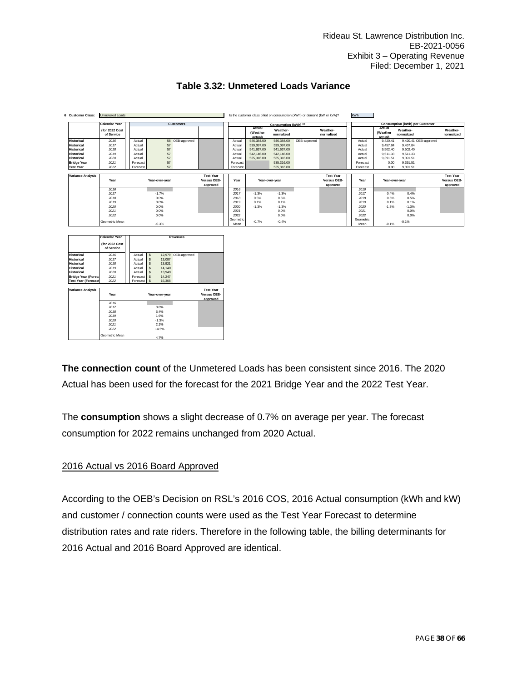| 6 Customer Class:        | <b>Unmetered Loads</b>       |          |                |                  |                  |           |                               |                        | Is the customer class billed on consumption (kWh) or demand (kW or kVA)? |                        | <b>kWh</b> |                               |                        |                                       |                        |
|--------------------------|------------------------------|----------|----------------|------------------|------------------|-----------|-------------------------------|------------------------|--------------------------------------------------------------------------|------------------------|------------|-------------------------------|------------------------|---------------------------------------|------------------------|
|                          | <b>Calendar Year</b>         |          |                | <b>Customers</b> |                  |           |                               | Consumption (kWh) (3)  |                                                                          |                        |            |                               |                        | <b>Consumption (kWh) per Customer</b> |                        |
|                          | (for 2022 Cost<br>of Service |          |                |                  |                  |           | Actual<br>(Weather<br>actual) | Weather-<br>normalized |                                                                          | Weather-<br>normalized |            | Actual<br>(Weather<br>actual) | Weather-<br>normalized |                                       | Weather-<br>normalized |
| <b>Historical</b>        | 2016                         | Actual   |                | 58 OEB-approved  |                  | Actual    | 546,384.00                    | 546,384.00             | OEB-approved                                                             |                        | Actual     | 9.420.41                      |                        | 9,420.41 OEB-approved                 |                        |
| <b>Historical</b>        | 2017                         | Actual   | 57             |                  |                  | Actual    | 539,097.00                    | 539,097.00             |                                                                          |                        | Actual     | 9.457.84                      | 9.457.84               |                                       |                        |
| <b>Historical</b>        | 2018                         | Actual   | 57             |                  |                  | Actual    | 541.637.00                    | 541,637.00             |                                                                          |                        | Actual     | 9.502.40                      | 9.502.40               |                                       |                        |
| <b>Historical</b>        | 2019                         | Actual   | 57             |                  |                  | Actual    | 542.146.00                    | 542.146.00             |                                                                          |                        | Actual     | 9.511.33                      | 9.511.33               |                                       |                        |
| <b>Historical</b>        | 2020                         | Actual   | 57             |                  |                  | Actual    | 535,316.00                    | 535,316.00             |                                                                          |                        | Actual     | 9.391.51                      | 9.391.51               |                                       |                        |
| <b>Bridge Year</b>       | 2021                         | Forecast | 57             |                  |                  | Forecast  |                               | 535,316.00             |                                                                          |                        | Forecast   | 0.00                          | 9.391.51               |                                       |                        |
| <b>Test Year</b>         | 2022                         | Forecast | 57             |                  |                  | Forecast  |                               | 535,316.00             |                                                                          |                        | Forecast   | 0.00                          | 9.391.51               |                                       |                        |
|                          |                              |          |                |                  |                  |           |                               |                        |                                                                          |                        |            |                               |                        |                                       |                        |
| <b>Variance Analysis</b> |                              |          |                |                  | <b>Test Year</b> |           |                               |                        |                                                                          | <b>Test Year</b>       |            |                               |                        |                                       | <b>Test Year</b>       |
|                          | Year                         |          | Year-over-vear |                  | Versus OEB-      | Year      |                               | Year-over-vear         |                                                                          | Versus OEB-            | Year       | Year-over-vear                |                        |                                       | Versus OEB-            |
|                          | 2016                         |          |                |                  | approved         | 2016      |                               |                        |                                                                          | approved               | 2016       |                               |                        |                                       | approved               |
|                          | 2017                         |          | $-1.7%$        |                  |                  | 2017      | $-1.3%$                       | $-1.3%$                |                                                                          |                        | 2017       | 0.4%                          | 0.4%                   |                                       |                        |
|                          | 2018                         |          | 0.0%           |                  |                  | 2018      | 0.5%                          | 0.5%                   |                                                                          |                        | 2018       | 0.5%                          | 0.5%                   |                                       |                        |
|                          | 2019                         |          | 0.0%           |                  |                  | 2019      | 0.1%                          | 0.1%                   |                                                                          |                        | 2019       | 0.1%                          | 0.1%                   |                                       |                        |
|                          | 2020                         |          | 0.0%           |                  |                  | 2020      | $-1.3%$                       | $-1.3%$                |                                                                          |                        | 2020       | $-1.3%$                       | $-1.3%$                |                                       |                        |
|                          | 2021                         |          | 0.0%           |                  |                  | 2021      |                               | 0.0%                   |                                                                          |                        | 2021       |                               | 0.0%                   |                                       |                        |
|                          | 2022                         |          | 0.0%           |                  |                  | 2022      |                               | 0.0%                   |                                                                          |                        | 2022       |                               | 0.0%                   |                                       |                        |
|                          |                              |          |                |                  |                  | Geometric |                               |                        |                                                                          |                        | Geometric  |                               |                        |                                       |                        |
|                          | Geometric Mean               |          | $-0.3%$        |                  |                  | Mean      | $-0.7%$                       | $-0.4%$                |                                                                          |                        | Mean       | $-0.1%$                       | $-0.1%$                |                                       |                        |
|                          |                              |          |                |                  |                  |           |                               |                        |                                                                          |                        |            |                               |                        |                                       |                        |
|                          |                              |          |                |                  |                  |           |                               |                        |                                                                          |                        |            |                               |                        |                                       |                        |
|                          | <b>Calendar Year</b>         |          |                | Revenues         |                  |           |                               |                        |                                                                          |                        |            |                               |                        |                                       |                        |
|                          | (for 2022 Cost               |          |                |                  |                  |           |                               |                        |                                                                          |                        |            |                               |                        |                                       |                        |

### **Table 3.32: Unmetered Loads Variance**

|                            | <b>Calendar Year</b> |             |               |                | Revenues            |                  |
|----------------------------|----------------------|-------------|---------------|----------------|---------------------|------------------|
|                            | (for 2022 Cost       |             |               |                |                     |                  |
|                            | of Service           |             |               |                |                     |                  |
| <b>Historical</b>          | 2016                 | Actual      | $\sim$        |                | 12,979 OEB-approved |                  |
| <b>Historical</b>          | 2017                 | Actual      | s             | 13,087         |                     |                  |
| <b>Historical</b>          | 2018                 | Actual      | $\mathsf{\$}$ | 13,921         |                     |                  |
| <b>Historical</b>          | 2019                 | Actual      | $\sqrt{3}$    | 14,140         |                     |                  |
| <b>Historical</b>          | 2020                 | Actual      | $\mathbf{s}$  | 13,949         |                     |                  |
| <b>Bridge Year (Foreca</b> | 2021                 | Forecast \$ |               | 14,247         |                     |                  |
| <b>Test Year (Forecast</b> | 2022                 | Forecast \$ |               | 16,308         |                     |                  |
|                            |                      |             |               |                |                     |                  |
|                            |                      |             |               |                |                     | <b>Test Year</b> |
| <b>Variance Analysis</b>   |                      |             |               |                |                     |                  |
|                            | Year                 |             |               | Year-over-year |                     | Versus OEB-      |
|                            |                      |             |               |                |                     | approved         |
|                            | 2016                 |             |               |                |                     |                  |
|                            | 2017                 |             |               | 0.8%           |                     |                  |
|                            | 2018                 |             |               | 6.4%           |                     |                  |
|                            | 2019                 |             |               | 1.6%           |                     |                  |
|                            | 2020                 |             |               | $-1.3%$        |                     |                  |
|                            | 2021                 |             |               | 2.1%           |                     |                  |
|                            | 2022                 |             |               | 14.5%          |                     |                  |

**The connection count** of the Unmetered Loads has been consistent since 2016. The 2020 Actual has been used for the forecast for the 2021 Bridge Year and the 2022 Test Year.

The **consumption** shows a slight decrease of 0.7% on average per year. The forecast consumption for 2022 remains unchanged from 2020 Actual.

### 2016 Actual vs 2016 Board Approved

According to the OEB's Decision on RSL's 2016 COS, 2016 Actual consumption (kWh and kW) and customer / connection counts were used as the Test Year Forecast to determine distribution rates and rate riders. Therefore in the following table, the billing determinants for 2016 Actual and 2016 Board Approved are identical.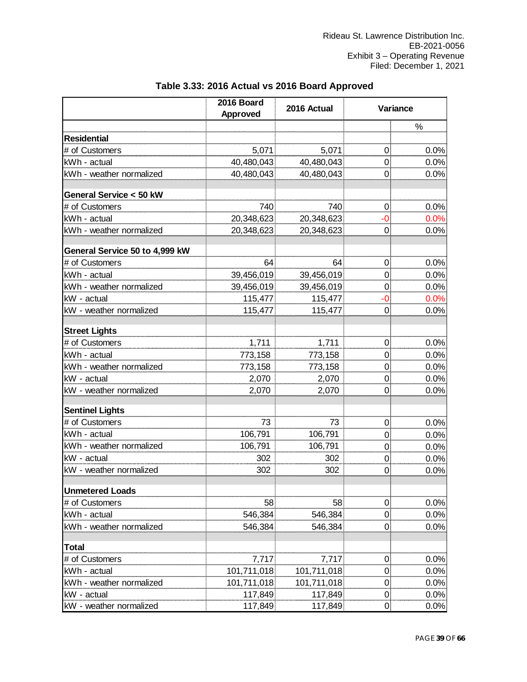|                                        | 2016 Board<br><b>Approved</b> | 2016 Actual |                  | Variance |  |  |  |
|----------------------------------------|-------------------------------|-------------|------------------|----------|--|--|--|
|                                        |                               |             |                  | %        |  |  |  |
| <b>Residential</b>                     |                               |             |                  |          |  |  |  |
| # of Customers                         | 5,071                         | 5,071       | 0                | 0.0%     |  |  |  |
| kWh - actual                           | 40,480,043                    | 40,480,043  | 0                | 0.0%     |  |  |  |
| kWh - weather normalized               | 40,480,043                    | 40,480,043  | 0                | 0.0%     |  |  |  |
|                                        |                               |             |                  |          |  |  |  |
| General Service < 50 kW                |                               |             |                  |          |  |  |  |
| # of Customers                         | 740                           | 740         | 0                | 0.0%     |  |  |  |
| kWh - actual                           | 20,348,623                    | 20,348,623  | -0               | 0.0%     |  |  |  |
| kWh - weather normalized               | 20,348,623                    | 20,348,623  | $\Omega$         | 0.0%     |  |  |  |
| General Service 50 to 4,999 kW         |                               |             |                  |          |  |  |  |
| # of Customers                         | 64                            | 64          | 0                | 0.0%     |  |  |  |
| kWh - actual                           | 39,456,019                    | 39,456,019  | 0                | 0.0%     |  |  |  |
| kWh - weather normalized               | 39,456,019                    | 39,456,019  | 0                | 0.0%     |  |  |  |
| kW - actual                            | 115,477                       | 115,477     | -0               | 0.0%     |  |  |  |
| kW - weather normalized                | 115,477                       | 115,477     | $\Omega$         | 0.0%     |  |  |  |
|                                        |                               |             |                  |          |  |  |  |
| <b>Street Lights</b><br># of Customers | 1,711                         | 1,711       | 0                | 0.0%     |  |  |  |
| kWh - actual                           | 773,158                       | 773,158     | $\mathbf 0$      | 0.0%     |  |  |  |
| kWh - weather normalized               | 773,158                       | 773,158     | 0                | 0.0%     |  |  |  |
| kW - actual                            | 2,070                         | 2,070       | 0                | 0.0%     |  |  |  |
| kW - weather normalized                | 2,070                         | 2,070       | 0                | 0.0%     |  |  |  |
|                                        |                               |             |                  |          |  |  |  |
| <b>Sentinel Lights</b>                 |                               |             |                  |          |  |  |  |
| # of Customers                         | 73                            | 73          | 0                | 0.0%     |  |  |  |
| kWh - actual                           | 106,791                       | 106,791     | $\mathbf 0$      | 0.0%     |  |  |  |
| kWh - weather normalized               | 106,791                       | 106,791     | $\mathbf 0$      | 0.0%     |  |  |  |
| kW - actual                            | 302                           | 302         | 0                | 0.0%     |  |  |  |
| kW - weather normalized                | 302                           | 302         | $\Omega$         | 0.0%     |  |  |  |
| <b>Unmetered Loads</b>                 |                               |             |                  |          |  |  |  |
| # of Customers                         | 58                            | 58          | $\boldsymbol{0}$ | 0.0%     |  |  |  |
| kWh - actual                           | 546,384                       | 546,384     | 0                | 0.0%     |  |  |  |
| kWh - weather normalized               | 546,384                       | 546,384     | $\overline{0}$   | 0.0%     |  |  |  |
|                                        |                               |             |                  |          |  |  |  |
| <b>Total</b>                           |                               |             |                  |          |  |  |  |
| # of Customers                         | 7,717                         | 7,717       | $\overline{0}$   | 0.0%     |  |  |  |
| kWh - actual                           | 101,711,018                   | 101,711,018 | $\mathbf 0$      | 0.0%     |  |  |  |
| kWh - weather normalized               | 101,711,018                   | 101,711,018 | $\overline{0}$   | 0.0%     |  |  |  |
| kW - actual                            | 117,849                       | 117,849     | 0                | 0.0%     |  |  |  |
| kW - weather normalized                | 117,849                       | 117,849     | $\overline{0}$   | 0.0%     |  |  |  |

### **Table 3.33: 2016 Actual vs 2016 Board Approved**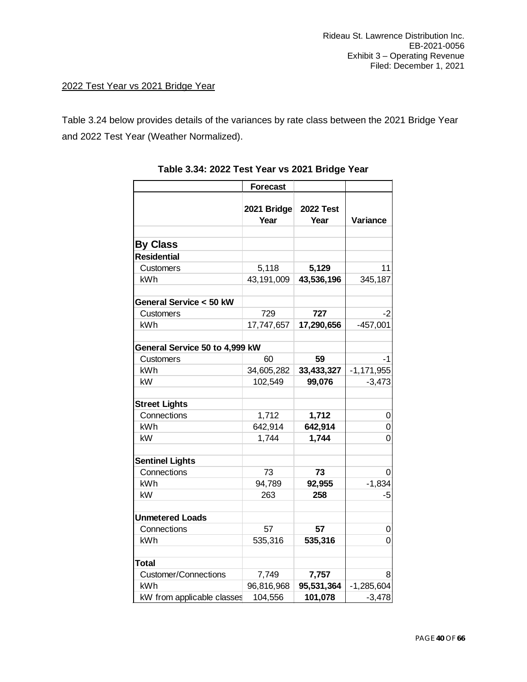### 2022 Test Year vs 2021 Bridge Year

Table 3.24 below provides details of the variances by rate class between the 2021 Bridge Year and 2022 Test Year (Weather Normalized).

|                                | <b>Forecast</b>     |                          |                |
|--------------------------------|---------------------|--------------------------|----------------|
|                                | 2021 Bridge<br>Year | <b>2022 Test</b><br>Year | Variance       |
| <b>By Class</b>                |                     |                          |                |
| <b>Residential</b>             |                     |                          |                |
| Customers                      | 5,118               | 5,129                    | 11             |
| kWh                            | 43,191,009          | 43,536,196               | 345,187        |
|                                |                     |                          |                |
| General Service < 50 kW        |                     |                          |                |
| Customers                      | 729                 | 727                      | -2             |
| kWh                            | 17,747,657          | 17,290,656               | $-457,001$     |
|                                |                     |                          |                |
| General Service 50 to 4,999 kW |                     |                          |                |
| Customers                      | 60                  | 59                       | -1             |
| kWh                            | 34,605,282          | 33,433,327               | $-1, 171, 955$ |
| kW                             | 102,549             | 99,076                   | $-3,473$       |
|                                |                     |                          |                |
| <b>Street Lights</b>           |                     |                          |                |
| Connections                    | 1,712               | 1,712                    | 0              |
| kWh                            | 642,914             | 642,914                  | 0              |
| kW                             | 1,744               | 1,744                    | 0              |
| <b>Sentinel Lights</b>         |                     |                          |                |
| Connections                    | 73                  | 73                       | 0              |
| kWh                            | 94,789              | 92,955                   | $-1,834$       |
| kW                             | 263                 | 258                      | -5             |
|                                |                     |                          |                |
| <b>Unmetered Loads</b>         |                     |                          |                |
| Connections                    | 57                  | 57                       | 0              |
| kWh                            | 535,316             | 535,316                  | 0              |
|                                |                     |                          |                |
| <b>Total</b>                   |                     |                          |                |
| <b>Customer/Connections</b>    | 7,749               | 7,757                    | 8              |
| kWh                            | 96,816,968          | 95,531,364               | $-1,285,604$   |
| kW from applicable classes     | 104,556             | 101,078                  | $-3,478$       |

| Table 3.34: 2022 Test Year vs 2021 Bridge Year |  |
|------------------------------------------------|--|
|------------------------------------------------|--|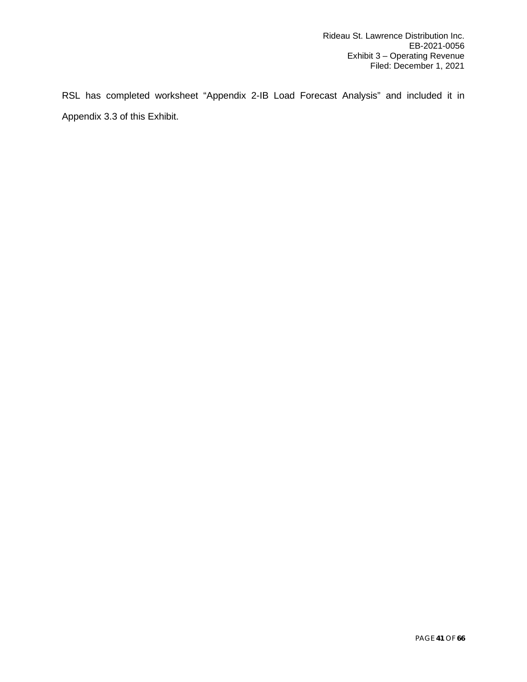RSL has completed worksheet "Appendix 2-IB Load Forecast Analysis" and included it in Appendix 3.3 of this Exhibit.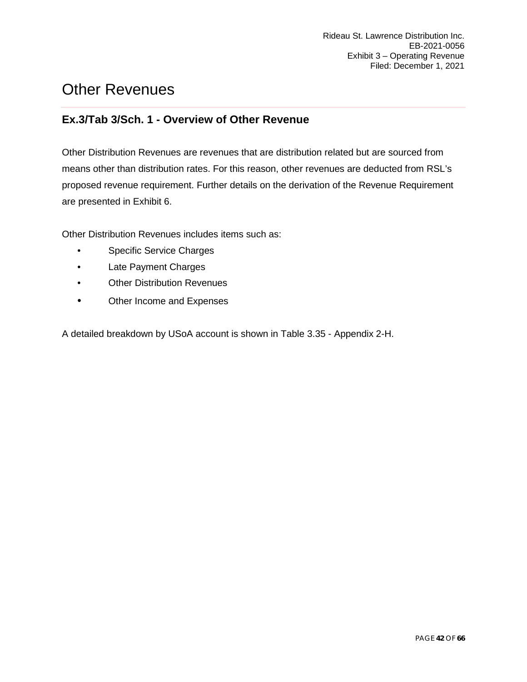# <span id="page-41-0"></span>Other Revenues

### <span id="page-41-1"></span>**Ex.3/Tab 3/Sch. 1 - Overview of Other Revenue**

Other Distribution Revenues are revenues that are distribution related but are sourced from means other than distribution rates. For this reason, other revenues are deducted from RSL's proposed revenue requirement. Further details on the derivation of the Revenue Requirement are presented in Exhibit 6.

Other Distribution Revenues includes items such as:

- Specific Service Charges
- Late Payment Charges
- Other Distribution Revenues
- Other Income and Expenses

A detailed breakdown by USoA account is shown in Table 3.35 - Appendix 2-H.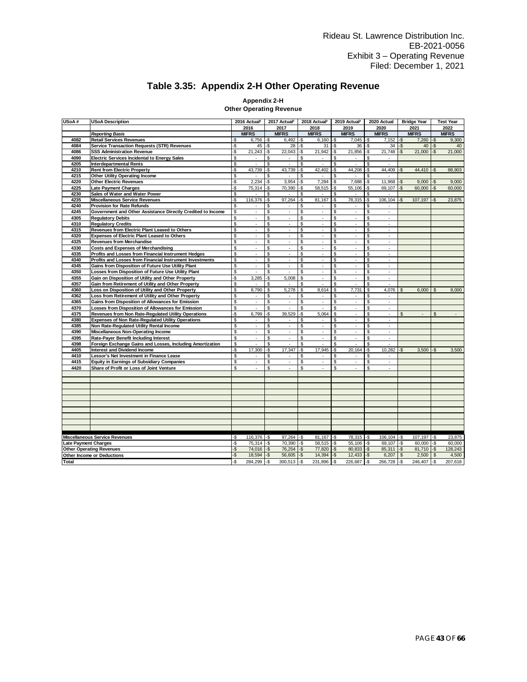### **Table 3.35: Appendix 2-H Other Operating Revenue**

### **Appendix 2-H**

|  |  |  |  |  | Other Operating Revenue |
|--|--|--|--|--|-------------------------|
|--|--|--|--|--|-------------------------|

| 2017<br>2018<br>2019<br>2020<br>2016<br>2021<br><b>MIFRS</b><br><b>MIFRS</b><br><b>MIFRS</b><br><b>MIFRS</b><br><b>MIFRS</b><br><b>MIFRS</b><br><b>Reporting Basis</b><br>4082<br>-\$<br>-\$<br>7,045<br>$-5$<br><b>Retail Services Revenues</b><br>-S<br>6,756<br>-\$<br>6,492<br>6,160<br>-\$<br>7,152<br>Service Transaction Requests (STR) Revenues<br>$28 - $$<br>-\$<br>-\$<br>$34 - $$<br>4084<br>-\$<br>45<br>-\$<br>31<br>36 | 2022<br><b>MIFRS</b><br>-\$<br>7,260<br>9,300<br>-\$<br>40<br>40 |
|---------------------------------------------------------------------------------------------------------------------------------------------------------------------------------------------------------------------------------------------------------------------------------------------------------------------------------------------------------------------------------------------------------------------------------------|------------------------------------------------------------------|
|                                                                                                                                                                                                                                                                                                                                                                                                                                       |                                                                  |
|                                                                                                                                                                                                                                                                                                                                                                                                                                       |                                                                  |
|                                                                                                                                                                                                                                                                                                                                                                                                                                       |                                                                  |
|                                                                                                                                                                                                                                                                                                                                                                                                                                       |                                                                  |
| -\$<br>21,243<br>22,043<br>-\$<br>21,942<br>-S<br>21,856<br>21,748<br>4086<br><b>SSS Administration Revenue</b><br>-S<br>-S<br>S.                                                                                                                                                                                                                                                                                                     | 21,000<br>-\$<br>21.000                                          |
| \$<br>S<br>4090<br>S<br>\$<br>\$<br><b>Electric Services Incidental to Energy Sales</b><br>٠<br>٠<br>٠<br>٠<br>٠                                                                                                                                                                                                                                                                                                                      |                                                                  |
| \$<br>\$<br>\$<br>\$<br>\$<br>4205<br><b>Interdepartmental Rents</b><br>ä,                                                                                                                                                                                                                                                                                                                                                            |                                                                  |
| -S<br>4210<br><b>Rent from Electric Property</b><br>43,739<br>-\$<br>43,739<br>-\$<br>42,402<br>-\$<br>44,208<br>-\$<br>44,409<br>S.                                                                                                                                                                                                                                                                                                  | 44,410<br>-\$<br>88,903                                          |
| \$<br>\$<br>\$<br>4215<br>Other Utility Operating Income<br>\$<br>\$<br>٠<br>٠<br>×<br>٠                                                                                                                                                                                                                                                                                                                                              |                                                                  |
| -\$<br>4220<br><b>Other Electric Revenues</b><br>2,234<br>-\$<br>3,954<br>-\$<br>7,284<br>-\$<br>7,688<br>-\$<br>11,968<br>$-5$                                                                                                                                                                                                                                                                                                       | 9,000<br>$-\$$<br>9,000                                          |
| 4225<br>-\$<br>$-$ \$<br>58,515<br>-\$<br>55,106<br>69,107<br>-\$<br>Late Payment Charges<br>75,314<br>-\$<br>70,390<br>-\$                                                                                                                                                                                                                                                                                                           | $-5$<br>60,000<br>60,000                                         |
| $\boldsymbol{\mathsf{s}}$<br>S<br>$\mathbf{\hat{s}}$<br>4230<br>\$<br>\$<br>Sales of Water and Water Power<br>÷.<br>ä,<br>ä,                                                                                                                                                                                                                                                                                                          |                                                                  |
| -\$<br>116,376<br>-S<br>97,264<br>$-$ \$<br>81,167<br>-\$<br>78,315<br>106,104<br>4235<br>-\$<br>-\$<br>Miscellaneous Service Revenues                                                                                                                                                                                                                                                                                                | 107,197<br>$-\$$<br>23,875                                       |
| \$<br>4240<br><b>Provision for Rate Refunds</b><br>\$<br>\$<br>\$<br>\$<br>$\overline{\phantom{a}}$<br>$\overline{\phantom{a}}$<br>$\sim$<br>$\overline{\phantom{a}}$<br>٠                                                                                                                                                                                                                                                            |                                                                  |
| \$<br>\$<br>\$<br>4245<br>Government and Other Assistance Directly Credited to Income<br>$\mathcal{L}$<br>S<br>$\mathcal{L}$<br>\$<br>÷.<br>÷.<br>÷.                                                                                                                                                                                                                                                                                  |                                                                  |
| \$<br>\$<br>\$<br>\$<br>\$<br>4305<br><b>Regulatory Debits</b><br>÷<br>$\overline{\phantom{a}}$<br>÷,<br>$\overline{\phantom{a}}$<br>$\overline{\phantom{a}}$                                                                                                                                                                                                                                                                         |                                                                  |
| \$<br>\$<br>$\mathbf{\hat{s}}$<br>4310<br><b>Regulatory Credits</b><br>\$<br>\$<br>÷,<br>÷.<br>J.<br>×,<br>ä,                                                                                                                                                                                                                                                                                                                         |                                                                  |
| \$<br>\$<br>\$<br>4315<br>\$<br>\$<br>Revenues from Electric Plant Leased to Others<br>÷.<br>$\sim$<br>$\tilde{\phantom{a}}$<br>$\overline{\phantom{a}}$<br>$\overline{\phantom{a}}$                                                                                                                                                                                                                                                  |                                                                  |
| s<br>\$<br>\$<br>\$<br>\$<br>4320<br><b>Expenses of Electric Plant Leased to Others</b><br>ä,<br>$\overline{\phantom{a}}$<br>$\overline{\phantom{a}}$<br>$\overline{\phantom{a}}$<br>$\overline{\phantom{a}}$                                                                                                                                                                                                                         |                                                                  |
| S<br>4325<br><b>Revenues from Merchandise</b><br>à.<br>S<br>\$<br>\$<br>\$<br>$\epsilon$<br>$\epsilon$<br>$\overline{\phantom{a}}$<br>$\overline{\phantom{a}}$                                                                                                                                                                                                                                                                        |                                                                  |
| S<br>4330<br><b>Costs and Expenses of Merchandising</b><br>\$<br>\$<br>\$<br>\$<br>$\overline{\phantom{a}}$<br>$\sim$<br>$\overline{\phantom{a}}$<br>$\overline{\phantom{a}}$<br>×,                                                                                                                                                                                                                                                   |                                                                  |
| \$<br>S<br>\$<br>\$<br>\$<br>4335<br>Profits and Losses from Financial Instrument Hedges<br>ä,<br>×,<br>Ĭ.<br>ä,                                                                                                                                                                                                                                                                                                                      |                                                                  |
| \$<br>\$<br>\$<br>4340<br>à,<br>\$<br>\$<br>Profits and Losses from Financial Instrument Investments<br>$\mathcal{L}_{\mathcal{A}}$<br>$\overline{\phantom{a}}$<br>$\overline{\phantom{a}}$<br>÷.                                                                                                                                                                                                                                     |                                                                  |
| \$<br>$\mathfrak{s}$<br>Gains from Disposition of Future Use Utility Plant<br>\$<br>\$<br>\$<br>4345<br>÷,<br>$\overline{\phantom{a}}$<br>$\overline{\phantom{a}}$<br>$\overline{\phantom{a}}$<br>$\overline{\phantom{a}}$                                                                                                                                                                                                            |                                                                  |
| \$<br>$\mathfrak{s}$<br>\$<br>\$<br>4350<br>Losses from Disposition of Future Use Utility Plant<br>$\overline{\phantom{a}}$<br>$\overline{\phantom{a}}$<br>$\overline{\phantom{a}}$<br>\$<br>$\overline{\phantom{a}}$<br>$\sim$                                                                                                                                                                                                       |                                                                  |
| -\$<br>3,285<br>5,008<br>4355<br>Gain on Disposition of Utility and Other Property<br>.\$<br>\$<br>\$<br>\$<br>$\overline{\phantom{a}}$<br>$\overline{\phantom{a}}$<br>$\overline{\phantom{a}}$                                                                                                                                                                                                                                       |                                                                  |
| \$<br>\$<br>\$<br>4357<br>Gain from Retirement of Utility and Other Property<br>\$<br>\$                                                                                                                                                                                                                                                                                                                                              |                                                                  |
| S<br>\$<br>\$<br>\$<br>\$<br>4360<br>Loss on Disposition of Utility and Other Property<br>8,790<br>5,278<br>8,614<br>7,731<br>4.076<br>\$                                                                                                                                                                                                                                                                                             | 6,000<br>$\mathfrak{s}$<br>8,000                                 |
| \$<br>\$<br>\$<br>\$<br>4362<br>Loss from Retirement of Utility and Other Property<br>\$<br>$\overline{\phantom{a}}$<br>$\overline{\phantom{a}}$<br>÷<br>$\overline{\phantom{a}}$<br>$\overline{\phantom{a}}$                                                                                                                                                                                                                         |                                                                  |
| $\mathsf{S}$<br>\$<br>\$<br>\$<br>\$<br>4365<br>Gains from Disposition of Allowances for Emission<br>÷,<br>$\overline{\phantom{a}}$<br>$\sim$<br>$\overline{\phantom{a}}$<br>÷.                                                                                                                                                                                                                                                       |                                                                  |
| 4370<br>Losses from Disposition of Allowances for Emission<br>\$<br>\$<br>\$<br>\$<br>\$<br>$\overline{\phantom{a}}$<br>$\overline{\phantom{a}}$<br>×.<br>$\sim$                                                                                                                                                                                                                                                                      |                                                                  |
| 4375<br>-\$<br>6,799<br>-\$<br>39,529<br>-\$<br>5,064<br>\$<br>Revenues from Non Rate-Regulated Utility Operations<br>$\mathbf{r}$<br>\$<br>$\mathcal{L}_{\mathcal{A}}$<br>$\mathfrak{L}$                                                                                                                                                                                                                                             | ÷.<br>\$<br>÷.                                                   |
| \$<br>\$<br>\$<br>\$<br>\$<br>4380<br><b>Expenses of Non Rate-Regulated Utility Operations</b><br>$\overline{\phantom{a}}$<br>$\overline{\phantom{a}}$<br>$\overline{\phantom{a}}$<br>٠<br>$\overline{\phantom{a}}$                                                                                                                                                                                                                   |                                                                  |
| \$<br>\$<br>\$<br>\$<br>\$<br>4385<br>Non Rate-Regulated Utility Rental Income<br>$\overline{\phantom{a}}$<br>$\overline{\phantom{a}}$<br>$\sim$<br>$\overline{\phantom{a}}$<br>÷.                                                                                                                                                                                                                                                    |                                                                  |
| $\mathsf{S}$<br>\$<br>\$<br>\$<br>\$<br>4390<br>Miscellaneous Non-Operating Income<br>$\overline{\phantom{a}}$<br>$\epsilon$<br>$\sim$<br>$\sim$<br>$\sim$                                                                                                                                                                                                                                                                            |                                                                  |
| \$<br>4395<br>Rate-Payer Benefit Including Interest<br>\$<br>\$<br>\$<br>\$<br>÷,<br>$\mathcal{L}$<br>$\epsilon$<br>ä,<br>$\sim$                                                                                                                                                                                                                                                                                                      |                                                                  |
| 4398<br>Foreign Exchange Gains and Losses, Including Amortization<br>\$<br>\$<br>\$<br>÷.<br>\$<br>$\sim$<br>\$<br>ä,<br>$\sim$<br>÷.                                                                                                                                                                                                                                                                                                 |                                                                  |
| <b>Interest and Dividend Income</b><br>-\$<br>17,300<br>-\$<br>17,347<br>-\$<br>17,945<br>-\$<br>20,164<br>-\$<br>10,282<br>4405<br>$\cdot$ \$                                                                                                                                                                                                                                                                                        | 3,500<br>3,500<br>-S                                             |
| \$<br>\$<br>\$<br>4410<br>\$<br>\$<br>Lessor's Net Investment in Finance Lease<br>×,<br>×,                                                                                                                                                                                                                                                                                                                                            |                                                                  |
| $\mathsf{S}$<br>4415<br>\$<br>\$<br>\$<br>\$<br><b>Equity in Earnings of Subsidiary Companies</b><br>÷,<br>$\overline{\phantom{a}}$<br>$\epsilon$<br>$\epsilon$<br>$\overline{\phantom{a}}$                                                                                                                                                                                                                                           |                                                                  |
| \$<br>\$<br>\$<br>\$<br>4420<br>Share of Profit or Loss of Joint Venture<br>\$<br>ä,<br>ä,<br>$\sim$                                                                                                                                                                                                                                                                                                                                  |                                                                  |
|                                                                                                                                                                                                                                                                                                                                                                                                                                       |                                                                  |
|                                                                                                                                                                                                                                                                                                                                                                                                                                       |                                                                  |
|                                                                                                                                                                                                                                                                                                                                                                                                                                       |                                                                  |
|                                                                                                                                                                                                                                                                                                                                                                                                                                       |                                                                  |
|                                                                                                                                                                                                                                                                                                                                                                                                                                       |                                                                  |
|                                                                                                                                                                                                                                                                                                                                                                                                                                       |                                                                  |
|                                                                                                                                                                                                                                                                                                                                                                                                                                       |                                                                  |
|                                                                                                                                                                                                                                                                                                                                                                                                                                       |                                                                  |
|                                                                                                                                                                                                                                                                                                                                                                                                                                       |                                                                  |
|                                                                                                                                                                                                                                                                                                                                                                                                                                       |                                                                  |
| $81,167$ -\$<br><b>Miscellaneous Service Revenues</b><br>-\$<br>116,376<br>-\$<br>$97,264$ -\$<br>78,315 -\$<br>$106, 104$ -\$                                                                                                                                                                                                                                                                                                        | $107,197$ -\$<br>23,875                                          |
| $58,515$ -\$<br><b>Late Payment Charges</b><br>-\$<br>75,314<br>-\$<br>$70,390$ -\$<br>55,106<br>$-$<br>$69,107$ -\$                                                                                                                                                                                                                                                                                                                  | 60,000<br>-\$<br>60,000                                          |
| -\$<br>$77,820$ -\$<br><b>Other Operating Revenues</b><br>74,016<br>$-$ \$<br>$76,254$ -\$<br>$80,833$ $-$ \$<br>$85,311$ -\$                                                                                                                                                                                                                                                                                                         | $81,710$ -\$<br>128,243                                          |
| Other Income or Deductions<br>-\$<br>18,594<br>-\$<br>$56,605$ $-$ \$<br>14,394<br>$-\$$<br>12,433<br>$-\$$<br>6,207<br>$\mathfrak{s}$                                                                                                                                                                                                                                                                                                | 2,500<br>$\mathfrak{s}$<br>4,500                                 |
| -\$<br>284.299<br>$-5$<br>$300,513$ -\$<br>l-\$<br>226,687 -\$<br>266,728 -\$<br>231,896<br>Total                                                                                                                                                                                                                                                                                                                                     | 246,407<br>-\$<br>207,618                                        |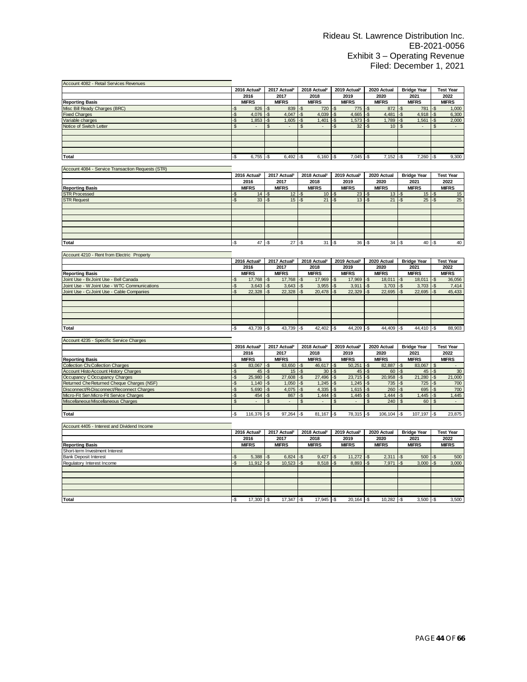| Account 4082 - Retail Services Revenues                |            |                          |              |                          |                |                          |                          |                          |                |                |                 |                    |                |                             |
|--------------------------------------------------------|------------|--------------------------|--------------|--------------------------|----------------|--------------------------|--------------------------|--------------------------|----------------|----------------|-----------------|--------------------|----------------|-----------------------------|
|                                                        |            | 2016 Actual <sup>2</sup> |              | 2017 Actual <sup>2</sup> |                | 2018 Actual <sup>2</sup> |                          | 2019 Actual <sup>2</sup> |                | 2020 Actual    |                 | <b>Bridge Year</b> |                | <b>Test Year</b>            |
|                                                        |            | 2016                     |              | 2017                     |                | 2018                     |                          | 2019                     |                | 2020           |                 | 2021               |                | 2022                        |
| <b>Reporting Basis</b>                                 |            | <b>MIFRS</b>             |              | <b>MIFRS</b>             |                | <b>MIFRS</b>             |                          | <b>MIFRS</b>             |                | <b>MIFRS</b>   |                 | <b>MIFRS</b>       |                | <b>MIFRS</b>                |
| Misc Bill Ready Charges (BRC)                          | ۰\$        | 826                      | -\$          | 839                      | -\$            | 720                      | -\$                      | 775                      | -\$            | 872            | $-$ \$          | 781                | -\$            | 1,000                       |
| <b>Fixed Charges</b>                                   | -\$        | 4.076                    | -\$          | 4.047                    | $-5$           | 4.039                    | -\$                      | 4,665                    | -\$            | 4.481          | $\overline{-S}$ | 4.918              | -\$            | 6,300                       |
| Variable charges                                       | -\$        | 1,853                    | -\$          | 1,605                    | -\$            | 1,401                    | -\$                      | 1,573                    | -\$            | 1,789          | -\$             | 1,561              | -\$            | 2,000                       |
| Notice of Switch Letter                                | \$         |                          | \$           |                          |                |                          | -\$                      | 32                       | -\$            | 10             | $\mathfrak{s}$  |                    | \$             |                             |
|                                                        |            |                          |              |                          |                |                          |                          |                          |                |                |                 |                    |                |                             |
|                                                        |            |                          |              |                          |                |                          |                          |                          |                |                |                 |                    |                |                             |
|                                                        |            |                          |              |                          |                |                          |                          |                          |                |                |                 |                    |                |                             |
|                                                        |            |                          |              |                          |                |                          |                          |                          |                |                |                 |                    |                |                             |
| <b>Total</b>                                           | -Ŝ         | 6,755                    | -S           | 6.492                    | -S             | 6.160                    | -\$                      | 7.045                    | $-5$           | 7,152          | $-5$            | 7,260              | $-5$           | 9,300                       |
|                                                        |            |                          |              |                          |                |                          |                          |                          |                |                |                 |                    |                |                             |
| Account 4084 - Service Transaction Requests (STR)      |            |                          |              |                          |                |                          |                          |                          |                |                |                 |                    |                |                             |
|                                                        |            | 2016 Actual <sup>2</sup> |              | 2017 Actual <sup>2</sup> |                | 2018 Actual <sup>2</sup> |                          | 2019 Actual <sup>2</sup> |                | 2020 Actual    |                 | <b>Bridge Year</b> |                | <b>Test Year</b>            |
|                                                        |            | 2016                     |              | 2017                     |                | 2018                     |                          | 2019                     |                | 2020           |                 | 2021               |                | 2022                        |
| <b>Reporting Basis</b>                                 |            | <b>MIFRS</b>             |              | <b>MIFRS</b>             |                | <b>MIFRS</b>             |                          | <b>MIFRS</b>             |                | <b>MIFRS</b>   |                 | <b>MIFRS</b>       |                | <b>MIFRS</b>                |
| <b>STR Processed</b>                                   | ٠S         | 14                       | -\$          | 12                       | ٠S             | 10                       | ٠\$                      | 23                       | -\$            | 13             | -\$             | 15                 | -\$            | 15                          |
| <b>STR Request</b>                                     | ۰\$        | 33                       | $-5$         | 15                       | -S             | 21                       | $-\frac{3}{2}$           | 13                       | $-5$           | 21             | -\$             | 25                 | -\$            | 25                          |
|                                                        |            |                          |              |                          |                |                          |                          |                          |                |                |                 |                    |                |                             |
|                                                        |            |                          |              |                          |                |                          |                          |                          |                |                |                 |                    |                |                             |
|                                                        |            |                          |              |                          |                |                          |                          |                          |                |                |                 |                    |                |                             |
|                                                        |            |                          |              |                          |                |                          |                          |                          |                |                |                 |                    |                |                             |
|                                                        |            |                          |              |                          |                |                          |                          |                          |                |                |                 |                    |                |                             |
|                                                        |            |                          |              |                          |                |                          |                          |                          |                |                |                 |                    |                |                             |
| Total                                                  | -\$        | 47                       | -S           | $27 - $$                 |                | $31 - $$                 |                          | 36                       | $-5$           | 34             | l-s             | $40$ -S            |                | 40                          |
|                                                        |            |                          |              |                          |                |                          |                          |                          |                |                |                 |                    |                |                             |
| Account 4210 - Rent from Electric Property             |            |                          |              |                          |                |                          |                          |                          |                |                |                 |                    |                |                             |
|                                                        |            | 2016 Actual <sup>2</sup> |              | 2017 Actual <sup>2</sup> |                | 2018 Actual <sup>2</sup> |                          | 2019 Actual <sup>2</sup> |                | 2020 Actual    |                 | <b>Bridge Year</b> |                | <b>Test Year</b>            |
|                                                        |            | 2016                     |              | 2017                     |                | 2018                     |                          | 2019                     |                | 2020           |                 | 2021               |                | 2022                        |
| <b>Reporting Basis</b>                                 |            | <b>MIFRS</b>             |              | <b>MIFRS</b>             |                | <b>MIFRS</b>             |                          | <b>MIFRS</b>             |                | <b>MIFRS</b>   |                 | <b>MIFRS</b>       |                | <b>MIFRS</b>                |
| Joint Use - Be Joint Use - Bell Canada                 | ۰\$        | 17,768                   | -\$          | 17,768                   | -\$            | 17,969                   | -\$                      | 17,969                   | -\$            | 18,011         | $-\$$           | 18,011             | -\$            | 36,056                      |
| Joint Use - W Joint Use - WTC Communications           | -\$        | 3,643                    | -\$          | 3,643                    | -\$            | 3,955                    | -\$                      | 3,911                    | -\$            | 3,703          | -\$             | 3,703              | -\$            | 7,414                       |
| Joint Use - CaJoint Use - Cable Companies              | S.         | 22.328                   | $-5$         | 22,328                   | $-5$           | 20.478                   | $\overline{\mathcal{S}}$ | 22.329                   | $-5$           | 22,695         | $-5$            | 22,695             | $-5$           | 45,433                      |
|                                                        |            |                          |              |                          |                |                          |                          |                          |                |                |                 |                    |                |                             |
|                                                        |            |                          |              |                          |                |                          |                          |                          |                |                |                 |                    |                |                             |
|                                                        |            |                          |              |                          |                |                          |                          |                          |                |                |                 |                    |                |                             |
|                                                        |            |                          |              |                          |                |                          |                          |                          |                |                |                 |                    |                |                             |
|                                                        |            |                          |              |                          |                |                          |                          |                          |                |                |                 |                    |                |                             |
| <b>Total</b>                                           | -\$        | 43,739                   | -\$          | 43,739                   | ۰\$            | 42,402                   | -\$                      | 44,209                   | -\$            | 44,409         | -\$             | $44,410$ -\$       |                | 88,903                      |
|                                                        |            |                          |              |                          |                |                          |                          |                          |                |                |                 |                    |                |                             |
| Account 4235 - Specific Service Charges                |            |                          |              |                          |                |                          |                          |                          |                |                |                 |                    |                |                             |
|                                                        |            | 2016 Actual <sup>2</sup> |              | 2017 Actual <sup>2</sup> |                | 2018 Actual <sup>2</sup> |                          | 2019 Actual <sup>2</sup> |                | 2020 Actual    |                 | <b>Bridge Year</b> |                | <b>Test Year</b>            |
|                                                        |            | 2016                     |              | 2017                     |                | 2018                     |                          | 2019                     |                | 2020           |                 | 2021               |                | 2022                        |
| <b>Reporting Basis</b>                                 |            | <b>MIFRS</b>             |              | <b>MIFRS</b>             |                | <b>MIFRS</b>             |                          | <b>MIFRS</b>             |                | <b>MIFRS</b>   |                 | <b>MIFRS</b>       |                | <b>MIFRS</b>                |
| <b>Collection Chi Collection Charges</b>               |            | 83,067                   | -\$          | 63,650                   | -\$            | 46,617                   | -\$                      | 50,251                   | -\$            | 82,887         | $-\$$           | 83,067             | $\sqrt{2}$     |                             |
| Account Histo Account History Charges                  | -\$<br>-\$ | 45                       | -\$          | 15                       | -\$            | 30                       | -\$                      | 45                       | $-5$           | 60             | -\$             | 45                 | -\$            | 30                          |
| Occupancy COccupancy Charges                           | -\$        | 25,980                   | -\$          | 27,608                   | -\$            | 27,496                   | -\$                      | 23,715                   | $-5$           | 20,958         | $-5$            | 21,280             | -\$            | 21,000                      |
| Returned Che Returned Cheque Charges (NSF)             | -\$        | 1,140                    | -\$          | 1,050                    | -\$            | 1,245                    | -\$                      | 1,245                    | -\$            | 735            | -\$             | 725                | -\$            | 700                         |
| Disconnect/R <sub>I</sub> Disconnect/Reconnect Charges | -\$        | 5,690                    |              | 4,075                    | -\$            | 4,335                    | -\$                      | 1,615                    | -\$            | 260            | -\$             | 695                | -\$            | 700                         |
| Micro-Fit ServMicro-Fit Service Charges                | -\$        | 454                      | -\$<br>-\$   | 867                      | $-$ \$         | 1,444                    | -\$                      | 1,445                    | -\$            | 1,444          | $-5$            | 1,445              | -\$            | 1,445                       |
| Miscellaneous Miscellaneous Charges                    | \$         | $\sim$                   | $\mathbf{s}$ | $\sim$                   | $\mathfrak{S}$ | $\overline{a}$           |                          | $\overline{\phantom{a}}$ | $\mathfrak{S}$ | 240            | $\mathbf{s}$    |                    | $\mathfrak{S}$ | $\mathcal{L}_{\mathcal{A}}$ |
|                                                        |            |                          |              |                          |                |                          | \$                       |                          |                |                |                 | 60                 |                |                             |
| <b>Total</b>                                           |            |                          |              |                          |                |                          |                          |                          |                |                |                 |                    |                |                             |
|                                                        | -\$        | 116,376                  | -\$          | 97,264                   | $-$ \$         | 81,167                   | -\$                      | 78,315                   | -\$            | $106, 104$ -\$ |                 | $107,197$ -\$      |                | 23,875                      |
|                                                        |            |                          |              |                          |                |                          |                          |                          |                |                |                 |                    |                |                             |
| Account 4405 - Interest and Dividend Income            |            |                          |              |                          |                |                          |                          |                          |                |                |                 |                    |                |                             |
|                                                        |            | 2016 Actual <sup>2</sup> |              | 2017 Actual <sup>2</sup> |                | 2018 Actual <sup>2</sup> |                          | 2019 Actual <sup>2</sup> |                | 2020 Actual    |                 | <b>Bridge Year</b> |                | <b>Test Year</b>            |
|                                                        |            | 2016                     |              | 2017                     |                | 2018                     |                          | 2019                     |                | 2020           |                 | 2021               |                | 2022                        |
| <b>Reporting Basis</b>                                 |            | <b>MIFRS</b>             |              | <b>MIFRS</b>             |                | <b>MIFRS</b>             |                          | <b>MIFRS</b>             |                | <b>MIFRS</b>   |                 | <b>MIFRS</b>       |                | <b>MIFRS</b>                |
| Short-term Investment Interest                         |            |                          |              |                          |                |                          |                          |                          |                |                |                 |                    |                |                             |
| <b>Bank Deposit Interest</b>                           | -\$        | 5,388                    | -\$          | 6,824                    | $\mathsf{L}$   | 9,427                    | -\$                      | 11,272                   | -\$            | $2,311$ -\$    |                 | 500                | -\$            | 500                         |
| Regulatory Interest Income                             | -\$        | 11,912                   | $-\$$        | $10,523$ -\$             |                | $8,518$ -\$              |                          | 8,893                    | $-5$           | $7,971$ -\$    |                 | 3,000              | -\$            | 3,000                       |
|                                                        |            |                          |              |                          |                |                          |                          |                          |                |                |                 |                    |                |                             |
|                                                        |            |                          |              |                          |                |                          |                          |                          |                |                |                 |                    |                |                             |
|                                                        |            |                          |              |                          |                |                          |                          |                          |                |                |                 |                    |                |                             |
|                                                        |            |                          |              |                          |                |                          |                          |                          |                |                |                 |                    |                |                             |
|                                                        |            |                          |              |                          |                |                          |                          |                          |                |                |                 |                    |                |                             |
| Total                                                  | ۰\$        | 17,300                   | -\$          | 17,347                   | -\$            | 17,945                   | -\$                      | 20,164                   | -\$            | 10,282         | l-\$            | 3,500              | -\$            | 3,500                       |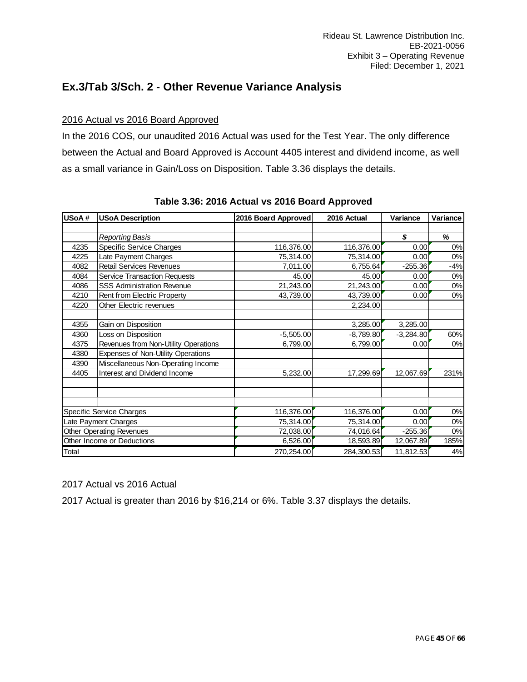### <span id="page-44-0"></span>**Ex.3/Tab 3/Sch. 2 - Other Revenue Variance Analysis**

### 2016 Actual vs 2016 Board Approved

In the 2016 COS, our unaudited 2016 Actual was used for the Test Year. The only difference between the Actual and Board Approved is Account 4405 interest and dividend income, as well as a small variance in Gain/Loss on Disposition. Table 3.36 displays the details.

| USoA# | <b>USoA Description</b>              | 2016 Board Approved | 2016 Actual | Variance    | Variance |
|-------|--------------------------------------|---------------------|-------------|-------------|----------|
|       |                                      |                     |             |             |          |
|       | Reporting Basis                      |                     |             | \$          | %        |
| 4235  | <b>Specific Service Charges</b>      | 116,376.00          | 116,376.00  | 0.00        | $0\%$    |
| 4225  | Late Payment Charges                 | 75,314.00           | 75,314.00   | 0.00        | 0%       |
| 4082  | <b>Retail Services Revenues</b>      | 7,011.00            | 6,755.64    | $-255.36$   | $-4%$    |
| 4084  | <b>Service Transaction Requests</b>  | 45.00               | 45.00       | 0.00        | 0%       |
| 4086  | <b>SSS Administration Revenue</b>    | 21,243.00           | 21,243.00   | 0.00        | 0%       |
| 4210  | Rent from Electric Property          | 43,739.00           | 43,739.00   | 0.00        | 0%       |
| 4220  | Other Electric revenues              |                     | 2,234.00    |             |          |
| 4355  | Gain on Disposition                  |                     | 3,285.00    | 3,285.00    |          |
| 4360  | Loss on Disposition                  | $-5,505.00$         | $-8,789.80$ | $-3,284.80$ | 60%      |
| 4375  | Revenues from Non-Utility Operations | 6,799.00            | 6,799.00    | 0.00        | 0%       |
| 4380  | Expenses of Non-Utility Operations   |                     |             |             |          |
| 4390  | Miscellaneous Non-Operating Income   |                     |             |             |          |
| 4405  | Interest and Dividend Income         | 5,232.00            | 17,299.69   | 12,067.69   | 231%     |
|       |                                      |                     |             |             |          |
|       | Specific Service Charges             | 116,376.00          | 116,376.00  | 0.00        | $0\%$    |
|       | Late Payment Charges                 | 75,314.00           | 75,314.00   | 0.00        | 0%       |
|       | Other Operating Revenues             | 72,038.00           | 74,016.64   | $-255.36$   | 0%       |
|       | Other Income or Deductions           | 6,526.00            | 18,593.89   | 12,067.89   | 185%     |
| Total |                                      | 270,254.00          | 284,300.53  | 11,812.53   | 4%       |

### **Table 3.36: 2016 Actual vs 2016 Board Approved**

### 2017 Actual vs 2016 Actual

2017 Actual is greater than 2016 by \$16,214 or 6%. Table 3.37 displays the details.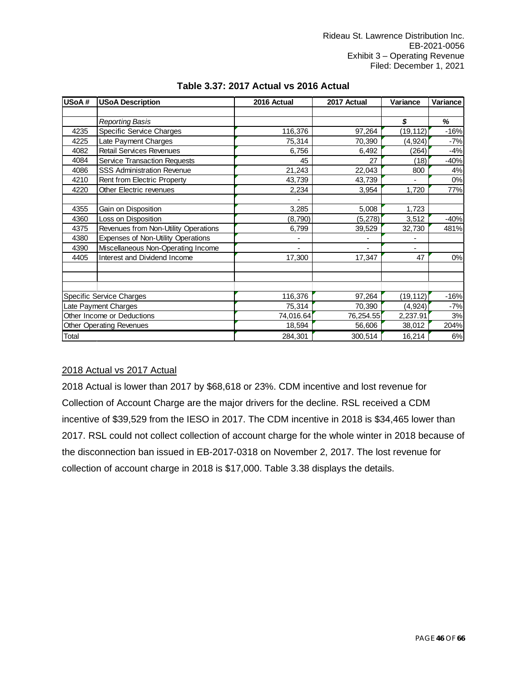| USoA# | <b>USoA Description</b>              | 2016 Actual              | 2017 Actual | Variance       | Variance |  |
|-------|--------------------------------------|--------------------------|-------------|----------------|----------|--|
|       |                                      |                          |             |                |          |  |
|       | Reporting Basis                      |                          |             | \$             | %        |  |
| 4235  | Specific Service Charges             | 116,376                  | 97,264      | (19, 112)      | $-16%$   |  |
| 4225  | Late Payment Charges                 | 75,314                   | 70,390      | (4, 924)       | $-7%$    |  |
| 4082  | <b>Retail Services Revenues</b>      | 6,756                    | 6,492       | (264)          | $-4%$    |  |
| 4084  | <b>Service Transaction Requests</b>  | 45                       | 27          | (18)           | $-40%$   |  |
| 4086  | <b>SSS Administration Revenue</b>    | 21,243                   | 22,043      | 800            | 4%       |  |
| 4210  | Rent from Electric Property          | 43,739                   | 43,739      |                | 0%       |  |
| 4220  | Other Electric revenues              | 2,234                    | 3,954       | 1,720          | 77%      |  |
|       |                                      |                          |             |                |          |  |
| 4355  | Gain on Disposition                  | 3,285                    | 5,008       | 1,723          |          |  |
| 4360  | Loss on Disposition                  | (8,790)                  | (5,278)     | 3,512          | $-40%$   |  |
| 4375  | Revenues from Non-Utility Operations | 6,799                    | 39,529      | 32,730         | 481%     |  |
| 4380  | Expenses of Non-Utility Operations   |                          |             |                |          |  |
| 4390  | Miscellaneous Non-Operating Income   | $\overline{\phantom{0}}$ |             | $\overline{a}$ |          |  |
| 4405  | Interest and Dividend Income         | 17,300                   | 17,347      | 47             | 0%       |  |
|       |                                      |                          |             |                |          |  |
|       |                                      |                          |             |                |          |  |
|       | Specific Service Charges             | 116,376                  | 97,264      | (19, 112)      | $-16%$   |  |
|       | Late Payment Charges                 | 75,314                   | 70,390      | (4, 924)       | $-7%$    |  |
|       | Other Income or Deductions           | 74,016.64                | 76,254.55   | 2,237.91       | 3%       |  |
|       | <b>Other Operating Revenues</b>      | 18,594                   | 56,606      | 38,012         | 204%     |  |
| Total |                                      | 284,301                  | 300,514     | 16,214         | 6%       |  |

### **Table 3.37: 2017 Actual vs 2016 Actual**

### 2018 Actual vs 2017 Actual

2018 Actual is lower than 2017 by \$68,618 or 23%. CDM incentive and lost revenue for Collection of Account Charge are the major drivers for the decline. RSL received a CDM incentive of \$39,529 from the IESO in 2017. The CDM incentive in 2018 is \$34,465 lower than 2017. RSL could not collect collection of account charge for the whole winter in 2018 because of the disconnection ban issued in EB-2017-0318 on November 2, 2017. The lost revenue for collection of account charge in 2018 is \$17,000. Table 3.38 displays the details.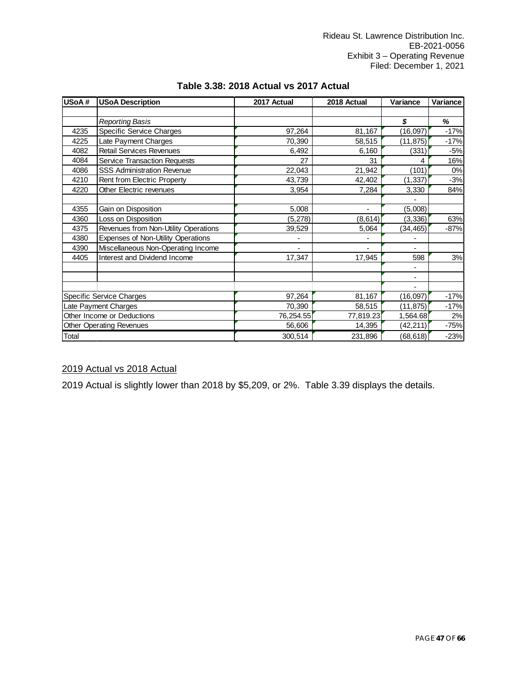| USoA# | <b>USoA Description</b>              | 2017 Actual | 2018 Actual              | Variance  | Variance |  |
|-------|--------------------------------------|-------------|--------------------------|-----------|----------|--|
|       |                                      |             |                          |           |          |  |
|       | Reporting Basis                      |             |                          | \$        | %        |  |
| 4235  | Specific Service Charges             | 97,264      | 81,167                   | (16, 097) | $-17%$   |  |
| 4225  | Late Payment Charges                 | 70,390      | 58,515                   | (11, 875) | $-17%$   |  |
| 4082  | <b>Retail Services Revenues</b>      | 6,492       | 6,160                    | (331)     | $-5%$    |  |
| 4084  | <b>Service Transaction Requests</b>  | 27          | 31                       |           | 16%      |  |
| 4086  | <b>SSS Administration Revenue</b>    | 22,043      | 21,942                   | (101)     | 0%       |  |
| 4210  | Rent from Electric Property          | 43,739      | 42,402                   | (1, 337)  | $-3%$    |  |
| 4220  | Other Electric revenues              | 3,954       | 7,284                    | 3,330     | 84%      |  |
|       |                                      |             |                          |           |          |  |
| 4355  | Gain on Disposition                  | 5,008       | $\overline{\phantom{0}}$ | (5,008)   |          |  |
| 4360  | Loss on Disposition                  | (5,278)     | (8, 614)                 | (3, 336)  | 63%      |  |
| 4375  | Revenues from Non-Utility Operations | 39,529      | 5,064                    | (34, 465) | $-87%$   |  |
| 4380  | Expenses of Non-Utility Operations   |             |                          |           |          |  |
| 4390  | Miscellaneous Non-Operating Income   | -           |                          |           |          |  |
| 4405  | Interest and Dividend Income         | 17,347      | 17,945                   | 598       | 3%       |  |
|       |                                      |             |                          |           |          |  |
|       |                                      |             |                          |           |          |  |
|       |                                      |             |                          |           |          |  |
|       | Specific Service Charges             | 97,264      | 81,167                   | (16,097)  | $-17%$   |  |
|       | Late Payment Charges                 | 70,390      | 58,515                   | (11, 875) | $-17%$   |  |
|       | Other Income or Deductions           | 76,254.55   | 77,819.23                | 1,564.68  | 2%       |  |
|       | <b>Other Operating Revenues</b>      | 56,606      | 14,395                   | (42, 211) | $-75%$   |  |
| Total |                                      | 300,514     | 231,896                  | (68, 618) | $-23%$   |  |

### **Table 3.38: 2018 Actual vs 2017 Actual**

### 2019 Actual vs 2018 Actual

2019 Actual is slightly lower than 2018 by \$5,209, or 2%. Table 3.39 displays the details.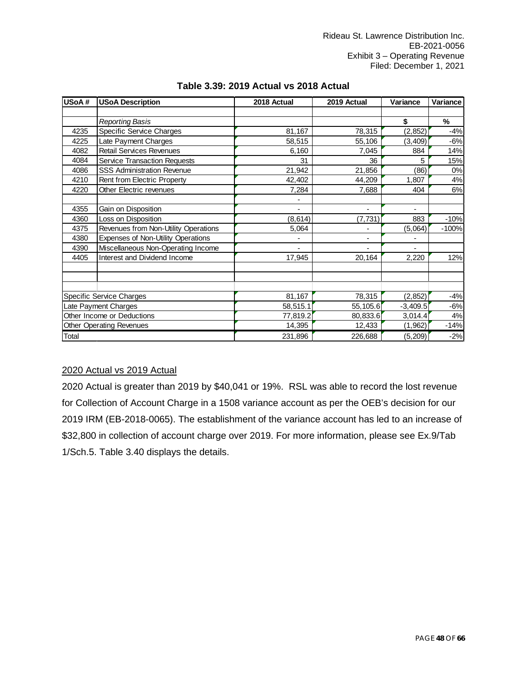| USoA# | <b>USoA Description</b>              | 2018 Actual              | 2019 Actual              | Variance       | Variance |
|-------|--------------------------------------|--------------------------|--------------------------|----------------|----------|
|       |                                      |                          |                          |                |          |
|       | Reporting Basis                      |                          |                          | \$             | %        |
| 4235  | Specific Service Charges             | 81,167                   | 78,315                   | (2, 852)       | $-4%$    |
| 4225  | Late Payment Charges                 | 58,515                   | 55,106                   | (3, 409)       | $-6%$    |
| 4082  | <b>Retail Services Revenues</b>      | 6,160                    | 7,045                    | 884            | 14%      |
| 4084  | <b>Service Transaction Requests</b>  | 31                       | 36                       | 5              | 15%      |
| 4086  | <b>SSS Administration Revenue</b>    | 21,942                   | 21,856                   | (86)           | 0%       |
| 4210  | Rent from Electric Property          | 42,402                   | 44,209                   | 1,807          | 4%       |
| 4220  | Other Electric revenues              | 7,284                    | 7,688                    | 404            | 6%       |
|       |                                      |                          |                          |                |          |
| 4355  | Gain on Disposition                  | $\overline{\phantom{a}}$ | $\overline{\phantom{0}}$ | -              |          |
| 4360  | Loss on Disposition                  | (8, 614)                 | (7, 731)                 | 883            | $-10%$   |
| 4375  | Revenues from Non-Utility Operations | 5,064                    |                          | (5,064)        | $-100%$  |
| 4380  | Expenses of Non-Utility Operations   |                          | ٠                        |                |          |
| 4390  | Miscellaneous Non-Operating Income   | $\overline{\phantom{0}}$ |                          | $\overline{a}$ |          |
| 4405  | Interest and Dividend Income         | 17,945                   | 20,164                   | 2,220          | 12%      |
|       |                                      |                          |                          |                |          |
|       |                                      |                          |                          |                |          |
|       |                                      |                          |                          |                |          |
|       | Specific Service Charges             | 81,167                   | 78,315                   | (2, 852)       | $-4%$    |
|       | Late Payment Charges                 | 58,515.1                 | 55,105.6                 | $-3,409.5$     | $-6%$    |
|       | Other Income or Deductions           | 77,819.2                 | 80,833.6                 | 3,014.4        | 4%       |
|       | <b>Other Operating Revenues</b>      | 14,395                   | 12,433                   | (1, 962)       | $-14%$   |
| Total |                                      | 231,896                  | 226,688                  | (5, 209)       | $-2%$    |

### **Table 3.39: 2019 Actual vs 2018 Actual**

### 2020 Actual vs 2019 Actual

2020 Actual is greater than 2019 by \$40,041 or 19%. RSL was able to record the lost revenue for Collection of Account Charge in a 1508 variance account as per the OEB's decision for our 2019 IRM (EB-2018-0065). The establishment of the variance account has led to an increase of \$32,800 in collection of account charge over 2019. For more information, please see Ex.9/Tab 1/Sch.5. Table 3.40 displays the details.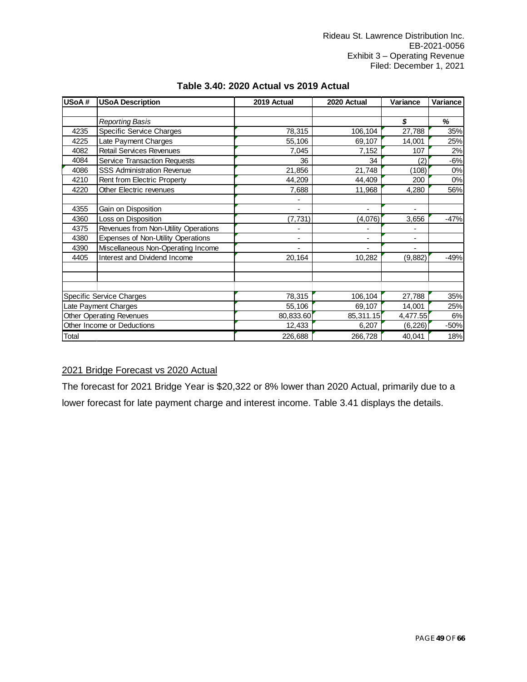| USoA# | <b>USoA Description</b>              | 2019 Actual              | 2020 Actual              | Variance       | Variance |  |
|-------|--------------------------------------|--------------------------|--------------------------|----------------|----------|--|
|       |                                      |                          |                          |                |          |  |
|       | Reporting Basis                      |                          |                          | \$             | %        |  |
| 4235  | Specific Service Charges             | 78,315                   | 106,104                  | 27,788         | 35%      |  |
| 4225  | Late Payment Charges                 | 55,106                   | 69,107                   | 14,001         | 25%      |  |
| 4082  | <b>Retail Services Revenues</b>      | 7,045                    | 7,152                    | 107            | 2%       |  |
| 4084  | <b>Service Transaction Requests</b>  | 36                       | 34                       | (2)            | $-6%$    |  |
| 4086  | <b>SSS Administration Revenue</b>    | 21,856                   | 21,748                   | (108)          | 0%       |  |
| 4210  | Rent from Electric Property          | 44,209                   | 44,409                   | 200            | $0\%$    |  |
| 4220  | Other Electric revenues              | 7,688                    | 11,968                   | 4,280          | 56%      |  |
|       |                                      |                          |                          |                |          |  |
| 4355  | Gain on Disposition                  | $\overline{\phantom{0}}$ | $\overline{\phantom{0}}$ | -              |          |  |
| 4360  | Loss on Disposition                  | (7, 731)                 | (4,076)                  | 3,656          | $-47%$   |  |
| 4375  | Revenues from Non-Utility Operations | -                        |                          |                |          |  |
| 4380  | Expenses of Non-Utility Operations   | -                        | ۰                        | ٠              |          |  |
| 4390  | Miscellaneous Non-Operating Income   | -                        |                          | $\blacksquare$ |          |  |
| 4405  | Interest and Dividend Income         | 20,164                   | 10,282                   | (9,882)        | $-49%$   |  |
|       |                                      |                          |                          |                |          |  |
|       |                                      |                          |                          |                |          |  |
|       |                                      |                          |                          |                |          |  |
|       | Specific Service Charges             | 78,315                   | 106,104                  | 27,788         | 35%      |  |
|       | Late Payment Charges                 | 55,106                   | 69,107                   | 14,001         | 25%      |  |
|       | <b>Other Operating Revenues</b>      | 80,833.60                | 85,311.15                | 4,477.55       | 6%       |  |
|       | Other Income or Deductions           | 12,433                   | 6,207                    | (6, 226)       | $-50%$   |  |
| Total |                                      | 226,688                  | 266,728                  | 40,041         | 18%      |  |

### **Table 3.40: 2020 Actual vs 2019 Actual**

### 2021 Bridge Forecast vs 2020 Actual

The forecast for 2021 Bridge Year is \$20,322 or 8% lower than 2020 Actual, primarily due to a lower forecast for late payment charge and interest income. Table 3.41 displays the details.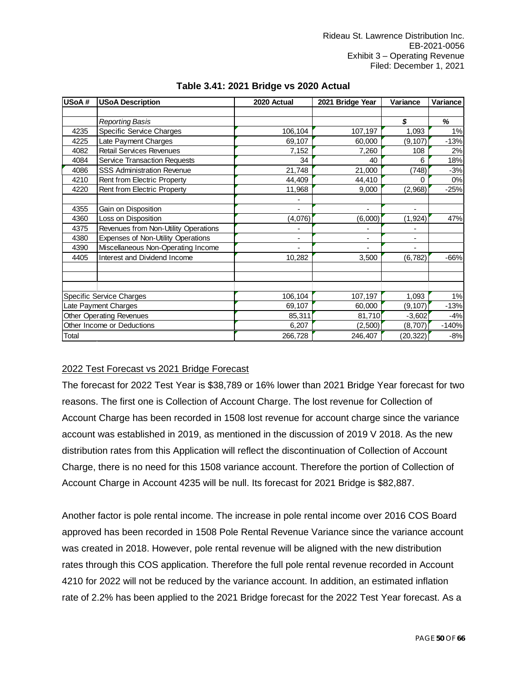| USoA# | <b>USoA Description</b>              | 2020 Actual | 2021 Bridge Year         | Variance  | Variance |  |
|-------|--------------------------------------|-------------|--------------------------|-----------|----------|--|
|       |                                      |             |                          |           |          |  |
|       | Reporting Basis                      |             |                          | \$        | %        |  |
| 4235  | Specific Service Charges             | 106,104     | 107,197                  | 1,093     | 1%       |  |
| 4225  | Late Payment Charges                 | 69,107      | 60,000                   | (9, 107)  | $-13%$   |  |
| 4082  | <b>Retail Services Revenues</b>      | 7,152       | 7,260                    | 108       | 2%       |  |
| 4084  | <b>Service Transaction Requests</b>  | 34          | 40                       | 6         | 18%      |  |
| 4086  | <b>SSS Administration Revenue</b>    | 21,748      | 21,000                   | (748)     | $-3%$    |  |
| 4210  | Rent from Electric Property          | 44,409      | 44,410                   | 0         | $0\%$    |  |
| 4220  | Rent from Electric Property          | 11,968      | 9,000                    | (2,968)   | $-25%$   |  |
|       |                                      | ٠           |                          |           |          |  |
| 4355  | Gain on Disposition                  | ٠           | $\overline{\phantom{a}}$ | ۰         |          |  |
| 4360  | Loss on Disposition                  | (4,076)     | (6,000)                  | (1, 924)  | 47%      |  |
| 4375  | Revenues from Non-Utility Operations | ٠           |                          |           |          |  |
| 4380  | Expenses of Non-Utility Operations   | ۰           | ۰                        | -         |          |  |
| 4390  | Miscellaneous Non-Operating Income   | ٠           |                          |           |          |  |
| 4405  | Interest and Dividend Income         | 10,282      | 3,500                    | (6, 782)  | $-66%$   |  |
|       |                                      |             |                          |           |          |  |
|       |                                      |             |                          |           |          |  |
|       |                                      |             |                          |           |          |  |
|       | Specific Service Charges             | 106,104     | 107,197                  | 1,093     | 1%       |  |
|       | Late Payment Charges                 | 69,107      | 60,000                   | (9, 107)  | $-13%$   |  |
|       | <b>Other Operating Revenues</b>      | 85,311      | 81,710                   | $-3,602$  | $-4%$    |  |
|       | Other Income or Deductions           | 6,207       | (2,500)                  | (8,707)   | $-140%$  |  |
| Total |                                      | 266,728     | 246,407                  | (20, 322) | $-8%$    |  |

### **Table 3.41: 2021 Bridge vs 2020 Actual**

### 2022 Test Forecast vs 2021 Bridge Forecast

The forecast for 2022 Test Year is \$38,789 or 16% lower than 2021 Bridge Year forecast for two reasons. The first one is Collection of Account Charge. The lost revenue for Collection of Account Charge has been recorded in 1508 lost revenue for account charge since the variance account was established in 2019, as mentioned in the discussion of 2019 V 2018. As the new distribution rates from this Application will reflect the discontinuation of Collection of Account Charge, there is no need for this 1508 variance account. Therefore the portion of Collection of Account Charge in Account 4235 will be null. Its forecast for 2021 Bridge is \$82,887.

Another factor is pole rental income. The increase in pole rental income over 2016 COS Board approved has been recorded in 1508 Pole Rental Revenue Variance since the variance account was created in 2018. However, pole rental revenue will be aligned with the new distribution rates through this COS application. Therefore the full pole rental revenue recorded in Account 4210 for 2022 will not be reduced by the variance account. In addition, an estimated inflation rate of 2.2% has been applied to the 2021 Bridge forecast for the 2022 Test Year forecast. As a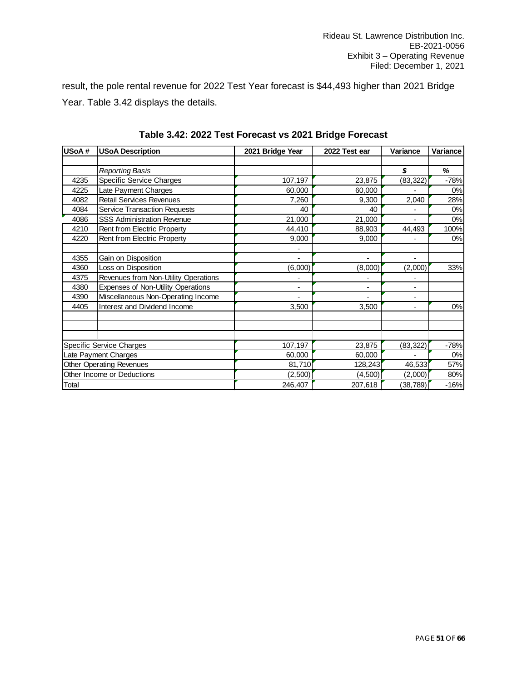result, the pole rental revenue for 2022 Test Year forecast is \$44,493 higher than 2021 Bridge Year. Table 3.42 displays the details.

| USoA# | <b>USoA Description</b>              | 2021 Bridge Year | 2022 Test ear | Variance                 | Variance |
|-------|--------------------------------------|------------------|---------------|--------------------------|----------|
|       |                                      |                  |               |                          |          |
|       | Reporting Basis                      |                  |               | \$                       | %        |
| 4235  | Specific Service Charges             | 107,197          | 23,875        | (83, 322)                | $-78%$   |
| 4225  | Late Payment Charges                 | 60,000           | 60,000        |                          | 0%       |
| 4082  | <b>Retail Services Revenues</b>      | 7,260            | 9,300         | 2,040                    | 28%      |
| 4084  | <b>Service Transaction Requests</b>  | 40               | 40            |                          | 0%       |
| 4086  | <b>SSS Administration Revenue</b>    | 21,000           | 21,000        | L,                       | 0%       |
| 4210  | Rent from Electric Property          | 44,410           | 88,903        | 44,493                   | 100%     |
| 4220  | Rent from Electric Property          | 9,000            | 9,000         | $\overline{a}$           | 0%       |
|       |                                      |                  |               |                          |          |
| 4355  | Gain on Disposition                  | -                | -             | $\overline{\phantom{m}}$ |          |
| 4360  | Loss on Disposition                  | (6,000)          | (8,000)       | (2,000)                  | 33%      |
| 4375  | Revenues from Non-Utility Operations |                  |               |                          |          |
| 4380  | Expenses of Non-Utility Operations   | ٠                | ۰             |                          |          |
| 4390  | Miscellaneous Non-Operating Income   |                  |               | $\overline{a}$           |          |
| 4405  | Interest and Dividend Income         | 3,500            | 3,500         | $\overline{a}$           | 0%       |
|       |                                      |                  |               |                          |          |
|       |                                      |                  |               |                          |          |
|       |                                      |                  |               |                          |          |
|       | <b>Specific Service Charges</b>      | 107,197          | 23,875        | (83, 322)                | $-78%$   |
|       | Late Payment Charges                 | 60,000           | 60,000        |                          | 0%       |
|       | <b>Other Operating Revenues</b>      | 81,710           | 128,243       | 46,533                   | 57%      |
|       | Other Income or Deductions           | (2,500)          | (4,500)       | (2,000)                  | 80%      |
| Total |                                      | 246,407          | 207,618       | (38, 789)                | $-16%$   |

**Table 3.42: 2022 Test Forecast vs 2021 Bridge Forecast**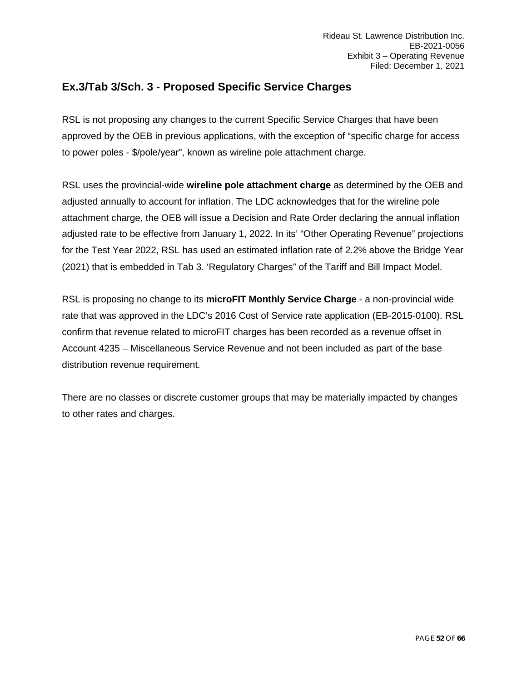### <span id="page-51-0"></span>**Ex.3/Tab 3/Sch. 3 - Proposed Specific Service Charges**

RSL is not proposing any changes to the current Specific Service Charges that have been approved by the OEB in previous applications, with the exception of "specific charge for access to power poles - \$/pole/year", known as wireline pole attachment charge.

RSL uses the provincial-wide **wireline pole attachment charge** as determined by the OEB and adjusted annually to account for inflation. The LDC acknowledges that for the wireline pole attachment charge, the OEB will issue a Decision and Rate Order declaring the annual inflation adjusted rate to be effective from January 1, 2022. In its' "Other Operating Revenue" projections for the Test Year 2022, RSL has used an estimated inflation rate of 2.2% above the Bridge Year (2021) that is embedded in Tab 3. 'Regulatory Charges" of the Tariff and Bill Impact Model.

RSL is proposing no change to its **microFIT Monthly Service Charge** - a non-provincial wide rate that was approved in the LDC's 2016 Cost of Service rate application (EB-2015-0100). RSL confirm that revenue related to microFIT charges has been recorded as a revenue offset in Account 4235 – Miscellaneous Service Revenue and not been included as part of the base distribution revenue requirement.

There are no classes or discrete customer groups that may be materially impacted by changes to other rates and charges.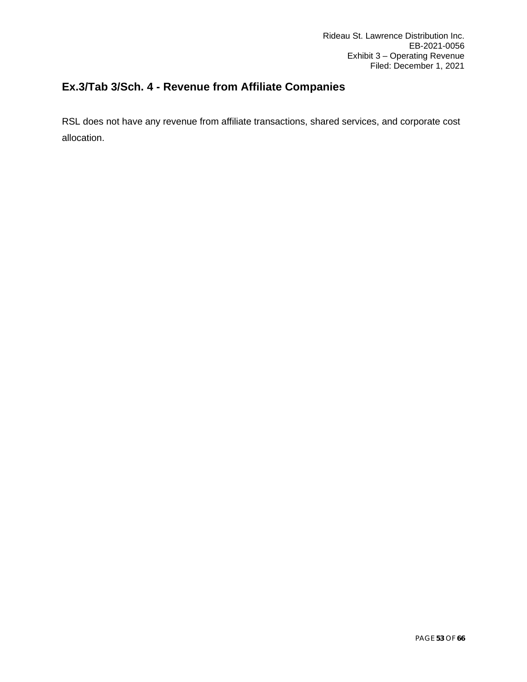# <span id="page-52-0"></span>**Ex.3/Tab 3/Sch. 4 - Revenue from Affiliate Companies**

RSL does not have any revenue from affiliate transactions, shared services, and corporate cost allocation.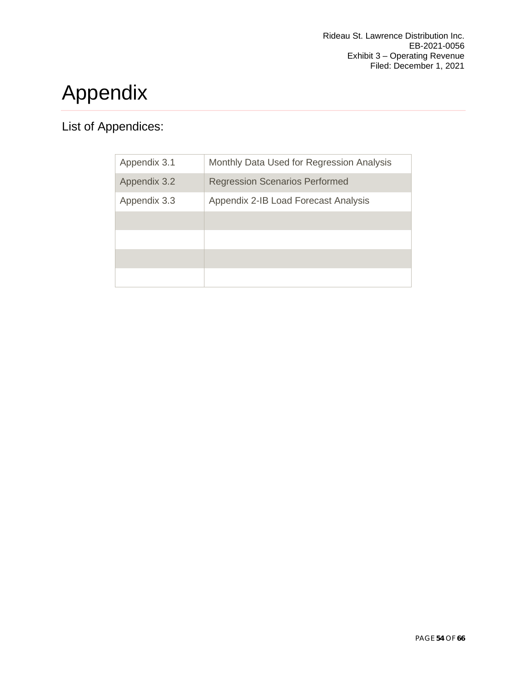# <span id="page-53-0"></span>Appendix

# List of Appendices:

| Appendix 3.1 | Monthly Data Used for Regression Analysis |
|--------------|-------------------------------------------|
| Appendix 3.2 | <b>Regression Scenarios Performed</b>     |
| Appendix 3.3 | Appendix 2-IB Load Forecast Analysis      |
|              |                                           |
|              |                                           |
|              |                                           |
|              |                                           |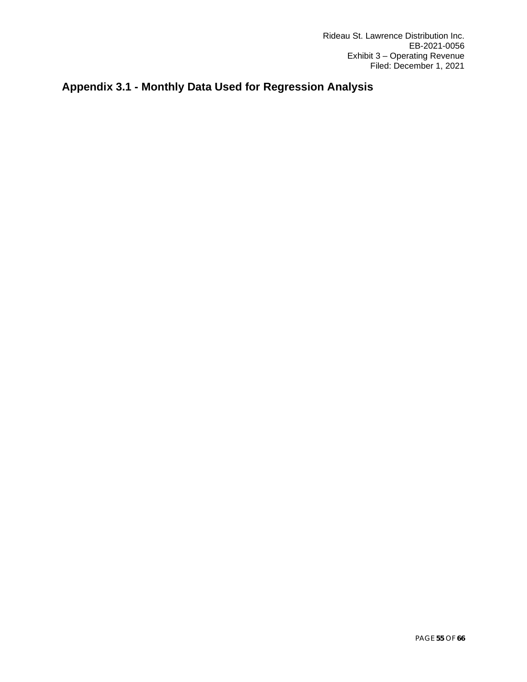# <span id="page-54-0"></span>**Appendix 3.1 - Monthly Data Used for Regression Analysis**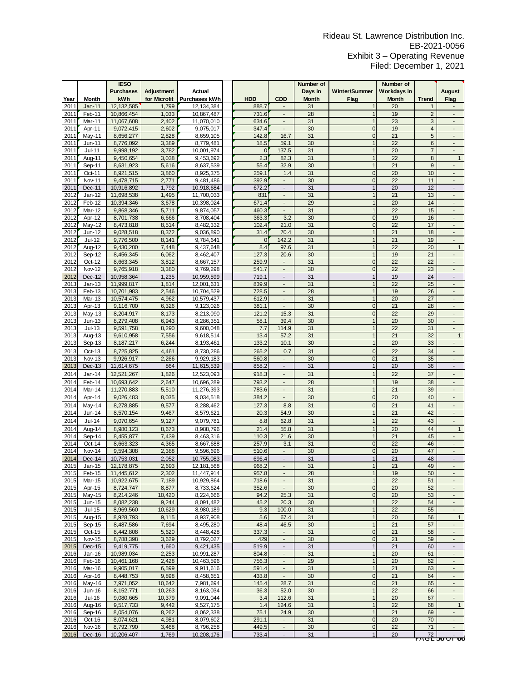|      |               | <b>IESO</b>      |                   |               |              |                          | Number of    |                | Number of   |                         |                          |
|------|---------------|------------------|-------------------|---------------|--------------|--------------------------|--------------|----------------|-------------|-------------------------|--------------------------|
|      |               | <b>Purchases</b> | <b>Adjustment</b> | Actual        |              |                          | Days in      | Winter/Summer  | Workdays in |                         | August                   |
| Year | <b>Month</b>  | kWh              | for Microfit      | Purchases kWh | <b>HDD</b>   | CDD                      | <b>Month</b> | Flag           | Month       | <b>Trend</b>            | Flag                     |
| 2011 | Jan-11        | 12, 132, 585     | 1,799             | 12.134.384    | 888.7        |                          | 31           |                | 20          | 1                       |                          |
| 2011 | Feb-11        | 10,866,454       | 1,033             | 10,867,487    | 731.6        | $\overline{\phantom{a}}$ | 28           | $\overline{1}$ | 19          | $\mathbf 2$             | Ξ                        |
| 2011 | Mar-11        | 11,067,608       | 2,402             | 11,070,010    | 634.6        | $\overline{\phantom{a}}$ | 31           | $\overline{1}$ | 23          | 3                       | $\overline{\phantom{a}}$ |
| 2011 | Apr-11        | 9,072,415        | 2,602             | 9,075,017     | 347.4        | $\overline{a}$           | 30           | $\Omega$       | 19          | $\overline{\mathbf{4}}$ | $\overline{\phantom{a}}$ |
| 2011 | May-11        | 8,656,277        | 2,828             | 8,659,105     | 142.8        | 16.7                     | 31           | $\overline{0}$ | 21          | 5                       | ä,                       |
|      | $Jun-11$      |                  |                   |               |              | 59.1                     |              | $\overline{1}$ | 22          |                         | ÷,                       |
| 2011 |               | 8,776,092        | 3,389             | 8,779,481     | 18.5         |                          | 30           | $\overline{1}$ |             | 6                       |                          |
| 2011 | $Jul-11$      | 9,998,192        | 3,782             | 10,001,974    | $\mathbf{0}$ | 137.5                    | 31           |                | 20          | $\overline{7}$          | ÷,                       |
| 2011 | Aug-11        | 9,450,654        | 3,038             | 9,453,692     | 2.3          | 82.3                     | 31           | $\overline{1}$ | 22          | 8                       | $\mathbf{1}$             |
| 2011 | Sep-11        | 8,631,923        | 5,616             | 8,637,539     | 55.4         | 32.9                     | 30           | $\overline{1}$ | 21          | 9                       | $\overline{\phantom{a}}$ |
| 2011 | Oct-11        | 8,921,515        | 3,860             | 8,925,375     | 259.1        | 1.4                      | 31           | $\overline{0}$ | 20          | 10                      | $\overline{a}$           |
| 2011 | Nov-11        | 9,478,715        | 2,771             | 9,481,486     | 392.9        | $\overline{\phantom{a}}$ | 30           | $\overline{0}$ | 22          | 11                      | $\overline{\phantom{a}}$ |
| 2011 | Dec-11        | 10,916,892       | 1,792             | 10,918,684    | 672.2        |                          | 31           | 1              | 20          | 12                      |                          |
| 2012 | $Jan-12$      | 11,698,538       | 1,495             | 11,700,033    | 831          | L.                       | 31           | $\mathbf{1}$   | 21          | 13                      | L.                       |
| 2012 | Feb-12        | 10,394,346       | 3,678             | 10,398,024    | 671.4        | $\Box$                   | 29           | $\overline{1}$ | 20          | 14                      | $\overline{a}$           |
| 2012 | Mar-12        | 9,868,346        | 5,711             | 9,874,057     | 460.3        | L.                       | 31           | $\overline{1}$ | 22          | 15                      | L.                       |
| 2012 | Apr-12        | 8,701,738        | 6,666             | 8,708,404     | 363.3        | 3.2                      | 30           | $\overline{0}$ | 19          | 16                      | $\overline{\phantom{a}}$ |
| 2012 | May-12        | 8,473,818        | 8,514             | 8,482,332     | 102.4        | 21.0                     | 31           | $\overline{0}$ | 22          | 17                      |                          |
| 2012 | Jun-12        | 9,028,518        | 8,372             | 9,036,890     | 31.4         | 70.4                     | 30           | $\overline{1}$ | 21          | 18                      | ÷,                       |
| 2012 | Jul-12        | 9,776,500        | 8,141             | 9,784,641     | $\mathbf{0}$ | 142.2                    | 31           |                | 21          | 19                      |                          |
| 2012 | Aug-12        | 9,430,200        | 7,448             | 9,437,648     | 8.4          | 97.6                     | 31           | $\overline{1}$ | 22          | 20                      | $\mathbf{1}$             |
| 2012 | Sep-12        | 8,456,345        | 6,062             | 8,462,407     | 127.3        | 20.6                     | 30           | $\mathbf{1}$   | 19          | 21                      | L.                       |
| 2012 | Oct-12        | 8,663,345        | 3,812             | 8,667,157     | 259.9        | $\Box$                   | 31           | $\mathbf 0$    | 22          | 22                      |                          |
| 2012 | <b>Nov-12</b> | 9,765,918        | 3,380             | 9,769,298     | 541.7        | $\overline{\phantom{a}}$ | 30           | $\overline{0}$ | 22          | 23                      | $\blacksquare$           |
|      |               |                  |                   |               |              |                          |              |                |             |                         |                          |
| 2012 | Dec-12        | 10,958,364       | 1,235             | 10,959,599    | 719.1        | $\overline{a}$           | 31           | $\overline{1}$ | 19          | 24                      |                          |
| 2013 | $Jan-13$      | 11,999,817       | 1,814             | 12,001,631    | 839.9        | $\blacksquare$           | 31           | $\overline{1}$ | 22          | 25                      | Ξ                        |
| 2013 | Feb-13        | 10,701,983       | 2,546             | 10,704,529    | 728.5        | $\overline{a}$           | 28           |                | 19          | 26                      |                          |
| 2013 | Mar-13        | 10,574,475       | 4,962             | 10,579,437    | 612.9        |                          | 31           | $\overline{1}$ | 20          | 27                      |                          |
| 2013 | Apr-13        | 9.116.700        | 6,326             | 9,123,026     | 381.1        | $\mathbf{r}$             | 30           | $\overline{0}$ | 21          | 28                      | L.                       |
| 2013 | $May-13$      | 8,204,917        | 8,173             | 8,213,090     | 121.2        | 15.3                     | 31           | $\mathbf 0$    | 22          | 29                      | $\overline{a}$           |
| 2013 | $Jun-13$      | 8,279,408        | 6,943             | 8,286,351     | 58.1         | 39.4                     | 30           | $\overline{1}$ | 20          | 30                      | $\overline{\phantom{a}}$ |
| 2013 | $Jul-13$      | 9,591,758        | 8,290             | 9,600,048     | 7.7          | 114.9                    | 31           | $\overline{1}$ | 22          | 31                      | $\overline{\phantom{a}}$ |
| 2013 | Aug-13        | 9,610,958        | 7,556             | 9,618,514     | 13.4         | 57.2                     | 31           | $\overline{1}$ | 21          | 32                      | $\mathbf{1}$             |
| 2013 | Sep-13        | 8,187,217        | 6,244             | 8,193,461     | 133.2        | 10.1                     | 30           | 1              | 20          | 33                      |                          |
| 2013 | Oct-13        | 8,725,825        | 4,461             | 8,730,286     | 265.2        | 0.7                      | 31           | $\mathbf{0}$   | 22          | 34                      | $\overline{\phantom{a}}$ |
| 2013 | <b>Nov-13</b> | 9,926,917        | 2,266             | 9,929,183     | 560.8        | $\blacksquare$           | 30           | $\overline{0}$ | 21          | 35                      | $\overline{\phantom{a}}$ |
| 2013 | Dec-13        | 11,614,675       | 864               | 11,615,539    | 858.2        | $\overline{\phantom{a}}$ | 31           | $\overline{1}$ | 20          | 36                      | ÷,                       |
| 2014 | $Jan-14$      | 12,521,267       | 1,826             | 12,523,093    | 918.3        | ÷,                       | 31           | $\overline{1}$ | 22          | 37                      |                          |
| 2014 | Feb-14        | 10,693,642       | 2,647             | 10,696,289    | 793.2        | $\overline{\phantom{a}}$ | 28           | $\overline{1}$ | 19          | 38                      | Ξ                        |
| 2014 | Mar-14        | 11,270,883       | 5,510             | 11,276,393    | 783.6        | $\overline{a}$           | 31           |                | 21          | 39                      |                          |
| 2014 | Apr-14        | 9,026,483        | 8,035             | 9,034,518     | 384.2        | L,                       | 30           | $\overline{0}$ | 20          | 40                      | ÷,                       |
| 2014 | May-14        | 8,278,885        | 9,577             | 8,288,462     | 127.3        | 8.8                      | 31           | $\overline{0}$ | 21          | 41                      | ٠                        |
| 2014 | Jun-14        | 8,570,154        | 9,467             |               | 20.3         | 54.9                     | 30           |                | 21          | 42                      | ÷,                       |
|      |               |                  |                   | 8,579,621     |              |                          |              |                |             |                         |                          |
| 2014 | Jul-14        | 9,070,654        | 9,127             | 9,079,781     | 8.8          | 62.8                     | 31           | $\overline{1}$ | 22          | 43                      |                          |
| 2014 | Aug-14        | 8,980,123        | 8,673             | 8,988,796     | 21.4         | 55.8                     | 31           | $\overline{1}$ | 20          | 44                      | $\mathbf{1}$             |
| 2014 | Sep-14        | 8,455,877        | 7,439             | 8,463,316     | 110.3        | 21.6                     | 30           | $\overline{1}$ | 21          | 45                      | ٠                        |
| 2014 | Oct-14        | 8,663,323        | 4,365             | 8,667,688     | 257.9        | 3.1                      | 31           | $\overline{0}$ | 22          | 46                      |                          |
| 2014 | <b>Nov-14</b> | 9,594,308        | 2,388             | 9,596,696     | 510.6        | L,                       | 30           | $\overline{0}$ | 20          | 47                      |                          |
| 2014 | Dec-14        | 10,753,031       | 2,052             | 10,755,083    | 696.4        | $\overline{a}$           | 31           | $\mathbf{1}$   | 21          | 48                      | ÷,                       |
| 2015 | $Jan-15$      | 12,178,875       | 2,693             | 12, 181, 568  | 968.2        |                          | 31           |                | 21          | 49                      |                          |
| 2015 | Feb-15        | 11,445,612       | 2,302             | 11,447,914    | 957.8        |                          | 28           | $\overline{1}$ | 19          | 50                      |                          |
| 2015 | Mar-15        | 10,922,675       | 7,189             | 10,929,864    | 718.6        | $\blacksquare$           | 31           | $\overline{1}$ | 22          | 51                      | $\blacksquare$           |
| 2015 | Apr-15        | 8,724,747        | 8,877             | 8,733,624     | 352.6        |                          | 30           | $\mathbf{0}$   | 20          | 52                      | $\overline{\phantom{a}}$ |
| 2015 | May-15        | 8,214,246        | 10,420            | 8,224,666     | 94.2         | 25.3                     | 31           | $\overline{0}$ | 20          | 53                      |                          |
| 2015 | Jun-15        | 8,082,238        | 9,244             | 8,091,482     | 45.2         | 20.3                     | 30           | $\mathbf{1}$   | 22          | 54                      | $\overline{\phantom{a}}$ |
| 2015 | Jul-15        | 8,969,560        | 10,629            | 8,980,189     | 9.3          | 100.0                    | 31           | $\mathbf{1}$   | 22          | 55                      |                          |
| 2015 | Aug-15        | 8,928,793        | 9,115             | 8,937,908     | 5.6          | 67.4                     | 31           | $\overline{1}$ | 20          | 56                      | $\mathbf{1}$             |
| 2015 | Sep-15        | 8,487,586        | 7,694             | 8,495,280     | 48.4         | 46.5                     | 30           | $\overline{1}$ | 21          | 57                      | $\overline{\phantom{a}}$ |
| 2015 | Oct-15        | 8,442,808        | 5,620             | 8,448,428     | 337.3        | $\overline{\phantom{a}}$ | 31           | $\mathbf{0}$   | 21          | 58                      | Ξ                        |
| 2015 | <b>Nov-15</b> | 8,788,398        | 3,629             | 8,792,027     | 429          | $\overline{\phantom{a}}$ | 30           | $\overline{0}$ | 21          | 59                      |                          |
| 2015 | Dec-15        | 9,419,775        | 1,660             | 9,421,435     | 519.9        | $\Box$                   | 31           | $\mathbf{1}$   | 21          | 60                      | $\blacksquare$           |
| 2016 | Jan-16        | 10,989,034       | 2,253             | 10,991,287    | 804.8        | $\overline{\phantom{a}}$ | 31           | $\overline{1}$ | 20          | 61                      | $\overline{a}$           |
| 2016 | Feb-16        | 10,461,168       | 2,428             | 10,463,596    | 756.3        | $\overline{\phantom{a}}$ | 29           | $\mathbf{1}$   | 20          | 62                      |                          |
| 2016 | Mar-16        | 9,905,017        | 6,599             | 9,911,616     | 591.4        | $\overline{\phantom{a}}$ | 31           | $\overline{1}$ | 21          | 63                      | $\overline{\phantom{a}}$ |
| 2016 | Apr-16        | 8,448,753        | 9,898             | 8,458,651     | 433.8        | $\blacksquare$           | 30           | $\mathbf 0$    | 21          | 64                      | $\overline{\phantom{a}}$ |
| 2016 | May-16        | 7,971,052        | 10,642            | 7,981,694     | 145.4        | 28.7                     | 31           | $\mathbf{0}$   | 21          | 65                      | $\overline{\phantom{a}}$ |
| 2016 | Jun-16        | 8,152,771        | 10,263            | 8,163,034     | 36.3         | 52.0                     | 30           | $\overline{1}$ | 22          | 66                      | $\blacksquare$           |
| 2016 | Jul-16        | 9,080,665        | 10,379            | 9,091,044     | 3.4          | 112.6                    | 31           | $\overline{1}$ | 20          | 67                      | $\overline{a}$           |
| 2016 | Aug-16        | 9,517,733        | 9,442             | 9,527,175     | 1.4          | 124.6                    | 31           | $\mathbf{1}$   | 22          | 68                      | $\mathbf{1}$             |
| 2016 | Sep-16        | 8,054,076        | 8,262             | 8,062,338     | 75.1         | 24.9                     | 30           | $\overline{1}$ | 21          | 69                      | $\overline{\phantom{a}}$ |
| 2016 | $Oct-16$      | 8,074,621        | 4,981             | 8,079,602     | 291.1        | $\blacksquare$           | 31           | $\mathbf{0}$   | 20          | 70                      | $\blacksquare$           |
| 2016 | Nov-16        | 8,792,790        | 3,468             | 8,796,258     | 449.5        | $\overline{\phantom{a}}$ | 30           | $\mathbf{0}$   | 22          | 71                      |                          |
| 2016 | Dec-16        | 10,206,407       | 1,769             | 10,208,176    | 733.4        | $\overline{\phantom{a}}$ | 31           | $\mathbf{1}$   | 20          | 72                      |                          |
|      |               |                  |                   |               |              |                          |              |                |             |                         | <del>rauc bo ur oo</del> |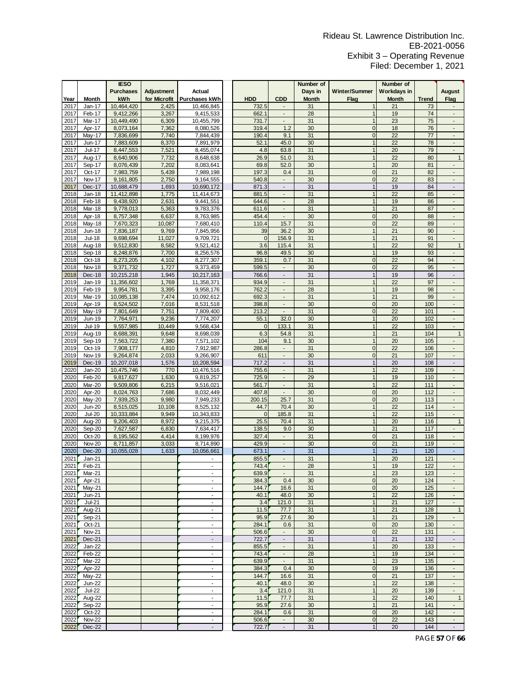|      |               | <b>IESO</b>      |              |                          |              |                             | Number of    |                | Number of          |              |                                   |
|------|---------------|------------------|--------------|--------------------------|--------------|-----------------------------|--------------|----------------|--------------------|--------------|-----------------------------------|
|      |               | <b>Purchases</b> | Adjustment   | Actual                   |              |                             | Days in      | Winter/Summer  | <b>Workdays in</b> |              | <b>August</b>                     |
| Year | <b>Month</b>  | kWh              | for Microfit | Purchases kWh            | <b>HDD</b>   | <b>CDD</b>                  | <b>Month</b> | Flag           | <b>Month</b>       | <b>Trend</b> | Flag                              |
| 2017 | Jan-17        | 10,464,420       | 2,425        | 10,466,845               | 732.5        |                             | 31           |                | 21                 | 73           |                                   |
| 2017 | Feb-17        | 9,412,266        | 3,267        | 9,415,533                | 662.1        | $\overline{\phantom{a}}$    | 28           | $\mathbf{1}$   | 19                 | 74           | $\blacksquare$                    |
|      | Mar-17        | 10,449,490       | 6,309        |                          | 731.7        | $\overline{\phantom{a}}$    | 31           |                | 23                 | 75           |                                   |
| 2017 |               | 8,073,164        |              | 10,455,799               | 319.4        | 1.2                         | 30           | $\mathbf{0}$   | 18                 | 76           | ٠<br>Ξ                            |
| 2017 | Apr-17        |                  | 7,362        | 8,080,526                |              |                             |              |                |                    |              |                                   |
| 2017 | Mav-17        | 7,836,699        | 7,740        | 7,844,439                | 190.4        | 9.1                         | 31           | $\mathbf{0}$   | 22                 | 77           | ä,                                |
| 2017 | Jun-17        | 7,883,609        | 8,370        | 7,891,979                | 52.1         | 45.0                        | 30           | $\mathbf{1}$   | 22                 | 78           | $\blacksquare$                    |
| 2017 | Jul-17        | 8,447,553        | 7,521        | 8,455,074                | 4.8          | 63.8                        | 31           | $\mathbf{1}$   | 20                 | 79           | ÷.                                |
| 2017 | Aug-17        | 8,640,906        | 7,732        | 8,648,638                | 26.9         | 51.0                        | 31           | 1              | 22                 | 80           | $\mathbf{1}$                      |
| 2017 | Sep-17        | 8,076,439        | 7,202        | 8,083,641                | 69.8         | 52.0                        | 30           |                | 20                 | 81           | ÷,                                |
| 2017 | Oct-17        | 7,983,759        | 5,439        | 7,989,198                | 197.3        | 0.4                         | 31           | $\mathbf{0}$   | 21                 | 82           |                                   |
| 2017 | Nov-17        | 9,161,805        | 2,750        | 9,164,555                | 540.8        | ä,                          | 30           | $\mathbf{0}$   | 22                 | 83           | ÷,                                |
| 2017 | Dec-17        | 10,688,479       | 1,693        | 10,690,172               | 871.3        | $\overline{\phantom{a}}$    | 31           | $\mathbf{1}$   | 19                 | 84           | ÷.                                |
| 2018 | Jan-18        | 11,412,898       | 1,775        | 11,414,673               | 881.5        | $\overline{\phantom{a}}$    | 31           | $\mathbf{1}$   | 22                 | 85           | $\overline{a}$                    |
| 2018 | Feb-18        | 9,438,920        | 2,631        | 9,441,551                | 644.6        | $\blacksquare$              | 28           | $\mathbf{1}$   | 19                 | 86           | $\blacksquare$                    |
| 2018 | Mar-18        | 9,778,013        | 5,363        | 9,783,376                | 611.6        | ä,                          | 31           |                | 21                 | 87           | ÷,                                |
| 2018 | Apr-18        | 8,757,348        | 6,637        | 8,763,985                | 454.4        |                             | 30           | $\mathbf{0}$   | 20                 | 88           |                                   |
| 2018 | May-18        | 7,670,323        | 10,087       | 7,680,410                | 110.4        | 15.7                        | 31           | $\mathbf{0}$   | 22                 | 89           | ÷.                                |
| 2018 | Jun-18        | 7,836,187        | 9,769        | 7,845,956                | 39           | 36.2                        | 30           | $\mathbf{1}$   | 21                 | 90           | L.                                |
| 2018 | Jul-18        | 9,698,694        | 11,027       | 9,709,721                | $\mathbf{0}$ | 156.9                       | 31           | $\mathbf{1}$   | 21                 | 91           | ٠                                 |
| 2018 | Aug-18        | 9,512,830        | 8,582        | 9,521,412                | 3.6          | 115.4                       | 31           | $\mathbf{1}$   | 22                 | 92           | $\mathbf{1}$                      |
|      | Sep-18        |                  |              |                          |              |                             | 30           | $\mathbf{1}$   |                    |              |                                   |
| 2018 |               | 8,248,876        | 7,700        | 8,256,576                | 96.8         | 49.5                        |              |                | 19                 | 93           | $\overline{\phantom{a}}$          |
| 2018 | Oct-18        | 8,273,205        | 4,102        | 8,277,307                | 359.1        | 0.7                         | 31           | $\mathbf{0}$   | 22                 | 94           |                                   |
| 2018 | <b>Nov-18</b> | 9,371,732        | 1,727        | 9,373,459                | 599.5        | L.<br>$\mathcal{L}$         | 30           | $\overline{0}$ | 22                 | 95           | ä,<br>$\mathcal{L}_{\mathcal{A}}$ |
| 2018 | Dec-18        | 10,215,218       | 1,945        | 10,217,163               | 766.6        |                             | 31           | $\mathbf{1}$   | 19                 | 96           |                                   |
| 2019 | Jan-19        | 11,356,602       | 1,769        | 11,358,371               | 934.9        | $\blacksquare$              | 31           | $\mathbf{1}$   | 22                 | 97           | $\blacksquare$                    |
| 2019 | Feb-19        | 9,954,781        | 3,395        | 9,958,176                | 762.2        | $\overline{\phantom{a}}$    | 28           | $\mathbf{1}$   | 19                 | 98           | $\blacksquare$                    |
| 2019 | Mar-19        | 10,085,138       | 7,474        | 10,092,612               | 692.3        | $\sim$                      | 31           |                | 21                 | 99           | $\overline{\phantom{a}}$          |
| 2019 | Apr-19        | 8,524,502        | 7,016        | 8,531,518                | 398.8        | $\overline{\phantom{a}}$    | 30           | $\overline{0}$ | 20                 | 100          | $\overline{\phantom{a}}$          |
| 2019 | May-19        | 7,801,649        | 7,751        | 7,809,400                | 213.2        | $\omega$                    | 31           | $\mathbf{0}$   | 22                 | 101          | $\blacksquare$                    |
| 2019 | Jun-19        | 7,764,971        | 9,236        | 7,774,207                | 55.1         | 32.0                        | 30           | $\mathbf{1}$   | 20                 | 102          | ÷,                                |
| 2019 | Jul-19        | 9,557,985        | 10,449       | 9,568,434                | $\Omega$     | 133.1                       | 31           | $\mathbf{1}$   | 22                 | 103          | $\overline{a}$                    |
| 2019 | Aug-19        | 8,688,391        | 9,648        | 8,698,039                | 6.3          | 54.8                        | 31           | $\mathbf{1}$   | 21                 | 104          | $\mathbf{1}$                      |
| 2019 | Sep-19        | 7,563,722        | 7,380        | 7,571,102                | 104          | 9.1                         | 30           | $\mathbf{1}$   | 20                 | 105          | $\overline{\phantom{a}}$          |
| 2019 | Oct-19        | 7,908,177        | 4,810        | 7,912,987                | 286.8        | $\overline{\phantom{a}}$    | 31           | $\mathbf{0}$   | 22                 | 106          | ٠                                 |
| 2019 | <b>Nov-19</b> | 9,264,874        | 2,033        | 9,266,907                | 611          | L.                          | 30           | $\overline{0}$ | 21                 | 107          | ÷,                                |
| 2019 | Dec-19        | 10,207,018       | 1,576        | 10,208,594               | 717.2        | $\blacksquare$              | 31           | $\mathbf{1}$   | 20                 | 108          | ÷,                                |
| 2020 | $Jan-20$      | 10,475,746       | 770          | 10,476,516               | 755.6        | $\sim$                      | 31           | $\mathbf{1}$   | 22                 | 109          | ÷,                                |
| 2020 | Feb-20        | 9,817,627        | 1,630        | 9,819,257                | 725.9        | $\overline{\phantom{a}}$    | 29           | $\mathbf{1}$   | 19                 | 110          | $\blacksquare$                    |
| 2020 | Mar-20        | 9,509,806        | 6,215        | 9,516,021                | 561.7        | $\blacksquare$              | 31           | 1              | 22                 | 111          | ٠                                 |
| 2020 | Apr-20        | 8,024,763        | 7,686        | 8,032,449                | 407.8        | $\blacksquare$              | 30           | $\overline{0}$ | 20                 | 112          | $\blacksquare$                    |
| 2020 | May-20        | 7,939,253        | 9,980        | 7,949,233                | 200.15       | 25.7                        | 31           | $\mathbf{0}$   | 20                 | 113          |                                   |
| 2020 | <b>Jun-20</b> | 8,515,025        | 10,108       | 8,525,132                | 44.7         | 70.4                        | 30           | $\mathbf{1}$   | 22                 | 114          | ä,                                |
| 2020 | Jul-20        | 10,333,884       | 9,949        | 10,343,833               | $\Omega$     | 185.8                       | 31           | $\mathbf{1}$   | 22                 | 115          | ä,                                |
| 2020 | Aug-20        | 9,206,403        | 8,972        | 9,215,375                | 25.5         | 70.4                        | 31           | $\mathbf{1}$   | 20                 | 116          | $\mathbf{1}$                      |
| 2020 | Sep-20        | 7,627,587        | 6,830        | 7,634,417                | 138.5        | 9.0                         | 30           | $\mathbf{1}$   | 21                 | 117          | $\overline{\phantom{a}}$          |
| 2020 | Oct-20        | 8,195,562        | 4,414        | 8,199,976                | 327.4        | $\overline{\phantom{m}}$    | 31           | $\mathbf{0}$   | 21                 | 118          | $\blacksquare$                    |
| 2020 | <b>Nov-20</b> | 8,711,857        | 3,033        | 8,714,890                | 429.9        | $\overline{a}$              | 30           | $\overline{0}$ | 21                 | 119          | $\blacksquare$                    |
| 2020 | <b>Dec-20</b> | 10,055,028       | 1,633        | 10,056,661               | 673.1        | L,                          | 31           |                | 21                 | 120          | ÷,                                |
| 2021 | $Jan-21$      |                  |              |                          | 855.5        | ÷.                          | 31           | $\mathbf{1}$   | 20                 | 121          | $\overline{a}$                    |
| 2021 | Feb-21        |                  |              |                          | 743.4        |                             | 28           |                | 19                 | 122          |                                   |
| 2021 | Mar-21        |                  |              |                          | 639.9        | ٠                           | 31           | $\mathbf{1}$   | 23                 | 123          |                                   |
| 2021 | Apr-21        |                  |              | $\mathcal{L}$            | 384.3        | 0.4                         | 30           | $\overline{0}$ | 20                 | 124          | $\blacksquare$                    |
| 2021 | May-21        |                  |              | $\blacksquare$           | 144.7        | 16.6                        | 31           | $\mathbf 0$    | 20                 | 125          | ٠                                 |
| 2021 | $Jun-21$      |                  |              | $\frac{1}{2}$            | 40.1         | 48.0                        | 30           | $\mathbf{1}$   | 22                 | 126          | ٠                                 |
| 2021 | $Jul-21$      |                  |              | $\mathbf{r}$             | 3.4          | 121.0                       | 31           | $\mathbf{1}$   | 21                 | 127          | $\mathcal{L}_{\mathcal{A}}$       |
| 2021 | Aug-21        |                  |              | $\blacksquare$           | 11.5         | 77.7                        | 31           | $\mathbf{1}$   | 21                 | 128          | $\mathbf{1}$                      |
| 2021 | Sep-21        |                  |              | $\blacksquare$           | 95.9         | 27.6                        | 30           | 1              | 21                 | 129          | $\blacksquare$                    |
| 2021 | Oct-21        |                  |              | $\mathbf{r}$             | 284.1        | 0.6                         | 31           | $\mathbf 0$    | 20                 | 130          | $\overline{\phantom{a}}$          |
| 2021 | <b>Nov-21</b> |                  |              | $\blacksquare$           | 506.6        | $\blacksquare$              | 30           | $\mathbf 0$    | 22                 | 131          | $\blacksquare$                    |
| 2021 | Dec-21        |                  |              | $\overline{\phantom{a}}$ | 722.7        | $\overline{\phantom{a}}$    | 31           | $\mathbf{1}$   | 21                 | 132          | $\qquad \qquad \blacksquare$      |
| 2022 | Jan-22        |                  |              | $\overline{\phantom{a}}$ | 855.5        | $\blacksquare$              | 31           | 1              | 20                 | 133          | $\blacksquare$                    |
| 2022 | Feb-22        |                  |              | $\blacksquare$           | 743.4        | $\mathcal{L}_{\mathcal{A}}$ | 28           | 1              | 19                 | 134          | $\blacksquare$                    |
| 2022 | Mar-22        |                  |              | $\overline{\phantom{a}}$ | 639.9        | $\blacksquare$              | 31           | 1              | 23                 | 135          | $\overline{\phantom{a}}$          |
| 2022 | Apr-22        |                  |              | $\blacksquare$           | 384.3        | 0.4                         | 30           | $\mathbf 0$    | 19                 | 136          | $\overline{\phantom{a}}$          |
| 2022 | May-22        |                  |              | $\blacksquare$           | 144.7        | 16.6                        | 31           | $\mathbf 0$    | 21                 | 137          | $\overline{\phantom{a}}$          |
| 2022 | Jun-22        |                  |              | ٠                        | 40.1         | 48.0                        | 30           | $\mathbf{1}$   | 22                 | 138          | ٠                                 |
| 2022 | <b>Jul-22</b> |                  |              | $\blacksquare$           | 3.4          | 121.0                       | 31           | $\mathbf{1}$   | 20                 | 139          | $\blacksquare$                    |
| 2022 | Aug-22        |                  |              | ÷                        | 11.5         | 77.7                        | 31           | $\mathbf{1}$   | 22                 | 140          | $\mathbf{1}$                      |
| 2022 | Sep-22        |                  |              | $\blacksquare$           | 95.9         | 27.6                        | 30           | $\mathbf{1}$   | 21                 | 141          | $\mathbf{r}$                      |
| 2022 | $Oct-22$      |                  |              | $\blacksquare$           | 284.1        | 0.6                         | 31           | $\mathbf 0$    | 20                 | 142          | $\overline{\phantom{a}}$          |
| 2022 | <b>Nov-22</b> |                  |              | $\blacksquare$           | 506.6        | $\sim$                      | 30           | $\mathbf 0$    | 22                 | 143          | $\overline{\phantom{a}}$          |
| 2022 | Dec-22        |                  |              |                          | 722.7        | $\sim$                      | 31           | 1              | 20                 | 144          | $\blacksquare$                    |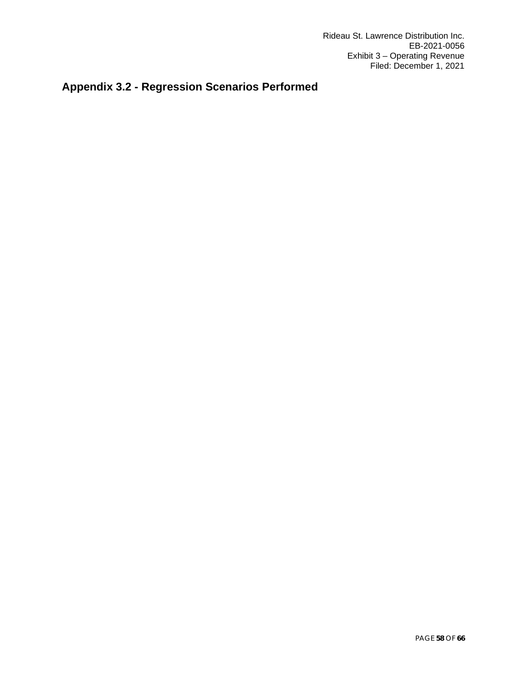# <span id="page-57-0"></span>**Appendix 3.2 - Regression Scenarios Performed**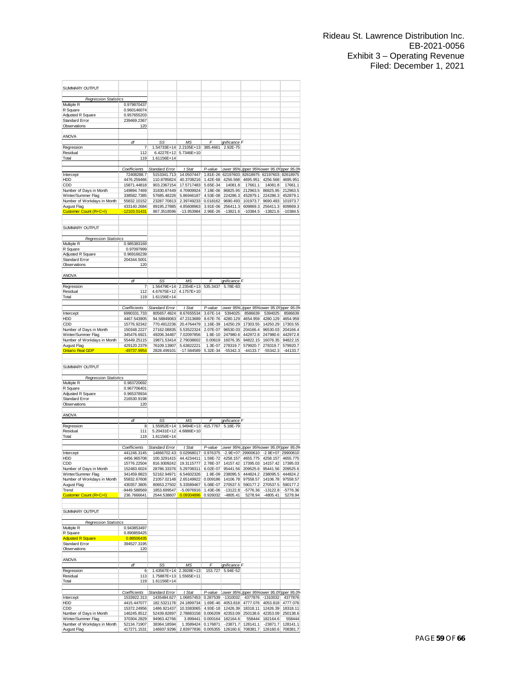| SUMMARY OUTPUT                                |                             |                                      |                                                                     |                      |                                                   |                                     |                                 |                        |
|-----------------------------------------------|-----------------------------|--------------------------------------|---------------------------------------------------------------------|----------------------|---------------------------------------------------|-------------------------------------|---------------------------------|------------------------|
| <b>Regression Statistics</b>                  | 0.979870437                 |                                      |                                                                     |                      |                                                   |                                     |                                 |                        |
| Multiple R<br>R Square                        | 0.960146074                 |                                      |                                                                     |                      |                                                   |                                     |                                 |                        |
| Adjusted R Square                             | 0.957655203                 |                                      |                                                                     |                      |                                                   |                                     |                                 |                        |
| <b>Standard Error</b>                         | 239469.2367                 |                                      |                                                                     |                      |                                                   |                                     |                                 |                        |
| Observations                                  | 120                         |                                      |                                                                     |                      |                                                   |                                     |                                 |                        |
| <b>ANOVA</b>                                  |                             |                                      |                                                                     |                      |                                                   |                                     |                                 |                        |
|                                               | df                          | SS                                   | МS                                                                  | F                    | <i>ignificance</i> F                              |                                     |                                 |                        |
| Regression                                    | 7                           | 1.54733E+14                          | 2.2105E+13                                                          | 385.4661             | 2.92E-75                                          |                                     |                                 |                        |
| Residual<br>Total                             | 112<br>119                  | 6.4227E+12<br>1.61156E+14            | 5.7346E+10                                                          |                      |                                                   |                                     |                                 |                        |
|                                               |                             |                                      |                                                                     |                      |                                                   |                                     |                                 |                        |
|                                               | Coefficients                | Standard Error                       | t Stat                                                              | P-value              | Lower 95%Upper 95%ower 95.0%pper 95.0%            |                                     |                                 |                        |
| Intercept                                     | 72408288.7                  | 5153341.713                          | 14.0507447                                                          |                      | 1.81E-26 62197603 82618975 62197603 82618975      |                                     |                                 |                        |
| HDD                                           | 4476.259466<br>15871.44818  | 110.8785824<br>903.2367154           | 40.3708216                                                          | 1.42E-68             | 4256.568                                          | 4695.951                            | 4256.568                        | 4695.951               |
| CDD<br>Number of Days in Month                | 149894.7469                 | 31830.87449                          | 17.5717483<br>4.70909924                                            | 5.65E-34<br>7.18E-06 | 14081.8<br>86825.95                               | 17661.1<br>212963.5                 | 14081.8<br>86825.95             | 17661.1<br>212963.5    |
| Winter/Summer Flag                            | 338582.7385                 | 57685.48226                          | 5.86946187                                                          | 4.53E-08             | 224286.3                                          | 452879.1                            | 224286.3                        | 452879.1               |
| Number of Workdays in Month                   | 55832.10152                 | 23287.70813                          | 2.39749233                                                          | 0.018162             | 9690.493                                          | 101973.7                            | 9690.493                        | 101973.7               |
| August Flag<br>Customer Count (R+C+I)         | 433140.2684<br>-12103.01431 | 89195.27885<br>867.3518596           | 4.85608963                                                          | 3.91E-06             | 256411.3<br>$-13821.6$                            | 609869.3                            | 256411.3                        | 609869.3<br>$-10384.5$ |
|                                               |                             |                                      | -13.953984                                                          | 2.96E-26             |                                                   | $-10384.5$                          | $-13821.6$                      |                        |
| SUMMARY OUTPUT                                |                             |                                      |                                                                     |                      |                                                   |                                     |                                 |                        |
|                                               |                             |                                      |                                                                     |                      |                                                   |                                     |                                 |                        |
| <b>Regression Statistics</b><br>Multiple R    | 0.985383169                 |                                      |                                                                     |                      |                                                   |                                     |                                 |                        |
| R Square                                      | 0.97097999                  |                                      |                                                                     |                      |                                                   |                                     |                                 |                        |
| Adjusted R Square                             | 0.969166239                 |                                      |                                                                     |                      |                                                   |                                     |                                 |                        |
| Standard Error<br>Observations                | 204344.5001<br>120          |                                      |                                                                     |                      |                                                   |                                     |                                 |                        |
|                                               |                             |                                      |                                                                     |                      |                                                   |                                     |                                 |                        |
| <b>ANOVA</b>                                  |                             |                                      |                                                                     |                      |                                                   |                                     |                                 |                        |
| Regression                                    | df<br>7                     | SS.<br>1.56479E+14                   | MS<br>2.2354E+13                                                    | F<br>535.3437        | <i>ignificance</i> F<br>5.78E-83                  |                                     |                                 |                        |
| Residual                                      | 112                         | 4.67675E+12                          | 4.1757E+10                                                          |                      |                                                   |                                     |                                 |                        |
| Total                                         | 119                         | 1.61156E+14                          |                                                                     |                      |                                                   |                                     |                                 |                        |
|                                               | Coefficients                | <b>Standard Error</b>                | t Stat                                                              | P-value              | Lower 95%L                                        |                                     | Ipper 95% ower 95.0% pper 95.0% |                        |
| Intercept                                     | 6990331.733                 | 805657.4824                          | 8.67655534                                                          | 3.67E-14             | 5394025                                           | 8586639                             | 5394025                         | 8586639                |
| HDD                                           | 4467.543905                 | 94.58849083                          | 47.2313689                                                          | 8.67E-76             | 4280.129                                          | 4654.959                            | 4280.129                        | 4654.959               |
| CDD                                           | 15776.92342                 | 770.4912236                          | 20.4764479                                                          | 1.16E-39             | 14250.29                                          | 17303.55                            | 14250.29                        | 17303.55               |
| Number of Days in Month<br>Winter/Summer Flag | 150348.2227<br>345476.6921  | 27162.08835<br>49206.34487           | 5.53522324<br>7.02097856                                            | 2.07E-07<br>1.8E-10  | 96530.03<br>247980.6                              | 204166.4<br>442972.8                | 96530.03<br>247980.6            | 204166.4<br>442972.8   |
| Number of Workdays in Month                   | 55449.25115                 | 19871.53414                          | 2.79038602                                                          | 0.00619              | 16076.35                                          | 94822.15                            | 16076.35                        | 94822.15               |
| August Flag                                   | 429120.2379                 | 76109.13907                          | 5.63822221                                                          | 1.3E-07              | 278319.7                                          | 579920.7                            | 278319.7                        | 579920.7               |
| <b>Ontario Real GDP</b>                       | -49737.9954                 | 2828.499101                          | $-17.584589$                                                        | 5.32E-34             | -55342.3                                          | $-44133.7$                          | $-55342.3$                      | $-44133.7$             |
| SUMMARY OUTPUT                                |                             |                                      |                                                                     |                      |                                                   |                                     |                                 |                        |
|                                               |                             |                                      |                                                                     |                      |                                                   |                                     |                                 |                        |
| <b>Regression Statistics</b><br>Multiple R    | 0.983720692                 |                                      |                                                                     |                      |                                                   |                                     |                                 |                        |
| R Square                                      | 0.967706401                 |                                      |                                                                     |                      |                                                   |                                     |                                 |                        |
| Adjusted R Square                             | 0.965378934                 |                                      |                                                                     |                      |                                                   |                                     |                                 |                        |
| Standard Error                                | 216530.9198                 |                                      |                                                                     |                      |                                                   |                                     |                                 |                        |
| Observations                                  | 120                         |                                      |                                                                     |                      |                                                   |                                     |                                 |                        |
| <b>ANOVA</b>                                  |                             |                                      |                                                                     |                      |                                                   |                                     |                                 |                        |
|                                               | df                          | SS.                                  | M <sub>S</sub>                                                      |                      | ignificance F                                     |                                     |                                 |                        |
| Regression<br>Residual                        | 8<br>111                    | 1.55952E+14<br>5.20431E+12           | 1.9494E+13<br>4.6886E+10                                            | 415.7767             | 5.18E-79                                          |                                     |                                 |                        |
| Total                                         | 119                         | 1.61156E+14                          |                                                                     |                      |                                                   |                                     |                                 |                        |
|                                               |                             |                                      |                                                                     |                      |                                                   |                                     |                                 |                        |
| Intercept                                     | Coefficients<br>441246.3145 | <b>Standard Error</b><br>14866702.43 | t Stat<br>0.02968017                                                | P-value<br>0.976375  | Lower 95% Upper 95% ower 95.0% pper 95.0%         | $-2.9E+07$ 29900610                 |                                 | $-2.9E+07$ 29900610    |
| HDD                                           | 4456.965708                 | 100.3291415                          | 44.4234411                                                          | 1.59E-72             | 4258.157                                          | 4655.775                            | 4258.157                        | 4655.775               |
| CDD                                           | 15776.22504                 | 816.9309242                          | 19.3115777                                                          |                      | 2.78E-37 14157.42                                 | 17395.03                            | 14157.42                        | 17395.03               |
| Number of Days in Month                       | 152483.6024                 |                                      | 28786.33376 5.29708311                                              |                      | 6.02E-07 95441.56 209525.6 95441.56 209525.6      |                                     |                                 |                        |
| Winter/Summer Flag                            | 341459.8823                 |                                      | 52162.94971 6.54602326                                              | 1.9E-09              |                                                   | 238095.5 444824.2 238095.5 444824.2 | 14106.78                        |                        |
| Number of Workdays in Month<br>August Flag    | 55832.67608<br>430357.3805  |                                      | 21057.02148 2.65149922 0.009186 14106.78<br>80653.27502 5.33589467  |                      | 5.08E-07 270537.5                                 | 97558.57<br>590177.2                | 270537.5                        | 97558.57<br>590177.2   |
| Trend                                         | -9449.588569                | 1853.699547                          | -5.0976916 1.43E-06                                                 |                      | $-13122.8$                                        | $-5776.36$                          | $-13122.8$                      | $-5776.36$             |
| Customer Count (R+C+I)                        | 236.7666641                 | 2544.538607                          | 0.09304896                                                          | 0.926032             | $-4805.41$                                        | 5278.94                             | $-4805.41$                      | 5278.94                |
|                                               |                             |                                      |                                                                     |                      |                                                   |                                     |                                 |                        |
| <b>SUMMARY OUTPUT</b>                         |                             |                                      |                                                                     |                      |                                                   |                                     |                                 |                        |
| <b>Regression Statistics</b>                  |                             |                                      |                                                                     |                      |                                                   |                                     |                                 |                        |
| Multiple R<br>R Square                        | 0.943853497<br>0.890859425  |                                      |                                                                     |                      |                                                   |                                     |                                 |                        |
| <b>Adjusted R Square</b>                      | 0.88506435                  |                                      |                                                                     |                      |                                                   |                                     |                                 |                        |
| Standard Error                                | 394527.3195                 |                                      |                                                                     |                      |                                                   |                                     |                                 |                        |
| Observations                                  | 120                         |                                      |                                                                     |                      |                                                   |                                     |                                 |                        |
| ANOVA                                         | df                          | SS.                                  | MS                                                                  | F                    | ignificance F                                     |                                     |                                 |                        |
| Regression                                    | 6                           | 1.43567E+14                          | 2.3928E+13                                                          |                      | 153.727 5.94E-52                                  |                                     |                                 |                        |
| Residual                                      | 113                         | 1.75887E+13 1.5565E+11               |                                                                     |                      |                                                   |                                     |                                 |                        |
| Total                                         | 119                         | 1.61156E+14                          |                                                                     |                      |                                                   |                                     |                                 |                        |
|                                               | Coefficients                | Standard Error                       | $t$ Stat                                                            |                      | P-value Lower 95% Upper 95% ower 95.0% pper 95.0% |                                     |                                 |                        |
| Intercept                                     | 1533922.313                 | 1435484.627                          | 1.06857453                                                          | 0.287539             | $-1310032$                                        |                                     | 4377876 -1310032                | 4377876                |
| HDD                                           | 4415.447077                 | 182.5321178                          | 24.1899734                                                          |                      | 1.69E-46 4053.818                                 |                                     | 4777.076 4053.818               | 4777.076               |
| CDD                                           | 15372.24956                 | 1486.921437                          | 10.3383065                                                          |                      | 4.93E-18 12426.39                                 | 18318.11                            | 12426.39                        | 18318.11               |
| Number of Days in Month<br>Winter/Summer Flag | 146245.8512<br>370304.2829  | 52439.82897<br>94963.42766           | 2.78883158 0.006209 42353.09                                        | 3.899441 0.000164    | 182164.6                                          | 558444                              | 250138.6 42353.09<br>182164.6   | 250138.6<br>558444     |
| Number of Workdays in Month                   | 52134.71907                 | 38364.18594                          | 1.3589424 0.176871                                                  |                      |                                                   | $-23871.7$ 128141.1                 | $-23871.7$                      | 128141.1               |
| August Flag                                   | 417271.1531                 |                                      | 146937.9296 2.83977836 0.005355 126160.6 708381.7 126160.6 708381.7 |                      |                                                   |                                     |                                 |                        |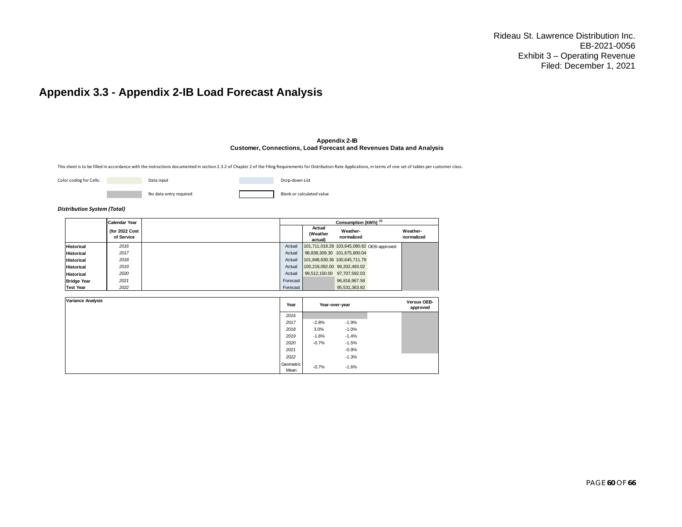### **Appendix 3.3 - Appendix 2-IB Load Forecast Analysis**

#### **Appendix 2-IB Customer, Connections, Load Forecast and Revenues Data and Analysis**

0

This sheet is to be filled in accordance with the instructions documented in section 2.3.2 of Chapter 2 of the Filing Requirements for Distribution Rate Applications, in terms of one set of tables per customer class.

|  | Color coding for Cells: |  |  |  |
|--|-------------------------|--|--|--|
|--|-------------------------|--|--|--|

| Data input             | Drop-down List            |
|------------------------|---------------------------|
| No data entry required | Blank or calculated value |

#### *Distribution System (Total)*

<span id="page-59-0"></span>

|                    | <b>Calendar Year</b>         |          |                                            | Consumption (kWh) <sup>(3)</sup> |                        |
|--------------------|------------------------------|----------|--------------------------------------------|----------------------------------|------------------------|
|                    | (for 2022 Cost<br>of Service |          | Actual<br>(Weather<br>actual)              | Weather-<br>normalized           | Weather-<br>normalized |
| <b>Historical</b>  | 2016                         | Actual   | 101,711,018.28 103,645,080.82 OEB-approved |                                  |                        |
| <b>Historical</b>  | 2017                         | Actual   |                                            | 98,838,309.30 101,675,800.04     |                        |
| <b>Historical</b>  | 2018                         | Actual   | 101,848,630.36 100,645,711.79              |                                  |                        |
| <b>Historical</b>  | 2019                         | Actual   | 100,219,092.00 99,202,493.02               |                                  |                        |
| <b>Historical</b>  | 2020                         | Actual   | 99,512,150.00                              | 97,707,592.03                    |                        |
| <b>Bridge Year</b> | 2021                         | Forecast |                                            | 96.816.967.58                    |                        |
| <b>Test Year</b>   | 2022                         | Forecast |                                            | 95.531.363.82                    |                        |

| <b>Variance Analysis</b> | Year              | Year-over-year |         | Versus OEB-<br>approved |
|--------------------------|-------------------|----------------|---------|-------------------------|
|                          | 2016              |                |         |                         |
|                          | 2017              | $-2.8%$        | $-1.9%$ |                         |
|                          | 2018              | 3.0%           | $-1.0%$ |                         |
|                          | 2019              | $-1.6%$        | $-1.4%$ |                         |
|                          | 2020              | $-0.7%$        | $-1.5%$ |                         |
|                          | 2021              |                | $-0.9%$ |                         |
|                          | 2022              |                | $-1.3%$ |                         |
|                          | Geometric<br>Mean | $-0.7%$        | $-1.6%$ |                         |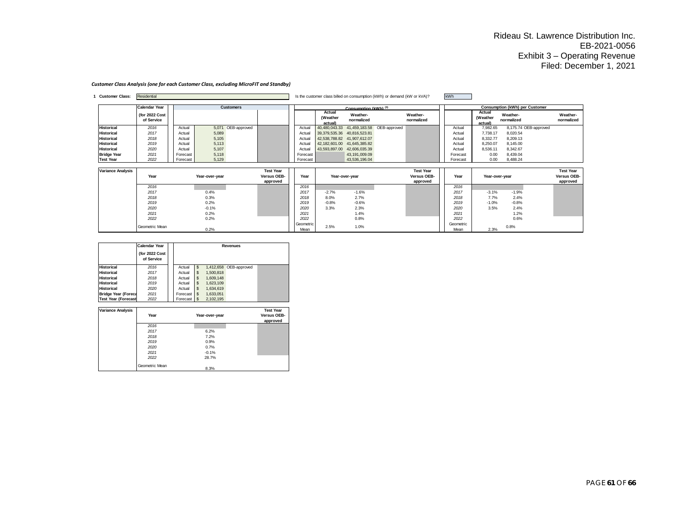#### *Customer Class Analysis (one for each Customer Class, excluding MicroFIT and Standby)*

| <b>Customer Class:</b>   | Residential                  |          |                    |                         |          |                               |                                  | Is the customer class billed on consumption (kWh) or demand (kW or kVA)? |                         | kWh      |                               |                                |                         |
|--------------------------|------------------------------|----------|--------------------|-------------------------|----------|-------------------------------|----------------------------------|--------------------------------------------------------------------------|-------------------------|----------|-------------------------------|--------------------------------|-------------------------|
|                          | <b>Calendar Year</b>         |          | <b>Customers</b>   |                         |          |                               | Consumption (kWh) <sup>(3)</sup> |                                                                          |                         |          |                               | Consumption (kWh) per Customer |                         |
|                          | (for 2022 Cost<br>of Service |          |                    |                         |          | Actual<br>(Weather<br>actual) | Weather-<br>normalized           |                                                                          | Weather-<br>normalized  |          | Actual<br>(Weather<br>actual) | Weather-<br>normalized         | Weather-<br>normalized  |
| <b>Historical</b>        | 2016                         | Actual   | 5,071 OEB-approved |                         | Actual   | 40,480,043.33                 |                                  | 41,459,183.58 OEB-approved                                               |                         | Actual   | 7,982.65                      | 8,175.74 OEB-approved          |                         |
| <b>Historical</b>        | 2017                         | Actual   | 5,089              |                         | Actual   |                               | 39,379,535.36 40,816,523.81      |                                                                          |                         | Actual   | 7,738.17                      | 8,020.54                       |                         |
| <b>Historical</b>        | 2018                         | Actual   | 5,105              |                         | Actual   |                               | 42,538,788.82 41,907,612.07      |                                                                          |                         | Actual   | 8,332.77                      | 8,209.13                       |                         |
| <b>Historical</b>        | 2019                         | Actual   | 5,113              |                         | Actual   |                               | 42,182,601.00 41,645,385.82      |                                                                          |                         | Actual   | 8,250.07                      | 8,145.00                       |                         |
| <b>Historical</b>        | 2020                         | Actual   | 5,107              |                         | Actual   | 43,593,897.00                 | 42,606,035.39                    |                                                                          |                         | Actual   | 8,536.11                      | 8,342.67                       |                         |
| <b>Bridge Year</b>       | 2021                         | Forecast | 5,118              |                         | Forecast |                               | 43, 191, 009.09                  |                                                                          |                         | Forecast | 0.00                          | 8,439.04                       |                         |
| <b>Test Year</b>         | 2022                         | Forecast | 5,129              |                         | Forecast |                               | 43,536,196.04                    |                                                                          |                         | Forecast | 0.00                          | 8,488.24                       |                         |
|                          |                              |          |                    |                         |          |                               |                                  |                                                                          |                         |          |                               |                                |                         |
| <b>Variance Analysis</b> |                              |          |                    | <b>Test Year</b>        |          |                               |                                  |                                                                          | <b>Test Year</b>        |          |                               |                                | <b>Test Year</b>        |
|                          | Year                         |          | Year-over-year     | Versus OEB-<br>approved | Year     |                               | Year-over-year                   |                                                                          | Versus OEB-<br>approved | Year     | Year-over-year                |                                | Versus OEB-<br>approved |
|                          | 2016                         |          |                    |                         | 2016     |                               |                                  |                                                                          |                         | 2016     |                               |                                |                         |
|                          | 2017                         |          | 0.4%               |                         | 2017     | $-2.7%$                       | $-1.6%$                          |                                                                          |                         | 2017     | $-3.1%$                       | $-1.9%$                        |                         |
|                          | 2018                         |          |                    |                         |          |                               |                                  |                                                                          |                         | 2018     |                               | 2.4%                           |                         |
|                          |                              |          | 0.3%               |                         | 2018     | 8.0%                          | 2.7%                             |                                                                          |                         |          | 7.7%                          |                                |                         |
|                          | 2019                         |          | 0.2%               |                         | 2019     | $-0.8%$                       | $-0.6%$                          |                                                                          |                         | 2019     | $-1.0%$                       | $-0.8%$                        |                         |
|                          | 2020                         |          | $-0.1%$            |                         | 2020     | 3.3%                          | 2.3%                             |                                                                          |                         | 2020     | 3.5%                          | 2.4%                           |                         |
|                          | 2021                         |          | 0.2%               |                         | 2021     |                               | 1.4%                             |                                                                          |                         | 2021     |                               | 1.2%                           |                         |
|                          | 2022                         |          | 0.2%               |                         | 2022     |                               | 0.8%                             |                                                                          |                         | 2022     |                               | 0.6%                           |                         |

|                            | <b>Calendar Year</b>         |             | Revenues |           |                        |  |  |
|----------------------------|------------------------------|-------------|----------|-----------|------------------------|--|--|
|                            | (for 2022 Cost<br>of Service |             |          |           |                        |  |  |
| <b>Historical</b>          | 2016                         | Actual      |          |           | 1,412,658 OEB-approved |  |  |
| <b>Historical</b>          | 2017                         | Actual      |          | 1,500,818 |                        |  |  |
| <b>Historical</b>          | 2018                         | Actual      |          | 1,609,148 |                        |  |  |
| <b>Historical</b>          | 2019                         | Actual      |          | 1,623,109 |                        |  |  |
| <b>Historical</b>          | 2020                         | Actual      |          | 1,634,619 |                        |  |  |
| <b>Bridge Year (Foreca</b> | 2021                         | Forecast \$ |          | 1,633,051 |                        |  |  |
| <b>Test Year (Forecast</b> | 2022                         | Forecast \$ |          | 2,102,195 |                        |  |  |

| <b>Variance Analysis</b> |                |                | <b>Test Year</b> |
|--------------------------|----------------|----------------|------------------|
|                          | Year           | Year-over-year | Versus OEB-      |
|                          |                |                | approved         |
|                          | 2016           |                |                  |
|                          | 2017           | 6.2%           |                  |
|                          | 2018           | 7.2%           |                  |
|                          | 2019           | 0.9%           |                  |
|                          | 2020           | 0.7%           |                  |
|                          | 2021           | $-0.1%$        |                  |
|                          | 2022           | 28.7%          |                  |
|                          |                |                |                  |
|                          | Geometric Mean | 8.3%           |                  |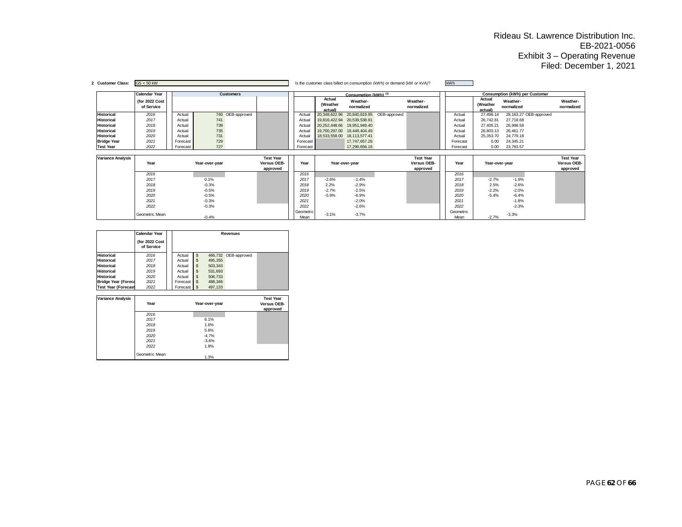|                          | <b>Calendar Year</b>         |          |                | <b>Customers</b> |                         |          |                               | Consumption (kWh) <sup>(3)</sup> |                            |                         |          |                               | Consumption (kWh) per Customer |                        |                         |
|--------------------------|------------------------------|----------|----------------|------------------|-------------------------|----------|-------------------------------|----------------------------------|----------------------------|-------------------------|----------|-------------------------------|--------------------------------|------------------------|-------------------------|
|                          | (for 2022 Cost<br>of Service |          |                |                  |                         |          | Actual<br>(Weather<br>actual) | Weather-<br>normalized           |                            | Weather-<br>normalized  |          | Actual<br>(Weather<br>actual) | Weather-<br>normalized         |                        | Weather-<br>normalized  |
| <b>Historical</b>        | 2016                         | Actual   |                | 740 OEB-approved |                         | Actual   | 20,348,622.96                 |                                  | 20,840,819.95 OEB-approved |                         | Actual   | 27,498.14                     |                                | 28,163.27 OEB-approved |                         |
| <b>Historical</b>        | 2017                         | Actual   | 741            |                  |                         | Actual   | 19,816,422.94                 | 20,539,538.91                    |                            |                         | Actual   | 26,742.81                     | 27,718.68                      |                        |                         |
| <b>Historical</b>        | 2018                         | Actual   | 739            |                  |                         | Actual   | 20,252,448.66                 | 19,951,949.40                    |                            |                         | Actual   | 27,405.21                     | 26,998.58                      |                        |                         |
| <b>Historical</b>        | 2019                         | Actual   | 735            |                  |                         | Actual   | 19,700,297.00                 | 19,449,404.49                    |                            |                         | Actual   | 26,803.13                     | 26,461.77                      |                        |                         |
| <b>Historical</b>        | 2020                         | Actual   | 731            |                  |                         | Actual   | 18,533,558.00                 | 18,113,577.41                    |                            |                         | Actual   | 25,353.70                     | 24,779.18                      |                        |                         |
| <b>Bridge Year</b>       | 2021                         | Forecast | 729            |                  |                         | Forecast |                               | 17.747.657.26                    |                            |                         | Forecast | 0.00                          | 24,345.21                      |                        |                         |
| <b>Test Year</b>         | 2022                         | Forecast | 727            |                  |                         | Forecast |                               | 17,290,656.16                    |                            |                         | Forecast | 0.00                          | 23,783.57                      |                        |                         |
|                          |                              |          |                |                  |                         |          |                               |                                  |                            |                         |          |                               |                                |                        |                         |
|                          |                              |          |                |                  |                         |          |                               |                                  |                            |                         |          |                               |                                |                        |                         |
| <b>Variance Analysis</b> |                              |          |                |                  | <b>Test Year</b>        |          |                               |                                  |                            | <b>Test Year</b>        |          |                               |                                |                        | <b>Test Year</b>        |
|                          | Year                         |          | Year-over-year |                  | Versus OEB-<br>approved | Year     |                               | Year-over-year                   |                            | Versus OEB-<br>approved | Year     |                               | Year-over-year                 |                        | Versus OEB-<br>approved |
|                          | 2016                         |          |                |                  |                         | 2016     |                               |                                  |                            |                         | 2016     |                               |                                |                        |                         |
|                          | 2017                         |          | 0.1%           |                  |                         | 2017     | $-2.6%$                       | $-1.4%$                          |                            |                         | 2017     | $-2.7%$                       | $-1.6%$                        |                        |                         |
|                          | 2018                         |          | $-0.3%$        |                  |                         | 2018     | 2.2%                          | $-2.9%$                          |                            |                         | 2018     | 2.5%                          | $-2.6%$                        |                        |                         |
|                          | 2019                         |          | $-0.5%$        |                  |                         | 2019     | $-2.7%$                       | $-2.5%$                          |                            |                         | 2019     | $-2.2%$                       | $-2.0%$                        |                        |                         |
|                          | 2020                         |          | $-0.5%$        |                  |                         | 2020     | $-5.9%$                       | $-6.9%$                          |                            |                         | 2020     | $-5.4%$                       | $-6.4%$                        |                        |                         |
|                          | 2021                         |          | $-0.3%$        |                  |                         | 2021     |                               | $-2.0%$                          |                            |                         | 2021     |                               | $-1.8%$                        |                        |                         |
|                          | 2022                         |          | $-0.3%$        |                  |                         | 2022     |                               | $-2.6%$                          |                            |                         | 2022     |                               | $-2.3%$                        |                        |                         |

|                            | Calendar Year                |             | Revenues |                      |  |  |  |  |
|----------------------------|------------------------------|-------------|----------|----------------------|--|--|--|--|
|                            | (for 2022 Cost<br>of Service |             |          |                      |  |  |  |  |
| <b>Historical</b>          | 2016                         | Actual      |          | 466,732 OEB-approved |  |  |  |  |
| <b>Historical</b>          | 2017                         | Actual      | 495,355  |                      |  |  |  |  |
| <b>Historical</b>          | 2018                         | Actual      | 503,343  |                      |  |  |  |  |
| <b>Historical</b>          | 2019                         | Actual      | 531,693  |                      |  |  |  |  |
| <b>Historical</b>          | 2020                         | Actual      | 506,733  |                      |  |  |  |  |
| <b>Bridge Year (Foreca</b> | 2021                         | Forecast \$ | 488,346  |                      |  |  |  |  |
| <b>Test Year (Forecast</b> | 2022                         | Forecast \$ | 497,133  |                      |  |  |  |  |

| <b>Variance Analysis</b> |                |                | <b>Test Year</b> |
|--------------------------|----------------|----------------|------------------|
|                          | Year           | Year-over-year | Versus OEB-      |
|                          |                |                | approved         |
|                          | 2016           |                |                  |
|                          | 2017           | 6.1%           |                  |
|                          | 2018           | 1.6%           |                  |
|                          | 2019           | 5.6%           |                  |
|                          | 2020           | $-4.7%$        |                  |
|                          | 2021           | $-3.6%$        |                  |
|                          | 2022           | 1.8%           |                  |
|                          | Geometric Mean |                |                  |
|                          |                | 1.3%           |                  |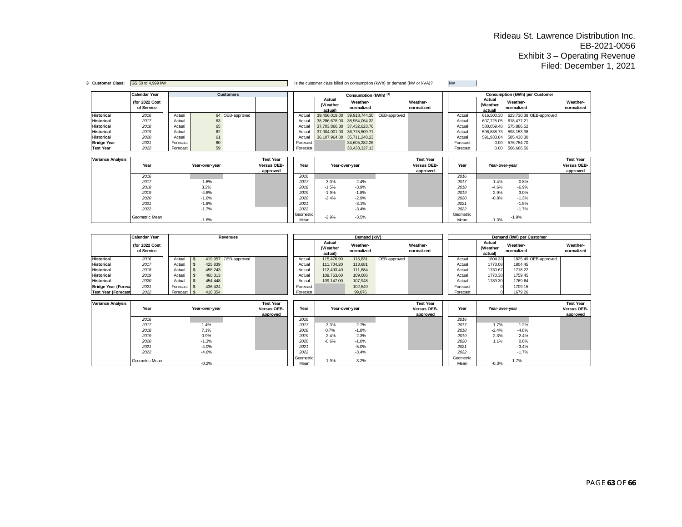| 3 Customer Class:        | GS 50 to 4,999 kW            |          |                |                  |                  |                   |                               |                        | Is the customer class billed on consumption (kWh) or demand (kW or kVA)? |                        | kW |                   |                               |                                |                        |
|--------------------------|------------------------------|----------|----------------|------------------|------------------|-------------------|-------------------------------|------------------------|--------------------------------------------------------------------------|------------------------|----|-------------------|-------------------------------|--------------------------------|------------------------|
|                          | <b>Calendar Year</b>         |          |                | <b>Customers</b> |                  |                   |                               | Consumption (kWh) (3)  |                                                                          |                        |    |                   |                               | Consumption (kWh) per Customer |                        |
|                          | (for 2022 Cost<br>of Service |          |                |                  |                  |                   | Actual<br>(Weather<br>actual) | Weather-<br>normalized |                                                                          | Weather-<br>normalized |    |                   | Actual<br>(Weather<br>actual) | Weather-<br>normalized         | Weather-<br>normalized |
| <b>Historical</b>        | 2016                         | Actual   |                | 64 OEB-approved  |                  | Actual            | 39,456,019.00                 |                        | 39,918,744.30 OEB-approved                                               |                        |    | Actual            | 616,500.30                    | 623,730.38 OEB-approved        |                        |
| <b>Historical</b>        | 2017                         | Actual   | 63             |                  |                  | Actual            | 38,286,678.00                 | 38,964,064.32          |                                                                          |                        |    | Actual            | 607,725.05                    | 618,477.21                     |                        |
| <b>Historical</b>        | 2018                         | Actual   | 65             |                  |                  | Actual            | 37,703,866.30                 | 37,432,623.76          |                                                                          |                        |    | Actual            | 580.059.48                    | 575,886.52                     |                        |
| <b>Historical</b>        | 2019                         | Actual   | 62             |                  |                  | Actual            | 37,004,001.00                 | 36,775,509.71          |                                                                          |                        |    | Actual            | 596.838.73                    | 593,153.38                     |                        |
| <b>Historical</b>        | 2020                         | Actual   | 61             |                  |                  | Actual            | 36,107,964.00                 | 35,711,248.23          |                                                                          |                        |    | Actual            | 591,933.84                    | 585,430.30                     |                        |
| <b>Bridge Year</b>       | 2021                         | Forecast | 60             |                  |                  | Forecast          |                               | 34,605,282.26          |                                                                          |                        |    | Forecast          | 0.00                          | 576,754.70                     |                        |
| <b>Test Year</b>         | 2022                         | Forecast | 59             |                  |                  | Forecast          |                               | 33,433,327.13          |                                                                          |                        |    | Forecast          | 0.00                          | 566,666.56                     |                        |
|                          |                              |          |                |                  |                  |                   |                               |                        |                                                                          |                        |    |                   |                               |                                |                        |
| <b>Variance Analysis</b> |                              |          |                |                  | <b>Test Year</b> |                   |                               |                        |                                                                          | <b>Test Year</b>       |    |                   |                               |                                | <b>Test Year</b>       |
|                          | Year                         |          | Year-over-year |                  | Versus OEB-      | Year              |                               | Year-over-year         |                                                                          | Versus OEB-            |    | Year              | Year-over-year                |                                | Versus OEB-            |
|                          |                              |          |                |                  | approved         |                   |                               |                        |                                                                          | approved               |    |                   |                               |                                | approved               |
|                          | 2016                         |          |                |                  |                  | 2016              |                               |                        |                                                                          |                        |    | 2016              |                               |                                |                        |
|                          | 2017                         |          | $-1.6%$        |                  |                  | 2017              | $-3.0%$                       | $-2.4%$                |                                                                          |                        |    | 2017              | $-1.4%$                       | $-0.8%$                        |                        |
|                          | 2018                         |          | 3.2%           |                  |                  | 2018              | $-1.5%$                       | $-3.9%$                |                                                                          |                        |    | 2018              | $-4.6%$                       | $-6.9%$                        |                        |
|                          | 2019                         |          | $-4.6%$        |                  |                  | 2019              | $-1.9%$                       | $-1.8%$                |                                                                          |                        |    | 2019              | 2.9%                          | 3.0%                           |                        |
|                          | 2020                         |          | $-1.6%$        |                  |                  | 2020              | $-2.4%$                       | $-2.9%$                |                                                                          |                        |    | 2020              | $-0.8%$                       | $-1.3%$                        |                        |
|                          | 2021                         |          | $-1.6%$        |                  |                  | 2021              |                               | $-3.1%$                |                                                                          |                        |    | 2021              |                               | $-1.5%$                        |                        |
|                          | 2022                         |          | $-1.7%$        |                  |                  | 2022              |                               | $-3.4%$                |                                                                          |                        |    | 2022              |                               | $-1.7%$                        |                        |
|                          | Geometric Mean               |          | $-1.6%$        |                  |                  | Geometric<br>Mean | $-2.9%$                       | $-3.5%$                |                                                                          |                        |    | Geometric<br>Mean | $-1.3%$                       | $-1.9%$                        |                        |

|                            | <b>Calendar Year</b>         |            |         | Revenues             |          |                               | Demand (kW)            |              |                        | Demand (kW) per Customer |          |                              |                        |                      |                        |
|----------------------------|------------------------------|------------|---------|----------------------|----------|-------------------------------|------------------------|--------------|------------------------|--------------------------|----------|------------------------------|------------------------|----------------------|------------------------|
|                            | (for 2022 Cost<br>of Service |            |         |                      |          | Actual<br>(Weather<br>actual) | Weather-<br>normalized |              | Weather-<br>normalized |                          |          | Actual<br>(Weather<br>actual | Weather-<br>normalized |                      | Weather-<br>normalized |
| <b>Historical</b>          | 2016                         | Actual     |         | 419,957 OEB-approved | Actual   | 115,476,90                    | 116,831                | OEB-approved |                        |                          | Actual   | 1804.33                      |                        | 1825.49 OEB-approved |                        |
| <b>Historical</b>          | 2017                         | Actua      | 425.839 |                      | Actual   | 111.704.20                    | 113,681                |              |                        |                          | Actual   | 1773.08                      | 1804.45                |                      |                        |
| <b>Historical</b>          | 2018                         | Actual     | 456.243 |                      | Actual   | 112.493.40                    | 111.684                |              |                        |                          | Actual   | 1730.67                      | 1718.22                |                      |                        |
| <b>Historical</b>          | 2019                         | Actual     | 460,313 |                      | Actual   | 109.763.60                    | 109,086                |              |                        |                          | Actual   | 1770.38                      | 1759.45                |                      |                        |
| <b>Historical</b>          | 2020                         | Actual     | 454,448 |                      | Actual   | 109.147.00                    | 107.948                |              |                        |                          | Actual   | 1789.30                      | 1769.64                |                      |                        |
| <b>Bridge Year (Foreca</b> | 2021                         | Forecast S | 436,424 |                      | Forecast |                               | 102,549                |              |                        |                          | Forecast |                              | 1709.15                |                      |                        |
| <b>Test Year (Forecast</b> | 2022                         | Forecast S | 416.354 |                      | Forecast |                               | 99.076                 |              |                        |                          | Forecast |                              | 1679.26                |                      |                        |

| <b>Variance Analysis</b> |                |                | <b>Test Year</b> |           |         |                | <b>Test Year</b> |           |                |         | <b>Test Year</b> |
|--------------------------|----------------|----------------|------------------|-----------|---------|----------------|------------------|-----------|----------------|---------|------------------|
|                          | Year           | Year-over-year | Versus OEB-      | Year      |         | Year-over-year | Versus OEB-      | Year      | Year-over-year |         | Versus OEB-      |
|                          |                |                | approved         |           |         |                | approved         |           |                |         | approved         |
|                          | 2016           |                |                  | 2016      |         |                |                  | 2016      |                |         |                  |
|                          | 2017           | 1.4%           |                  | 2017      | $-3.3%$ | $-2.7%$        |                  | 2017      | $-1.7%$        | $-1.2%$ |                  |
|                          | 2018           | 7.1%           |                  | 2018      | 0.7%    | $-1.8%$        |                  | 2018      | $-2.4%$        | $-4.8%$ |                  |
|                          | 2019           | 0.9%           |                  | 2019      | $-2.4%$ | $-2.3%$        |                  | 2019      | 2.3%           | 2.4%    |                  |
|                          | 2020           | $-1.3%$        |                  | 2020      | $-0.6%$ | $-1.0%$        |                  | 2020      | 1.1%           | 0.6%    |                  |
|                          | 2021           | $-4.0%$        |                  | 2021      |         | $-5.0%$        |                  | 2021      |                | $-3.4%$ |                  |
|                          | 2022           | $-4.6%$        |                  | 2022      |         | $-3.4%$        |                  | 2022      |                | $-1.7%$ |                  |
|                          | Geometric Mean |                |                  | Geometric | $-1.9%$ | $-3.2%$        |                  | Geometric |                | $-1.7%$ |                  |
|                          |                | $-0.2%$        |                  | Mean      |         |                |                  | Mean      | $-0.3%$        |         |                  |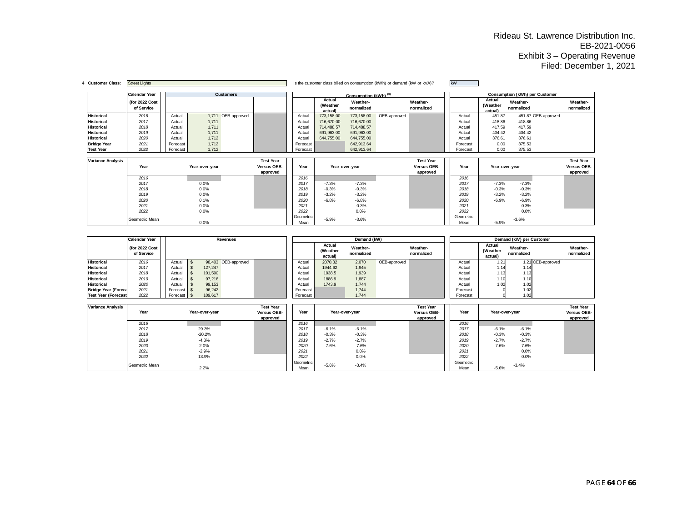| <b>Customer Class:</b>   | <b>Street Lights</b>         |          |                |                    |                  |                   |                              |                                  | Is the customer class billed on consumption (kWh) or demand (kW or kVA)? |                        | kW                |                               |                                |                        |
|--------------------------|------------------------------|----------|----------------|--------------------|------------------|-------------------|------------------------------|----------------------------------|--------------------------------------------------------------------------|------------------------|-------------------|-------------------------------|--------------------------------|------------------------|
|                          | <b>Calendar Year</b>         |          |                | <b>Customers</b>   |                  |                   |                              | Consumption (kWh) <sup>(3)</sup> |                                                                          |                        |                   |                               | Consumption (kWh) per Customer |                        |
|                          | (for 2022 Cost<br>of Service |          |                |                    |                  |                   | Actual<br>(Weather<br>actual | Weather-<br>normalized           |                                                                          | Weather-<br>normalized |                   | Actual<br>(Weather<br>actual) | Weather-<br>normalized         | Weather-<br>normalized |
| <b>Historical</b>        | 2016                         | Actual   |                | 1,711 OEB-approved |                  | Actual            | 773,158.00                   | 773,158.00                       | OEB-approved                                                             |                        | Actual            | 451.87                        | 451.87 OEB-approved            |                        |
| <b>Historical</b>        | 2017                         | Actual   | 1,711          |                    |                  | Actual            | 716.670.00                   | 716,670.00                       |                                                                          |                        | Actual            | 418.86                        | 418.86                         |                        |
| <b>Historical</b>        | 2018                         | Actual   | 1,711          |                    |                  | Actual            | 714.488.57                   | 714,488.57                       |                                                                          |                        | Actual            | 417.59                        | 417.59                         |                        |
| <b>Historical</b>        | 2019                         | Actual   | 1,711          |                    |                  | Actual            | 691,963.00                   | 691,963.00                       |                                                                          |                        | Actual            | 404.42                        | 404.42                         |                        |
| <b>Historical</b>        | 2020                         | Actual   | 1,712          |                    |                  | Actual            | 644,755.00                   | 644,755.00                       |                                                                          |                        | Actual            | 376.61                        | 376.61                         |                        |
| <b>Bridge Year</b>       | 2021                         | Forecast | 1,712          |                    |                  | Forecast          |                              | 642,913.64                       |                                                                          |                        | Forecast          | 0.00                          | 375.53                         |                        |
| <b>Test Year</b>         | 2022                         | Forecast | 1,712          |                    |                  | Forecast          |                              | 642,913.64                       |                                                                          |                        | Forecast          | 0.00                          | 375.53                         |                        |
|                          |                              |          |                |                    |                  |                   |                              |                                  |                                                                          |                        |                   |                               |                                |                        |
| <b>Variance Analysis</b> |                              |          |                |                    | <b>Test Year</b> |                   |                              |                                  |                                                                          | <b>Test Year</b>       |                   |                               |                                | <b>Test Year</b>       |
|                          | Year                         |          | Year-over-year |                    | Versus OEB-      | Year              |                              | Year-over-year                   |                                                                          | Versus OEB-            | Year              | Year-over-year                |                                | Versus OEB-            |
|                          |                              |          |                |                    | approved         |                   |                              |                                  |                                                                          | approved               |                   |                               |                                | approved               |
|                          | 2016                         |          |                |                    |                  | 2016              |                              |                                  |                                                                          |                        | 2016              |                               |                                |                        |
|                          | 2017                         |          | 0.0%           |                    |                  | 2017              | $-7.3%$                      | $-7.3%$                          |                                                                          |                        | 2017              | $-7.3%$                       | $-7.3%$                        |                        |
|                          | 2018                         |          | 0.0%           |                    |                  | 2018              | $-0.3%$                      | $-0.3%$                          |                                                                          |                        | 2018              | $-0.3%$                       | $-0.3%$                        |                        |
|                          | 2019                         |          | 0.0%           |                    |                  | 2019              | $-3.2%$                      | $-3.2%$                          |                                                                          |                        | 2019              | $-3.2%$                       | $-3.2%$                        |                        |
|                          | 2020                         |          | 0.1%           |                    |                  | 2020              | $-6.8%$                      | $-6.8%$                          |                                                                          |                        | 2020              | $-6.9%$                       | $-6.9%$                        |                        |
|                          | 2021                         |          | 0.0%           |                    |                  | 2021              |                              | $-0.3%$                          |                                                                          |                        | 2021              |                               | $-0.3%$                        |                        |
|                          | 2022                         |          | 0.0%           |                    |                  | 2022              |                              | 0.0%                             |                                                                          |                        | 2022              |                               | 0.0%                           |                        |
|                          | Geometric Mean               |          | 0.0%           |                    |                  | Geometric<br>Mean | $-5.9%$                      | $-3.6%$                          |                                                                          |                        | Geometric<br>Mean | $-5.9%$                       | $-3.6%$                        |                        |

|                            | <b>Calendar Year</b>         |          |         | <b>Revenues</b>     |          |                               | Demand (kW)            |              |                        |          |                               | Demand (kW) per Customer |                   |                        |
|----------------------------|------------------------------|----------|---------|---------------------|----------|-------------------------------|------------------------|--------------|------------------------|----------|-------------------------------|--------------------------|-------------------|------------------------|
|                            | (for 2022 Cost<br>of Service |          |         |                     |          | Actual<br>(Weather<br>actual) | Weather-<br>normalized |              | Weather-<br>normalized |          | Actual<br>(Weather<br>actual) | Weather-<br>normalized   |                   | Weather-<br>normalized |
| <b>Historical</b>          | 2016                         | Actual   |         | 98,403 OEB-approved | Actual   | 2070.32                       | 2,070                  | OEB-approved |                        | Actual   | 1.21                          |                          | 1.21 OEB-approved |                        |
| <b>Historical</b>          | 2017                         | Actual   | 127.247 |                     | Actual   | 1944.62                       | 1,945                  |              |                        | Actual   | 1.14                          | 1.14                     |                   |                        |
| <b>Historical</b>          | 2018                         | Actual   | 101.590 |                     | Actual   | 1938.5                        | 1,939                  |              |                        | Actual   | 1.13                          | 1.13                     |                   |                        |
| <b>Historical</b>          | 2019                         | Actual   | 97,216  |                     | Actual   | 1886.9                        | 1,887                  |              |                        | Actual   | 1.10                          | 1.10                     |                   |                        |
| <b>Historical</b>          | 2020                         | Actual   | 99.153  |                     | Actual   | 1743.9                        | 1,744                  |              |                        | Actual   | 1.02                          | 1.02                     |                   |                        |
| <b>Bridge Year (Foreca</b> | 2021                         | Forecast | 96,242  |                     | Forecast |                               | 1,744                  |              |                        | Forecast |                               | 1.02                     |                   |                        |
| <b>Test Year (Forecast</b> | 2022                         | Forecast | 109.617 |                     | Forecast |                               | 1.744                  |              |                        | Forecast |                               | 1.02                     |                   |                        |

| <b>Variance Analysis</b> | Year           | Year-over-year | <b>Test Year</b><br>Versus OEB-<br>approved | Year              |         | Year-over-year | <b>Test Year</b><br>Versus OEB-<br>approved | Year              | Year-over-year     | <b>Test Year</b><br>Versus OEB-<br>approved |
|--------------------------|----------------|----------------|---------------------------------------------|-------------------|---------|----------------|---------------------------------------------|-------------------|--------------------|---------------------------------------------|
|                          | 2016           |                |                                             | 2016              |         |                |                                             | 2016              |                    |                                             |
|                          | 2017           | 29.3%          |                                             | 2017              | $-6.1%$ | $-6.1%$        |                                             | 2017              | $-6.1%$<br>$-6.1%$ |                                             |
|                          | 2018           | $-20.2%$       |                                             | 2018              | $-0.3%$ | $-0.3%$        |                                             | 2018              | $-0.3%$<br>$-0.3%$ |                                             |
|                          | 2019           | $-4.3%$        |                                             | 2019              | $-2.7%$ | $-2.7%$        |                                             | 2019              | $-2.7%$<br>$-2.7%$ |                                             |
|                          | 2020           | 2.0%           |                                             | 2020              | $-7.6%$ | $-7.6%$        |                                             | 2020              | $-7.6%$<br>$-7.6%$ |                                             |
|                          | 2021           | $-2.9%$        |                                             | 2021              |         | 0.0%           |                                             | 2021              | 0.0%               |                                             |
|                          | 2022           | 13.9%          |                                             | 2022              |         | 0.0%           |                                             | 2022              | 0.0%               |                                             |
|                          | Geometric Mean | 2.2%           |                                             | Geometric<br>Mean | $-5.6%$ | $-3.4%$        |                                             | Geometric<br>Mean | $-3.4%$<br>$-5.6%$ |                                             |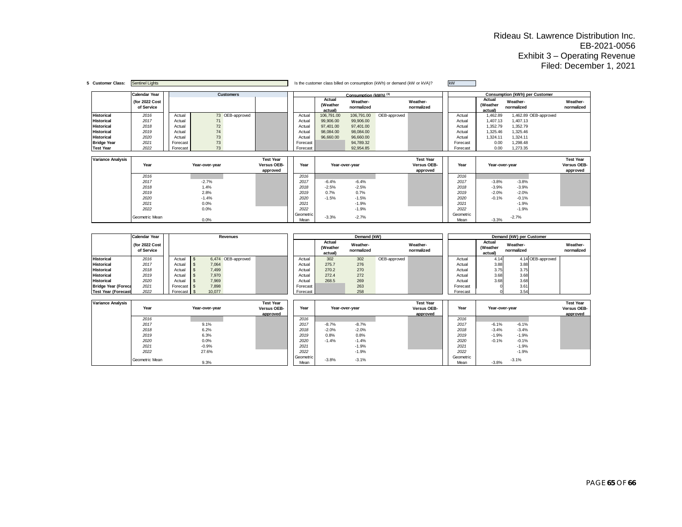| 5 Customer Class:        | <b>Sentinel Lights</b>       |          |                |                  |                         |                   |                               |                        | Is the customer class billed on consumption (kWh) or demand (kW or kVA)? |                         | <b>kW</b>         |                               |                                |                         |
|--------------------------|------------------------------|----------|----------------|------------------|-------------------------|-------------------|-------------------------------|------------------------|--------------------------------------------------------------------------|-------------------------|-------------------|-------------------------------|--------------------------------|-------------------------|
|                          | Calendar Year                |          |                | <b>Customers</b> |                         |                   |                               | Consumption (kWh) (3)  |                                                                          |                         |                   |                               | Consumption (kWh) per Customer |                         |
|                          | (for 2022 Cost<br>of Service |          |                |                  |                         |                   | Actual<br>(Weather<br>actual) | Weather-<br>normalized |                                                                          | Weather-<br>normalized  |                   | Actual<br>(Weather<br>actual) | Weather-<br>normalized         | Weather-<br>normalized  |
| <b>Historical</b>        | 2016                         | Actual   |                | 73 OEB-approved  |                         | Actual            | 106,791.00                    | 106,791.00             | OEB-approved                                                             |                         | Actual            | 1,462.89                      | 1,462.89 OEB-approved          |                         |
| <b>Historical</b>        | 2017                         | Actual   | 71             |                  |                         | Actual            | 99,906.00                     | 99,906.00              |                                                                          |                         | Actual            | 1,407.13                      | 1,407.13                       |                         |
| <b>Historical</b>        | 2018                         | Actual   | 72             |                  |                         | Actual            | 97,401.00                     | 97,401.00              |                                                                          |                         | Actual            | 1,352.79                      | 1,352.79                       |                         |
| <b>Historical</b>        | 2019                         | Actual   | 74             |                  |                         | Actual            | 98.084.00                     | 98,084.00              |                                                                          |                         | Actual            | 1,325.46                      | 1,325.46                       |                         |
| <b>Historical</b>        | 2020                         | Actual   | 73             |                  |                         | Actual            | 96,660.00                     | 96,660.00              |                                                                          |                         | Actual            | 1,324.11                      | 1,324.11                       |                         |
| <b>Bridge Year</b>       | 2021                         | Forecast | 73             |                  |                         | Forecast          |                               | 94,789.32              |                                                                          |                         | Forecast          | 0.00                          | 1,298.48                       |                         |
| <b>Test Year</b>         | 2022                         | Forecast | 73             |                  |                         | Forecast          |                               | 92,954.85              |                                                                          |                         | Forecast          | 0.00                          | 1,273.35                       |                         |
|                          |                              |          |                |                  |                         |                   |                               |                        |                                                                          |                         |                   |                               |                                |                         |
| <b>Variance Analysis</b> |                              |          |                |                  | <b>Test Year</b>        |                   |                               |                        |                                                                          | <b>Test Year</b>        |                   |                               |                                | <b>Test Year</b>        |
|                          | Year                         |          | Year-over-year |                  | Versus OEB-<br>approved | Year              |                               | Year-over-year         |                                                                          | Versus OEB-<br>approved | Year              | Year-over-year                |                                | Versus OEB-<br>approved |
|                          | 2016                         |          |                |                  |                         | 2016              |                               |                        |                                                                          |                         | 2016              |                               |                                |                         |
|                          | 2017                         |          | $-2.7%$        |                  |                         | 2017              | $-6.4%$                       | $-6.4%$                |                                                                          |                         | 2017              | $-3.8%$                       | $-3.8%$                        |                         |
|                          | 2018                         |          | 1.4%           |                  |                         | 2018              | $-2.5%$                       | $-2.5%$                |                                                                          |                         | 2018              | $-3.9%$                       | $-3.9%$                        |                         |
|                          | 2019                         |          | 2.8%           |                  |                         | 2019              | 0.7%                          | 0.7%                   |                                                                          |                         | 2019              | $-2.0%$                       | $-2.0%$                        |                         |
|                          | 2020                         |          | $-1.4%$        |                  |                         | 2020              | $-1.5%$                       | $-1.5%$                |                                                                          |                         | 2020              | $-0.1%$                       | $-0.1%$                        |                         |
|                          | 2021                         |          | 0.0%           |                  |                         | 2021              |                               | $-1.9%$                |                                                                          |                         | 2021              |                               | $-1.9%$                        |                         |
|                          | 2022                         |          | 0.0%           |                  |                         | 2022              |                               | $-1.9%$                |                                                                          |                         | 2022              |                               | $-1.9%$                        |                         |
|                          | Geometric Mean               |          |                |                  |                         | Geometric<br>Mean | $-3.3%$                       | $-2.7%$                |                                                                          |                         | Geometric<br>Mean | $-3.3%$                       | $-2.7%$                        |                         |

|                            | <b>Calendar Year</b>         |               |        | <b>Revenues</b>    |          |                              | Demand (kW)            |              |                        |          |                              | Demand (kW) per Customer |                   |                        |
|----------------------------|------------------------------|---------------|--------|--------------------|----------|------------------------------|------------------------|--------------|------------------------|----------|------------------------------|--------------------------|-------------------|------------------------|
|                            | (for 2022 Cost<br>of Service |               |        |                    |          | Actual<br>(Weather<br>actual | Weather-<br>normalized |              | Weather-<br>normalized |          | Actual<br>(Weather<br>actual | Weather-<br>normalized   |                   | Weather-<br>normalized |
| <b>Historical</b>          | 2016                         | Actual        |        | 6,474 OEB-approved | Actual   | 302                          | 302                    | OEB-approved |                        | Actual   | 4.14                         |                          | 4.14 OEB-approved |                        |
| <b>Historical</b>          | 2017                         | Actual        | 7,064  |                    | Actual   | 275.7                        | 276                    |              |                        | Actual   | 3.88                         | 3.88                     |                   |                        |
| <b>Historical</b>          | 2018                         | Actual        | 7,499  |                    | Actual   | 270.2                        | 270                    |              |                        | Actual   | 3.75                         | 3.75                     |                   |                        |
| <b>Historical</b>          | 2019                         | Actual        | 7,970  |                    | Actual   | 272.4                        | 272                    |              |                        | Actual   | 3.68                         | 3.68                     |                   |                        |
| <b>Historical</b>          | 2020                         | Actual        | 7,969  |                    | Actual   | 268.5                        | 269                    |              |                        | Actual   | 3.68                         | 3.68                     |                   |                        |
| <b>Bridge Year (Foreca</b> | 2021                         | Forecast   \$ | 7,898  |                    | Forecast |                              | 263                    |              |                        | Forecast |                              | 3.61                     |                   |                        |
| <b>Test Year (Forecast</b> | 2022                         | Forecast S    | 10.077 |                    | Forecast |                              | 258                    |              |                        | Forecast |                              | 3.54                     |                   |                        |

| <b>Variance Analysis</b> | Year           | Year-over-year | <b>Test Year</b><br>Versus OEB-<br>approved | Year              |         | Year-over-year | <b>Test Year</b><br>Versus OEB-<br>approved | Year              | Year-over-year |         | <b>Test Year</b><br>Versus OEB-<br>approved |
|--------------------------|----------------|----------------|---------------------------------------------|-------------------|---------|----------------|---------------------------------------------|-------------------|----------------|---------|---------------------------------------------|
|                          | 2016           |                |                                             | 2016              |         |                |                                             | 2016              |                |         |                                             |
|                          | 2017           | 9.1%           |                                             | 2017              | $-8.7%$ | $-8.7%$        |                                             | 2017              | $-6.1%$        | $-6.1%$ |                                             |
|                          | 2018           | 6.2%           |                                             | 2018              | $-2.0%$ | $-2.0%$        |                                             | 2018              | $-3.4%$        | $-3.4%$ |                                             |
|                          | 2019           | 6.3%           |                                             | 2019              | 0.8%    | 0.8%           |                                             | 2019              | $-1.9%$        | $-1.9%$ |                                             |
|                          | 2020           | 0.0%           |                                             | 2020              | $-1.4%$ | $-1.4%$        |                                             | 2020              | $-0.1%$        | $-0.1%$ |                                             |
|                          | 2021           | $-0.9%$        |                                             | 2021              |         | $-1.9%$        |                                             | 2021              |                | $-1.9%$ |                                             |
|                          | 2022           | 27.6%          |                                             | 2022              |         | $-1.9%$        |                                             | 2022              |                | $-1.9%$ |                                             |
|                          | Geometric Mean | 9.3%           |                                             | Geometric<br>Mean | $-3.8%$ | $-3.1%$        |                                             | Geometric<br>Mean | $-3.8%$        | $-3.1%$ |                                             |